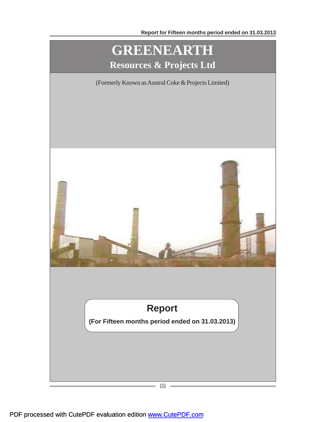**Report for Fifteen months period ended on 31.03.2013**

# **GREENEARTH Resources & Projects Ltd**

(Formerly Known as Austral Coke & Projects Limited)



# **Report**

**(For Fifteen months period ended on 31.03.2013)**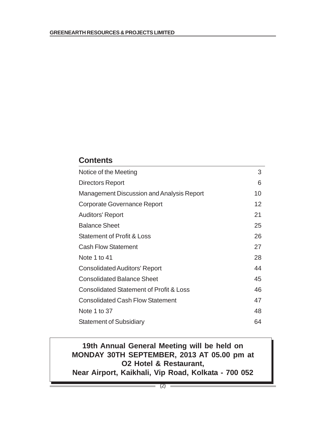# **Contents**

| 3  |
|----|
| 6  |
| 10 |
| 12 |
| 21 |
| 25 |
| 26 |
| 27 |
| 28 |
| 44 |
| 45 |
| 46 |
| 47 |
| 48 |
| 64 |
|    |

# **19th Annual General Meeting will be held on MONDAY 30TH SEPTEMBER, 2013 AT 05.00 pm at O2 Hotel & Restaurant, Near Airport, Kaikhali, Vip Road, Kolkata - 700 052**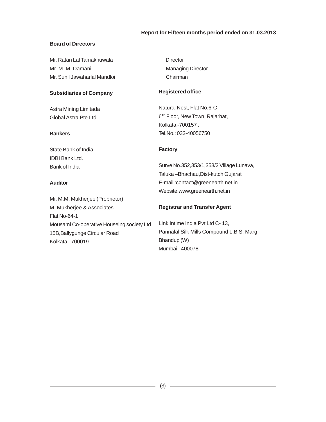#### **Board of Directors**

Mr. Ratan Lal Tamakhuwala Director Mr. M. M. Damani Managing Director Mr. Sunil Jawaharlal Mandloi Chairman

#### **Subsidiaries of Company**

Astra Mining Limitada Global Astra Pte Ltd

#### **Bankers**

State Bank of India IDBI Bank Ltd. Bank of India

#### **Auditor**

Mr. M.M. Mukherjee (Proprietor) M. Mukherjee & Associates Flat No-64-1 Mousami Co-operative Houseing society Ltd 15B,Ballygunge Circular Road Kolkata - 700019

#### **Registered office**

Natural Nest, Flat No.6-C 6Th Floor, New Town, Rajarhat, Kolkata -700157 . Tel.No.: 033-40056750

### **Factory**

Surve No.352,353/1,353/2 Village Lunava, Taluka –Bhachau,Dist-kutch Gujarat E-mail :contact@greenearth.net.in Website:www.greenearth.net.in

# **Registrar and Transfer Agent**

Link Intime India Pvt Ltd C- 13, Pannalal Silk Mills Compound L.B.S. Marg, Bhandup (W) Mumbai - 400078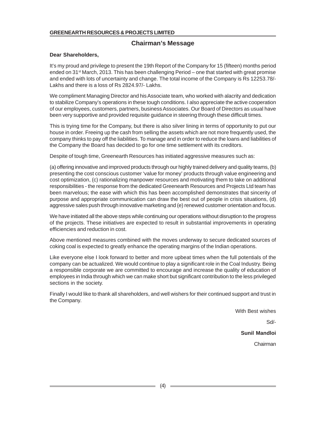# **Chairman's Message**

#### **Dear Shareholders,**

It's my proud and privilege to present the 19th Report of the Company for 15 (fifteen) months period ended on 31<sup>st</sup> March, 2013. This has been challenging Period – one that started with great promise and ended with lots of uncertainty and change. The total income of the Company is Rs 12253.78/- Lakhs and there is a loss of Rs 2824.97/- Lakhs.

We compliment Managing Director and his Associate team, who worked with alacrity and dedication to stabilize Company's operations in these tough conditions. I also appreciate the active cooperation of our employees, customers, partners, business Associates. Our Board of Directors as usual have been very supportive and provided requisite guidance in steering through these difficult times.

This is trying time for the Company, but there is also silver lining in terms of opportunity to put our house in order. Freeing up the cash from selling the assets which are not more frequently used, the company thinks to pay off the liabilities. To manage and in order to reduce the loans and liabilities of the Company the Board has decided to go for one time settlement with its creditors.

Despite of tough time, Greenearth Resources has initiated aggressive measures such as:

(a) offering innovative and improved products through our highly trained delivery and quality teams, (b) presenting the cost conscious customer 'value for money' products through value engineering and cost optimization, (c) rationalizing manpower resources and motivating them to take on additional responsibilities - the response from the dedicated Greenearth Resources and Projects Ltd team has been marvelous; the ease with which this has been accomplished demonstrates that sincerity of purpose and appropriate communication can draw the best out of people in crisis situations, (d) aggressive sales push through innovative marketing and (e) renewed customer orientation and focus.

We have initiated all the above steps while continuing our operations without disruption to the progress of the projects. These initiatives are expected to result in substantial improvements in operating efficiencies and reduction in cost.

Above mentioned measures combined with the moves underway to secure dedicated sources of coking coal is expected to greatly enhance the operating margins of the Indian operations.

Like everyone else I look forward to better and more upbeat times when the full potentials of the company can be actualized. We would continue to play a significant role in the Coal Industry. Being a responsible corporate we are committed to encourage and increase the quality of education of employees in India through which we can make short but significant contribution to the less privileged sections in the society.

Finally I would like to thank all shareholders, and well wishers for their continued support and trust in the Company.

With Best wishes

Sd/-

**Sunil Mandloi**

Chairman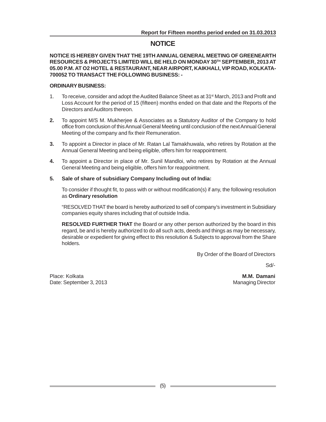# **NOTICE**

#### **NOTICE IS HEREBY GIVEN THAT THE 19TH ANNUAL GENERAL MEETING OF GREENEARTH RESOURCES & PROJECTS LIMITED WILL BE HELD ON MONDAY 30TH SEPTEMBER, 2013 AT 05.00 P.M. AT O2 HOTEL & RESTAURANT, NEAR AIRPORT, KAIKHALI, VIP ROAD, KOLKATA-700052 TO TRANSACT THE FOLLOWING BUSINESS: -**

#### **ORDINARY BUSINESS:**

- 1. To receive, consider and adopt the Audited Balance Sheet as at 31<sup>st</sup> March, 2013 and Profit and Loss Account for the period of 15 (fifteen) months ended on that date and the Reports of the Directors and Auditors thereon.
- **2.** To appoint M/S M. Mukherjee & Associates as a Statutory Auditor of the Company to hold office from conclusion of this Annual General Meeting until conclusion of the next Annual General Meeting of the company and fix their Remuneration.
- **3.** To appoint a Director in place of Mr. Ratan Lal Tamakhuwala, who retires by Rotation at the Annual General Meeting and being eligible, offers him for reappointment.
- **4.** To appoint a Director in place of Mr. Sunil Mandloi, who retires by Rotation at the Annual General Meeting and being eligible, offers him for reappointment.

#### **5. Sale of share of subsidiary Company Including out of India:**

To consider if thought fit, to pass with or without modification(s) if any, the following resolution as **Ordinary resolution**

"RESOLVED THAT the board is hereby authorized to sell of company's investment in Subsidiary companies equity shares including that of outside India.

**RESOLVED FURTHER THAT** the Board or any other person authorized by the board in this regard, be and is hereby authorized to do all such acts, deeds and things as may be necessary, desirable or expedient for giving effect to this resolution & Subjects to approval from the Share holders.

By Order of the Board of Directors

Sd/-

Place: Kolkata **M.M. Damani** Date: September 3, 2013 Managing Director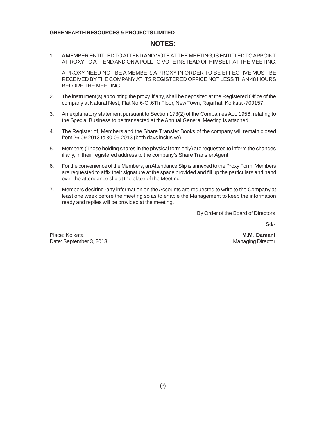# **NOTES:**

1. A MEMBER ENTITLED TO ATTEND AND VOTE AT THE MEETING, IS ENTITLED TO APPOINT A PROXY TO ATTEND AND ON A POLL TO VOTE INSTEAD OF HIMSELF AT THE MEETING.

A PROXY NEED NOT BE A MEMBER. A PROXY IN ORDER TO BE EFFECTIVE MUST BE RECEIVED BY THE COMPANY AT ITS REGISTERED OFFICE NOT LESS THAN 48 HOURS BEFORE THE MEETING.

- 2. The instrument(s) appointing the proxy, if any, shall be deposited at the Registered Office of the company at Natural Nest, Flat No.6-C ,6Th Floor, New Town, Rajarhat, Kolkata -700157 .
- 3. An explanatory statement pursuant to Section 173(2) of the Companies Act, 1956, relating to the Special Business to be transacted at the Annual General Meeting is attached.
- 4. The Register of, Members and the Share Transfer Books of the company will remain closed from 26.09.2013 to 30.09.2013 (both days inclusive).
- 5. Members (Those holding shares in the physical form only) are requested to inform the changes if any, in their registered address to the company's Share Transfer Agent.
- 6. For the convenience of the Members, an Attendance Slip is annexed to the Proxy Form. Members are requested to affix their signature at the space provided and fill up the particulars and hand over the attendance slip at the place of the Meeting.
- 7. Members desiring ·any information on the Accounts are requested to write to the Company at least one week before the meeting so as to enable the Management to keep the information ready and replies will be provided at the meeting.

By Order of the Board of Directors

Sd/-

Place: Kolkata **M.M. Damani** Date: September 3, 2013 Managing Director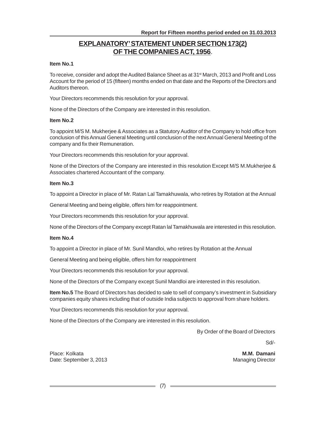# **EXPLANATORY' STATEMENT UNDER SECTION 173(2) OF THE COMPANIES ACT, 1956**.

#### **Item No.1**

To receive, consider and adopt the Audited Balance Sheet as at 31<sup>st</sup> March, 2013 and Profit and Loss Account for the period of 15 (fifteen) months ended on that date and the Reports of the Directors and Auditors thereon.

Your Directors recommends this resolution for your approval.

None of the Directors of the Company are interested in this resolution.

#### **Item No.2**

To appoint M/S M. Mukherjee & Associates as a Statutory Auditor of the Company to hold office from conclusion of this Annual General Meeting until conclusion of the next Annual General Meeting of the company and fix their Remuneration.

Your Directors recommends this resolution for your approval.

None of the Directors of the Company are interested in this resolution Except M/S M.Mukherjee & Associates chartered Accountant of the company.

#### **Item No.3**

To appoint a Director in place of Mr. Ratan Lal Tamakhuwala, who retires by Rotation at the Annual

General Meeting and being eligible, offers him for reappointment.

Your Directors recommends this resolution for your approval.

None of the Directors of the Company except Ratan lal Tamakhuwala are interested in this resolution.

#### **Item No.4**

To appoint a Director in place of Mr. Sunil Mandloi, who retires by Rotation at the Annual

General Meeting and being eligible, offers him for reappointment

Your Directors recommends this resolution for your approval.

None of the Directors of the Company except Sunil Mandloi are interested in this resolution.

**Item No.5** The Board of Directors has decided to sale to sell of company's investment in Subsidiary companies equity shares including that of outside India subjects to approval from share holders.

Your Directors recommends this resolution for your approval.

None of the Directors of the Company are interested in this resolution.

By Order of the Board of Directors

Sd/-

Place: Kolkata **M.M. Damani** Date: September 3, 2013 Managing Director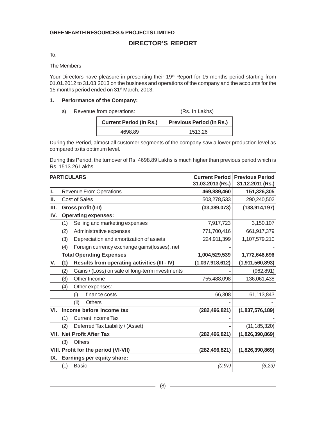# **DIRECTOR'S REPORT**

To,

#### The Members

Your Directors have pleasure in presenting their 19<sup>th</sup> Report for 15 months period starting from 01.01.2012 to 31.03.2013 on the business and operations of the company and the accounts for the 15 months period ended on 31<sup>st</sup> March, 2013.

#### **1. Performance of the Company:**

a) Revenue from operations: (Rs. In Lakhs)

| <b>Current Period (In Rs.)</b> | <b>Previous Period (In Rs.)</b> |
|--------------------------------|---------------------------------|
| 4698.89                        | 1513.26                         |

During the Period, almost all customer segments of the company saw a lower production level as compared to its optimum level.

During this Period, the turnover of Rs. 4698.89 Lakhs is much higher than previous period which is Rs. 1513.26 Lakhs.

|      |                                 | <b>PARTICULARS</b>                              | <b>Current Period</b><br>31.03.2013 (Rs.) | <b>Previous Period</b><br>31.12.2011 (Rs.) |
|------|---------------------------------|-------------------------------------------------|-------------------------------------------|--------------------------------------------|
| Ι.   |                                 | <b>Revenue From Operations</b>                  | 469,889,460                               | 151,326,305                                |
| II.  |                                 | <b>Cost of Sales</b>                            | 503,278,533                               | 290,240,502                                |
| III. |                                 | Gross profit (I-II)                             | (33, 389, 073)                            | (138, 914, 197)                            |
| IV.  |                                 | <b>Operating expenses:</b>                      |                                           |                                            |
|      | (1)                             | Selling and marketing expenses                  | 7,917,723                                 | 3,150,107                                  |
|      | (2)                             | Administrative expenses                         | 771,700,416                               | 661,917,379                                |
|      | (3)                             | Depreciation and amortization of assets         | 224,911,399                               | 1,107,579,210                              |
|      | (4)                             | Foreign currency exchange gains (losses), net   |                                           |                                            |
|      | <b>Total Operating Expenses</b> |                                                 | 1,004,529,539                             | 1,772,646,696                              |
| V.   | (1)                             | Results from operating activities (III - IV)    | (1,037,918,612)                           | (1,911,560,893)                            |
|      | (2)                             | Gains / (Loss) on sale of long-term investments |                                           | (962, 891)                                 |
|      | (3)                             | Other Income                                    | 755,488,098                               | 136,061,438                                |
|      | (4)                             | Other expenses:                                 |                                           |                                            |
|      |                                 | finance costs<br>(i)                            | 66,308                                    | 61,113,843                                 |
|      |                                 | (ii)<br><b>Others</b>                           |                                           |                                            |
| VI.  |                                 | Income before income tax                        | (282, 496, 821)                           | (1,837,576,189)                            |
|      | (1)                             | <b>Current Income Tax</b>                       |                                           |                                            |
|      | (2)                             | Deferred Tax Liability / (Asset)                |                                           | (11, 185, 320)                             |
| VII. |                                 | <b>Net Profit After Tax</b>                     | (282, 496, 821)                           | (1,826,390,869)                            |
|      | (3)                             | <b>Others</b>                                   |                                           |                                            |
|      |                                 | VIII. Profit for the period (VI-VII)            | (282, 496, 821)                           | (1,826,390,869)                            |
|      |                                 | IX. Earnings per equity share:                  |                                           |                                            |
|      | (1)                             | <b>Basic</b>                                    | (0.97)                                    | (6.29)                                     |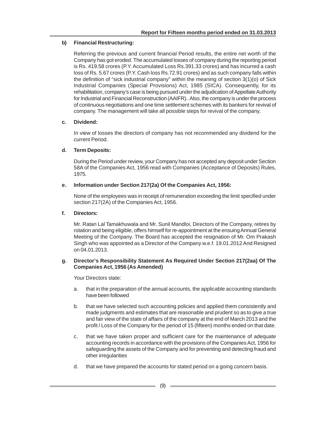#### **b) Financial Restructuring:**

Referring the previous and current financial Period results, the entire net worth of the Company has got eroded. The accumulated losses of company during the reporting period is Rs. 419.58 crores (P.Y. Accumulated Loss Rs.391.33 crores) and has incurred a cash loss of Rs. 5.67 crores (P.Y. Cash loss Rs.72.91 crores) and as such company falls within the definition of "sick industrial company" within the meaning of section 3(1)(o) of Sick Industrial Companies (Special Provisions) Act, 1985 (SICA). Consequently, for its rehabilitation, company's case is being pursued under the adjudication of Appellate Authority for Industrial and Financial Reconstruction (AAIFR).. Also, the company is under the process of continuous negotiations and one time settlement schemes with its bankers for revival of company. The management will take all possible steps for revival of the company.

#### **c. Dividend:**

In view of losses the directors of company has not recommended any dividend for the current Period.

#### **d. Term Deposits:**

During the Period under review, your Company has not accepted any deposit under Section 58A of the Companies Act, 1956 read with Companies (Acceptance of Deposits) Rules, 1975.

#### **e. Information under Section 217(2a) Of the Companies Act, 1956:**

None of the employees was in receipt of remuneration exceeding the limit specified under section 217(2A) of the Companies Act, 1956.

#### **f. Directors:**

Mr. Ratan Lal Tamakhuwala and Mr. Sunil Mandloi, Directors of the Company, retires by rotation and being eligible, offers himself for re-appointment at the ensuing Annual General Meeting of the Company. The Board has accepted the resignation of Mr. Om Prakash Singh who was appointed as a Director of the Company w.e.f. 19.01.2012 And Resigned on 04.01.2013.

#### **g. Director's Responsibility Statement As Required Under Section 217(2aa) Of The Companies Act, 1956 (As Amended)**

Your Directors state:

- a. that in the preparation of the annual accounts, the applicable accounting standards have been followed
- b. that we have selected such accounting policies and applied them consistently and made judgments and estimates that are reasonable and prudent so as to give a true and fair view of the state of affairs of the company at the end of March 2013 and the profit / Loss of the Company for the period of 15 (fifteen) months ended on that date.
- c. that we have taken proper and sufficient care for the maintenance of adequate accounting records in accordance with the provisions of the Companies Act, 1956 for safeguarding the assets of the Company and for preventing and detecting fraud and other irregularities
- d. that we have prepared the accounts for stated period on a going concern basis.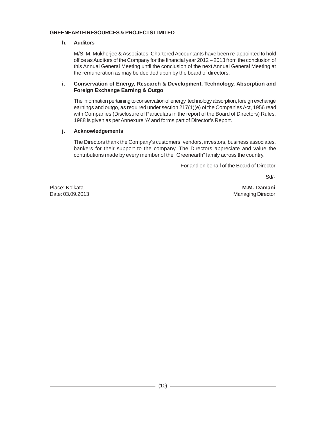#### **h. Auditors**

M/S. M. Mukherjee & Associates, Chartered Accountants have been re-appointed to hold office as Auditors of the Company for the financial year 2012 – 2013 from the conclusion of this Annual General Meeting until the conclusion of the next Annual General Meeting at the remuneration as may be decided upon by the board of directors.

#### **i. Conservation of Energy, Research & Development, Technology, Absorption and Foreign Exchange Earning & Outgo**

The information pertaining to conservation of energy, technology absorption, foreign exchange earnings and outgo, as required under section 217(1)(e) of the Companies Act, 1956 read with Companies (Disclosure of Particulars in the report of the Board of Directors) Rules, 1988 is given as per Annexure 'A' and forms part of Director's Report.

#### **j. Acknowledgements**

The Directors thank the Company's customers, vendors, investors, business associates, bankers for their support to the company. The Directors appreciate and value the contributions made by every member of the "Greenearth" family across the country.

For and on behalf of the Board of Director

Sd/-

Place: Kolkata **M.M. Damani** Date: 03.09.2013 Managing Director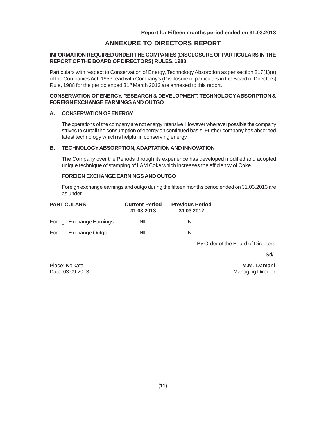# **ANNEXURE TO DIRECTORS REPORT**

#### **INFORMATION REQUIRED UNDER THE COMPANIES (DISCLOSURE OF PARTICULARS IN THE REPORT OF THE BOARD OF DIRECTORS) RULES, 1988**

Particulars with respect to Conservation of Energy, Technology Absorption as per section 217(1)(e) of the Companies Act, 1956 read with Company's (Disclosure of particulars in the Board of Directors) Rule, 1988 for the period ended 31<sup>st</sup> March 2013 are annexed to this report.

#### **CONSERVATION OF ENERGY, RESEARCH & DEVELOPMENT, TECHNOLOGY ABSORPTION & FOREIGN EXCHANGE EARNINGS AND OUTGO**

#### **A. CONSERVATION OF ENERGY**

The operations of the company are not energy intensive. However wherever possible the company strives to curtail the consumption of energy on continued basis. Further company has absorbed latest technology which is helpful in conserving energy.

#### **B. TECHNOLOGY ABSORPTION, ADAPTATION AND INNOVATION**

The Company over the Periods through its experience has developed modified and adopted unique technique of stamping of LAM Coke which increases the efficiency of Coke.

#### **FOREIGN EXCHANGE EARNINGS AND OUTGO**

Foreign exchange earnings and outgo during the fifteen months period ended on 31.03.2013 are as under.

| <b>PARTICULARS</b>        | <b>Current Period</b><br>31.03.2013 | <b>Previous Period</b><br>31.03.2012 |
|---------------------------|-------------------------------------|--------------------------------------|
| Foreign Exchange Earnings | NIL                                 | NIL                                  |
| Foreign Exchange Outgo    | NIL                                 | NIL                                  |

By Order of the Board of Directors

Sd/-

Place: Kolkata **M.M. Damani** Date: 03.09.2013 Managing Director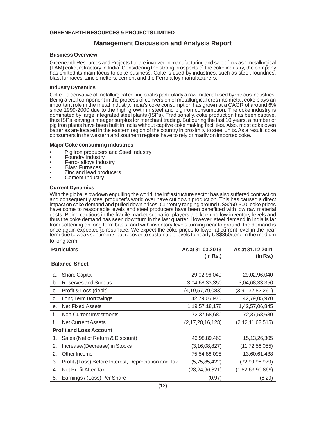# **Management Discussion and Analysis Report**

#### **Business Overview**

Greenearth Resources and Projects Ltd are involved in manufacturing and sale of low ash metallurgical (LAM) coke, refractory in India. Considering the strong prospects of the coke industry, the company has shifted its main focus to coke business. Coke is used by industries, such as steel, foundries, blast furnaces, zinc smelters, cement and the Ferro alloy manufacturers.

#### **Industry Dynamics**

Coke – a derivative of metallurgical coking coal is particularly a raw material used by various industries. Being a vital component in the process of conversion of metallurgical ores into metal, coke plays an important role in the metal industry. India's coke consumption has grown at a CAGR of around 6% since 1999-2000 due to the high growth in steel and pig iron consumption. The coke industry is dominated by large integrated steel plants (ISPs). Traditionally, coke production has been captive, thus ISPs leaving a meager surplus for merchant trading. But during the last 10 years, a number of pig iron plants have been built in India without captive coke making facilities. Also, most coke oven batteries are located in the eastern region of the country in proximity to steel units. As a result, coke consumers in the western and southern regions have to rely primarily on imported coke.

#### **Major Coke consuming industries**

- Pig iron producers and Steel Industry
- Foundry industry
- Ferro- alloys industry
- **Blast Furnaces**
- Zinc and lead producers
- Cement Industry

#### **Current Dynamics**

With the global slowdown engulfing the world, the infrastructure sector has also suffered contraction and consequently steel producer's world over have cut down production. This has caused a direct impact on coke demand and pulled down prices. Currently ranging around US\$250-300, coke prices have come to reasonable levels and steel producers have been benefitted with low raw material costs. Being cautious in the fragile market scenario, players are keeping low inventory levels and thus the coke demand has seen downturn in the last quarter. However, steel demand in India is far from softening on long term basis, and with inventory levels turning near to ground, the demand is once again expected to resurface. We expect the coke prices to lower at current level in the near term due to weak sentiments but recover to sustainable levels to nearly US\$350/tone in the medium to long term.

|                  | <b>Particulars</b>                                   | As at 31.03.2013<br>$($ ln Rs. $)$ | As at 31.12.2011<br>(ln Rs.) |
|------------------|------------------------------------------------------|------------------------------------|------------------------------|
|                  | <b>Balance Sheet</b>                                 |                                    |                              |
| a.               | <b>Share Capital</b>                                 | 29,02,96,040                       | 29,02,96,040                 |
| b.               | Reserves and Surplus                                 | 3,04,68,33,350                     | 3,04,68,33,350               |
| c.               | Profit & Loss (debit)                                | (4, 19, 57, 79, 083)               | (3,91,32,82,261)             |
| d.               | Long Term Borrowings                                 | 42,79,05,970                       | 42,79,05,970                 |
| е.               | Net Fixed Assets                                     | 1,19,57,18,178                     | 1,42,57,06,845               |
| f.               | Non-Current Investments                              | 72,37,58,680                       | 72,37,58,680                 |
| f.               | <b>Net Current Assets</b>                            | (2, 17, 28, 16, 128)               | (2, 12, 11, 62, 515)         |
|                  | <b>Profit and Loss Account</b>                       |                                    |                              |
| 1.               | Sales (Net of Return & Discount)                     | 46,98,89,460                       | 15, 13, 26, 305              |
| 2.               | Increase/(Decrease) in Stocks                        | (3, 16, 08, 827)                   | (11, 72, 56, 055)            |
| $\overline{2}$ . | Other Income                                         | 75,54,88,098                       | 13,60,61,438                 |
| 3.               | Profit /(Loss) Before Interest, Depreciation and Tax | (5,75,85,422)                      | (72,99,96,979)               |
| 4.               | Net Profit After Tax                                 | (28, 24, 96, 821)                  | (1,82,63,90,869)             |
| 5.               | Earnings / (Loss) Per Share                          | (0.97)                             | (6.29)                       |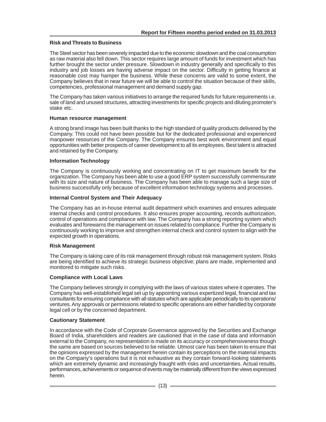#### **Risk and Threats to Business**

The Steel sector has been severely impacted due to the economic slowdown and the coal consumption as raw material also fell down. This sector requires large amount of funds for investment which has further brought the sector under pressure. Slowdown in industry generally and specifically to this industry and job losses are having adverse impact on the sector. Difficulty in getting finance at reasonable cost may hamper the business. While these concerns are valid to some extent, the Company believes that in near future we will be able to control the situation because of their skills, competencies, professional management and demand supply gap.

The Company has taken various initiatives to arrange the required funds for future requirements i.e. sale of land and unused structures, attracting investments for specific projects and diluting promoter's stake etc.

#### **Human resource management**

A strong brand image has been built thanks to the high standard of quality products delivered by the Company. This could not have been possible but for the dedicated professional and experienced manpower resources of the Company. The Company ensures best work environment and equal opportunities with better prospects of career development to all its employees. Best talent is attracted and retained by the Company.

#### **Information Technology**

The Company is continuously working and concentrating on IT to get maximum benefit for the organization. The Company has been able to use a good ERP system successfully commensurate with its size and nature of business. The Company has been able to manage such a large size of business successfully only because of excellent information technology systems and processes.

#### **Internal Control System and Their Adequacy**

The Company has an in-house internal audit department which examines and ensures adequate internal checks and control procedures. It also ensures proper accounting, records authorization, control of operations and compliance with law. The Company has a strong reporting system which evaluates and forewarns the management on issues related to compliance. Further the Company is continuously working to improve and strengthen internal check and control system to align with the expected growth in operations.

#### **Risk Management**

The Company is taking care of its risk management through robust risk management system. Risks are being identified to achieve its strategic business objective; plans are made, implemented and monitored to mitigate such risks.

#### **Compliance with Local Laws**

The Company believes strongly in complying with the laws of various states where it operates. The Company has well-established legal set up by appointing various expertized legal, financial and tax consultants for ensuring compliance with all statutes which are applicable periodically to its operations/ ventures. Any approvals or permissions related to specific operations are either handled by corporate legal cell or by the concerned department.

#### **Cautionary Statement**

In accordance with the Code of Corporate Governance approved by the Securities and Exchange Board of India, shareholders and readers are cautioned that in the case of data and information external to the Company, no representation is made on its accuracy or comprehensiveness though the same are based on sources believed to be reliable. Utmost care has been taken to ensure that the opinions expressed by the management herein contain its perceptions on the material impacts on the Company's operations but it is not exhaustive as they contain forward-looking statements which are extremely dynamic and increasingly fraught with risks and uncertainties. Actual results, performances, achievements or sequence of events may be materially different from the views expressed herein.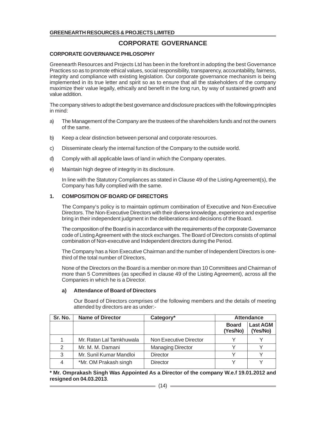# **CORPORATE GOVERNANCE**

#### **CORPORATE GOVERNANCE PHILOSOPHY**

Greenearth Resources and Projects Ltd has been in the forefront in adopting the best Governance Practices so as to promote ethical values, social responsibility, transparency, accountability, fairness, integrity and compliance with existing legislation. Our corporate governance mechanism is being implemented in its true letter and spirit so as to ensure that all the stakeholders of the company maximize their value legally, ethically and benefit in the long run, by way of sustained growth and value addition.

The company strives to adopt the best governance and disclosure practices with the following principles in mind:

- a) The Management of the Company are the trustees of the shareholders funds and not the owners of the same.
- b) Keep a clear distinction between personal and corporate resources.
- c) Disseminate clearly the internal function of the Company to the outside world.
- d) Comply with all applicable laws of land in which the Company operates.
- e) Maintain high degree of integrity in its disclosure.

In line with the Statutory Compliances as stated in Clause 49 of the Listing Agreement(s), the Company has fully complied with the same.

#### **1. COMPOSITION OF BOARD OF DIRECTORS**

The Company's policy is to maintain optimum combination of Executive and Non-Executive Directors. The Non-Executive Directors with their diverse knowledge, experience and expertise bring in their independent judgment in the deliberations and decisions of the Board.

The composition of the Board is in accordance with the requirements of the corporate Governance code of Listing Agreement with the stock exchanges. The Board of Directors consists of optimal combination of Non-executive and Independent directors during the Period.

The Company has a Non Executive Chairman and the number of Independent Directors is onethird of the total number of Directors,

None of the Directors on the Board is a member on more than 10 Committees and Chairman of more than 5 Committees (as specified in clause 49 of the Listing Agreement), across all the Companies in which he is a Director.

#### **a) Attendance of Board of Directors**

Our Board of Directors comprises of the following members and the details of meeting attended by directors are as under:-

| Sr. No. | <b>Name of Director</b>  | Category*                | <b>Attendance</b>        |                             |
|---------|--------------------------|--------------------------|--------------------------|-----------------------------|
|         |                          |                          | <b>Board</b><br>(Yes/No) | <b>Last AGM</b><br>(Yes/No) |
|         | Mr. Ratan Lal Tamkhuwala | Non Executive Director   |                          |                             |
| 2       | Mr. M. M. Damani         | <b>Managing Director</b> |                          |                             |
| 3       | Mr. Sunil Kumar Mandloi  | Director                 |                          |                             |
|         | *Mr. OM Prakash singh    | <b>Director</b>          | v                        |                             |

**\* Mr. Omprakash Singh Was Appointed As a Director of the company W.e.f 19.01.2012 and resigned on 04.03.2013**.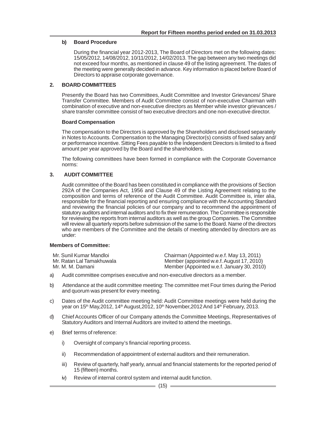#### **b) Board Procedure**

During the financial year 2012-2013, The Board of Directors met on the following dates: 15/05/2012, 14/08/2012, 10/11/2012, 14/02/2013. The gap between any two meetings did not exceed four months, as mentioned in clause 49 of the listing agreement. The dates of the meeting were generally decided in advance. Key information is placed before Board of Directors to appraise corporate governance.

#### **2. BOARD COMMITTEES**

Presently the Board has two Committees, Audit Committee and Investor Grievances/ Share Transfer Committee. Members of Audit Committee consist of non-executive Chairman with combination of executive and non-executive directors as Member while investor grievances / share transfer committee consist of two executive directors and one non-executive director.

#### **Board Compensation**

The compensation to the Directors is approved by the Shareholders and disclosed separately in Notes to Accounts. Compensation to the Managing Director(s) consists of fixed salary and/ or performance incentive. Sitting Fees payable to the Independent Directors is limited to a fixed amount per year approved by the Board and the shareholders.

The following committees have been formed in compliance with the Corporate Governance norms:

#### **3. AUDIT COMMITTEE**

Audit committee of the Board has been constituted in compliance with the provisions of Section 292A of the Companies Act, 1956 and Clause 49 of the Listing Agreement relating to the composition and terms of reference of the Audit Committee. Audit Committee is, inter alia, responsible for the financial reporting and ensuring compliance with the Accounting Standard and reviewing the financial policies of our company and to recommend the appointment of statutory auditors and internal auditors and to fix their remuneration. The Committee is responsible for reviewing the reports from internal auditors as well as the group Companies. The Committee will review all quarterly reports before submission of the same to the Board. Name of the directors who are members of the Committee and the details of meeting attended by directors are as under:

#### **Members of Committee:**

| Mr. Sunil Kumar Mandloi   | Chairman (Appointed w.e.f. May 13, 2011)   |
|---------------------------|--------------------------------------------|
| Mr. Ratan Lal Tamakhuwala | Member (appointed w.e.f. August 17, 2010)  |
| Mr. M. M. Damani          | Member (Appointed w.e.f. January 30, 2010) |

- a) Audit committee comprises executive and non-executive directors as a member.
- b) Attendance at the audit committee meeting: The committee met Four times during the Period and quorum was present for every meeting.
- c) Dates of the Audit committee meeting held: Audit Committee meetings were held during the year on 15<sup>th</sup> May, 2012, 14<sup>th</sup> August, 2012, 10<sup>th</sup> November, 2012 And 14<sup>th</sup> February, 2013.
- d) Chief Accounts Officer of our Company attends the Committee Meetings, Representatives of Statutory Auditors and Internal Auditors are invited to attend the meetings.
- e) Brief terms of reference:
	- i) Oversight of company's financial reporting process.
	- ii) Recommendation of appointment of external auditors and their remuneration.
	- iii) Review of quarterly, half yearly, annual and financial statements for the reported period of 15 (fifteen) months.
	- iv) Review of internal control system and internal audit function.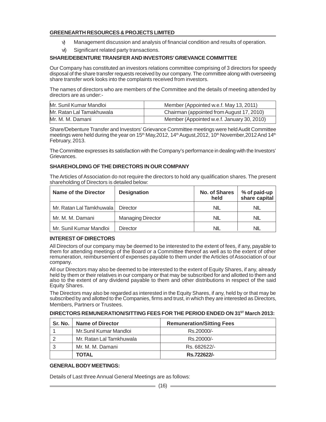- v) Management discussion and analysis of financial condition and results of operation.
- vi) Significant related party transactions.

#### **SHARE/DEBENTURE TRANSFER AND INVESTORS' GRIEVANCE COMMITTEE**

Our Company has constituted an investors relations committee comprising of 3 directors for speedy disposal of the share transfer requests received by our company. The committee along with overseeing share transfer work looks into the complaints received from investors.

The names of directors who are members of the Committee and the details of meeting attended by directors are as under:-

| Mr. Sunil Kumar Mandloi   | Member (Appointed w.e.f. May 13, 2011)     |
|---------------------------|--------------------------------------------|
| Mr. Ratan Lal Tamakhuwala | Chairman (appointed from August 17, 2010)  |
| Mr. M. M. Damani          | Member (Appointed w.e.f. January 30, 2010) |

Share/Debenture Transfer and Investors' Grievance Committee meetings were held Audit Committee meetings were held during the year on 15<sup>th</sup> May, 2012, 14<sup>th</sup> August, 2012, 10<sup>th</sup> November, 2012 And 14<sup>th</sup> February, 2013.

The Committee expresses its satisfaction with the Company's performance in dealing with the Investors' Grievances.

#### **SHAREHOLDING OF THE DIRECTORS IN OUR COMPANY**

The Articles of Association do not require the directors to hold any qualification shares. The present shareholding of Directors is detailed below:

| Name of the Director     | <b>Designation</b>       | No. of Shares<br>held | % of paid-up<br>share capital |
|--------------------------|--------------------------|-----------------------|-------------------------------|
| Mr. Ratan Lal Tamkhuwala | Director                 | <b>NIL</b>            | <b>NIL</b>                    |
| Mr. M. M. Damani         | <b>Managing Director</b> | <b>NIL</b>            | <b>NIL</b>                    |
| Mr. Sunil Kumar Mandloi  | <b>Director</b>          | <b>NIL</b>            | <b>NIL</b>                    |

#### **INTEREST OF DIRECTORS**

All Directors of our company may be deemed to be interested to the extent of fees, if any, payable to them for attending meetings of the Board or a Committee thereof as well as to the extent of other remuneration, reimbursement of expenses payable to them under the Articles of Association of our company.

All our Directors may also be deemed to be interested to the extent of Equity Shares, if any, already held by them or their relatives in our company or that may be subscribed for and allotted to them and also to the extent of any dividend payable to them and other distributions in respect of the said Equity Shares.

The Directors may also be regarded as interested in the Equity Shares, if any, held by or that may be subscribed by and allotted to the Companies, firms and trust, in which they are interested as Directors, Members, Partners or Trustees.

| DIRECTORS REMUNERATION/SITTING FEES FOR THE PERIOD ENDED ON 31 <sup>st</sup> March 2013: |
|------------------------------------------------------------------------------------------|
|------------------------------------------------------------------------------------------|

| Sr. No. | <b>Name of Director</b>  | <b>Remuneration/Sitting Fees</b> |
|---------|--------------------------|----------------------------------|
|         | Mr.Sunil Kumar Mandloi   | Rs.20000/-                       |
|         | Mr. Ratan Lal Tamkhuwala | Rs.20000/-                       |
|         | Mr. M. M. Damani         | Rs. 682622/-                     |
|         | <b>TOTAL</b>             | Rs.722622/-                      |

#### **GENERAL BODY MEETINGS:**

Details of Last three Annual General Meetings are as follows: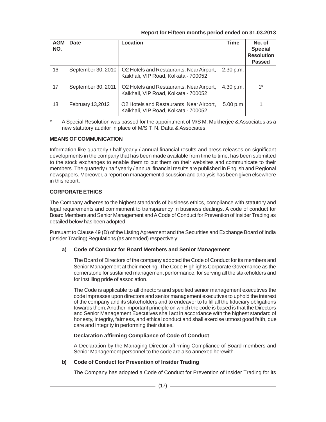# **Report for Fifteen months period ended on 31.03.2013**

| <b>AGM</b><br>NO. | Date               | Location                                                                         | <b>Time</b> | No. of<br><b>Special</b><br><b>Resolution</b><br><b>Passed</b> |
|-------------------|--------------------|----------------------------------------------------------------------------------|-------------|----------------------------------------------------------------|
| 16                | September 30, 2010 | O2 Hotels and Restaurants, Near Airport,<br>Kaikhali, VIP Road, Kolkata - 700052 | 2.30 p.m.   |                                                                |
| 17                | September 30, 2011 | O2 Hotels and Restaurants, Near Airport,<br>Kaikhali, VIP Road, Kolkata - 700052 | 4.30 p.m.   | $1^*$                                                          |
| 18                | February 13,2012   | O2 Hotels and Restaurants, Near Airport,<br>Kaikhali, VIP Road, Kolkata - 700052 | 5.00 p.m    |                                                                |

A Special Resolution was passed for the appointment of M/S M. Mukherjee & Associates as a new statutory auditor in place of M/S T. N. Datta & Associates.

### **MEANS OF COMMUNICATION**

Information like quarterly / half yearly / annual financial results and press releases on significant developments in the company that has been made available from time to time, has been submitted to the stock exchanges to enable them to put them on their websites and communicate to their members. The quarterly / half yearly / annual financial results are published in English and Regional newspapers. Moreover, a report on management discussion and analysis has been given elsewhere in this report.

### **CORPORATE ETHICS**

The Company adheres to the highest standards of business ethics, compliance with statutory and legal requirements and commitment to transparency in business dealings. A code of conduct for Board Members and Senior Management and A Code of Conduct for Prevention of Insider Trading as detailed below has been adopted.

Pursuant to Clause 49 (D) of the Listing Agreement and the Securities and Exchange Board of India (Insider Trading) Regulations (as amended) respectively:

#### **a) Code of Conduct for Board Members and Senior Management**

The Board of Directors of the company adopted the Code of Conduct for its members and Senior Management at their meeting. The Code Highlights Corporate Governance as the cornerstone for sustained management performance, for serving all the stakeholders and for instilling pride of association.

The Code is applicable to all directors and specified senior management executives the code impresses upon directors and senior management executives to uphold the interest of the company and its stakeholders and to endeavor to fulfill all the fiduciary obligations towards them. Another important principle on which the code is based is that the Directors and Senior Management Executives shall act in accordance with the highest standard of honesty, integrity, fairness, and ethical conduct and shall exercise utmost good faith, due care and integrity in performing their duties.

#### **Declaration affirming Compliance of Code of Conduct**

A Declaration by the Managing Director affirming Compliance of Board members and Senior Management personnel to the code are also annexed herewith.

# **b) Code of Conduct for Prevention of Insider Trading**

The Company has adopted a Code of Conduct for Prevention of Insider Trading for its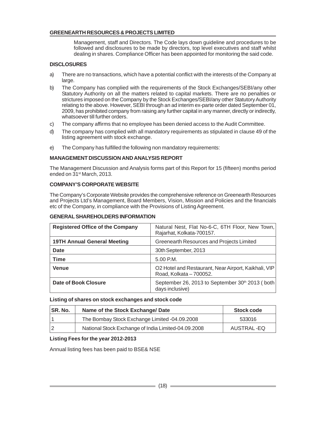Management, staff and Directors. The Code lays down guideline and procedures to be followed and disclosures to be made by directors, top level executives and staff whilst dealing in shares. Compliance Officer has been appointed for monitoring the said code.

#### **DISCLOSURES**

- a) There are no transactions, which have a potential conflict with the interests of the Company at large.
- b) The Company has complied with the requirements of the Stock Exchanges/SEBI/any other Statutory Authority on all the matters related to capital markets. There are no penalties or strictures imposed on the Company by the Stock Exchanges/SEBI/any other Statutory Authority relating to the above. However, SEBI through an ad interim ex-parte order dated September 01, 2009, has prohibited company from raising any further capital in any manner, directly or indirectly, whatsoever till further orders.
- c) The company affirms that no employee has been denied access to the Audit Committee.
- d) The company has complied with all mandatory requirements as stipulated in clause 49 of the listing agreement with stock exchange.
- e) The Company has fulfilled the following non mandatory requirements:

### **MANAGEMENT DISCUSSION AND ANALYSIS REPORT**

The Management Discussion and Analysis forms part of this Report for 15 (fifteen) months period ended on 31st March, 2013.

#### **COMPANY'S CORPORATE WEBSITE**

The Company's Corporate Website provides the comprehensive reference on Greenearth Resources and Projects Ltd's Management, Board Members, Vision, Mission and Policies and the financials etc of the Company, in compliance with the Provisions of Listing Agreement.

#### **GENERAL SHAREHOLDERS INFORMATION**

| <b>Registered Office of the Company</b> | Natural Nest, Flat No-6-C, 6TH Floor, New Town,<br>Rajarhat, Kolkata-700157.    |
|-----------------------------------------|---------------------------------------------------------------------------------|
| <b>19TH Annual General Meeting</b>      | Greenearth Resources and Projects Limited                                       |
| Date                                    | 30th September, 2013                                                            |
| Time                                    | 5.00 P.M.                                                                       |
| <b>Venue</b>                            | O2 Hotel and Restaurant, Near Airport, Kaikhali, VIP<br>Road, Kolkata - 700052. |
| Date of Book Closure                    | September 26, 2013 to September 30th 2013 (both<br>days inclusive)              |

#### **Listing of shares on stock exchanges and stock code**

| <b>SR. No.</b> | Name of the Stock Exchange/ Date                    | Stock code |
|----------------|-----------------------------------------------------|------------|
|                | The Bombay Stock Exchange Limited -04.09.2008       | 533016     |
|                | National Stock Exchange of India Limited-04.09.2008 | AUSTRAL-EQ |

#### **Listing Fees for the year 2012-2013**

Annual listing fees has been paid to BSE& NSE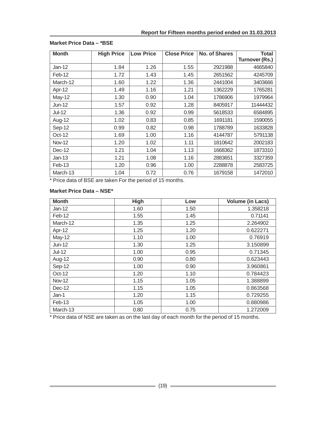| <b>Month</b>  | <b>High Price</b> | <b>Low Price</b> | <b>Close Price</b> | <b>No. of Shares</b> | <b>Total</b><br>Turnover (Rs.) |
|---------------|-------------------|------------------|--------------------|----------------------|--------------------------------|
| $Jan-12$      | 1.84              | 1.26             | 1.55               | 2921988              | 4665840                        |
| Feb-12        | 1.72              | 1.43             | 1.45               | 2651562              | 4245709                        |
| March-12      | 1.60              | 1.22             | 1.36               | 2441004              | 3403666                        |
| Apr-12        | 1.49              | 1.16             | 1.21               | 1362229              | 1765281                        |
| May-12        | 1.30              | 0.90             | 1.04               | 1786906              | 1979964                        |
| Jun-12        | 1.57              | 0.92             | 1.28               | 8405917              | 11444432                       |
| <b>Jul-12</b> | 1.36              | 0.92             | 0.99               | 5618533              | 6584895                        |
| Aug-12        | 1.02              | 0.83             | 0.85               | 1691181              | 1590055                        |
| Sep-12        | 0.99              | 0.82             | 0.98               | 1788789              | 1633828                        |
| $Oct-12$      | 1.69              | 1.00             | 1.16               | 4144787              | 5791138                        |
| <b>Nov-12</b> | 1.20              | 1.02             | 1.11               | 1810642              | 2002183                        |
| $Dec-12$      | 1.21              | 1.04             | 1.13               | 1668362              | 1873310                        |
| $Jan-13$      | 1.21              | 1.08             | 1.16               | 2883651              | 3327359                        |
| Feb-13        | 1.20              | 0.96             | 1.00               | 2288878              | 2583725                        |
| March-13      | 1.04              | 0.72             | 0.76               | 1679158              | 1472010                        |

#### **Market Price Data – \*BSE**

\* Price data of BSE are taken For the period of 15 months.

#### **Market Price Data – NSE\***

| <b>Month</b>  | <b>High</b> | Low  | <b>Volume (in Lacs)</b> |
|---------------|-------------|------|-------------------------|
| $Jan-12$      | 1.60        | 1.50 | 1.358218                |
| Feb-12        | 1.55        | 1.45 | 0.71141                 |
| March-12      | 1.35        | 1.25 | 2.264902                |
| Apr-12        | 1.25        | 1.20 | 0.622271                |
| May-12        | 1.10        | 1.00 | 0.76919                 |
| $Jun-12$      | 1.30        | 1.25 | 3.150899                |
| <b>Jul-12</b> | 1.00        | 0.95 | 0.71345                 |
| Aug-12        | 0.90        | 0.80 | 0.623443                |
| Sep-12        | 1.00        | 0.90 | 3.960861                |
| Oct-12        | 1.20        | 1.10 | 0.784423                |
| <b>Nov-12</b> | 1.15        | 1.05 | 1.388899                |
| $Dec-12$      | 1.15        | 1.05 | 0.863568                |
| Jan-1         | 1.20        | 1.15 | 0.729255                |
| Feb-13        | 1.05        | 1.00 | 0.880986                |
| March-13      | 0.80        | 0.75 | 1.272009                |

\* Price data of NSE are taken as on the last day of each month for the period of 15 months.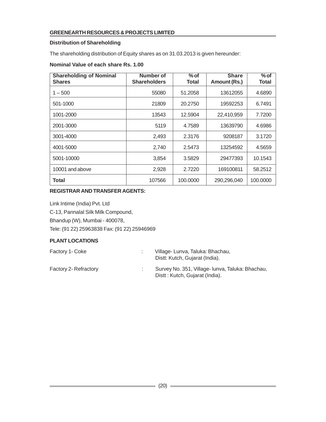# **Distribution of Shareholding**

The shareholding distribution of Equity shares as on 31.03.2013 is given hereunder:

# **Nominal Value of each share Rs. 1.00**

| <b>Shareholding of Nominal</b><br><b>Shares</b> | Number of<br><b>Shareholders</b> | $%$ of<br>Total | <b>Share</b><br>Amount (Rs.) | $%$ of<br>Total |
|-------------------------------------------------|----------------------------------|-----------------|------------------------------|-----------------|
| $1 - 500$                                       | 55080                            | 51.2058         | 13612055                     | 4.6890          |
| 501-1000                                        | 21809                            | 20.2750         | 19592253                     | 6.7491          |
| 1001-2000                                       | 13543                            | 12.5904         | 22,410,959                   | 7.7200          |
| 2001-3000                                       | 5119                             | 4.7589          | 13639790                     | 4.6986          |
| 3001-4000                                       | 2,493                            | 2.3176          | 9208187                      | 3.1720          |
| 4001-5000                                       | 2,740                            | 2.5473          | 13254592                     | 4.5659          |
| 5001-10000                                      | 3,854                            | 3.5829          | 29477393                     | 10.1543         |
| 10001 and above                                 | 2,928                            | 2.7220          | 169100811                    | 58.2512         |
| Total                                           | 107566                           | 100.0000        | 290,296,040                  | 100,0000        |

# **REGISTRAR AND TRANSFER AGENTS:**

Link Intime (India) Pvt. Ltd C-13, Pannalal Silk Milk Compound, Bhandup (W), Mumbai - 400078, Tele: (91 22) 25963838 Fax: (91 22) 25946969

# **PLANT LOCATIONS**

| Factory 1- Coke              | Village-Lunva, Taluka: Bhachau,<br>Distt: Kutch, Gujarat (India).                  |
|------------------------------|------------------------------------------------------------------------------------|
| <b>Factory 2- Refractory</b> | Survey No. 351, Village- lunva, Taluka: Bhachau,<br>Distt: Kutch, Gujarat (India). |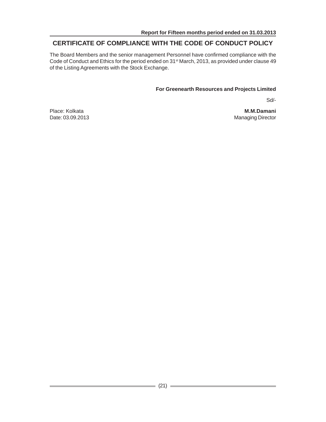# **CERTIFICATE OF COMPLIANCE WITH THE CODE OF CONDUCT POLICY**

The Board Members and the senior management Personnel have confirmed compliance with the Code of Conduct and Ethics for the period ended on 31<sup>st</sup> March, 2013, as provided under clause 49 of the Listing Agreements with the Stock Exchange.

**For Greenearth Resources and Projects Limited**

Sd/-

Place: Kolkata **M.M.Damani**<br>Date: 03.09.2013 **M.M.Damani**<br>Managing Director **Managing Director**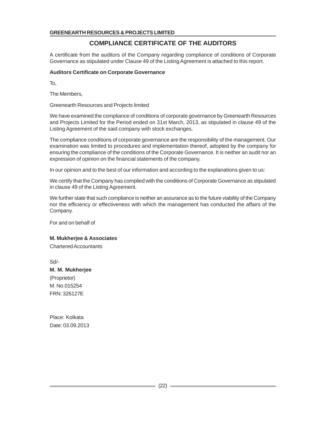# **COMPLIANCE CERTIFICATE OF THE AUDITORS**

A certificate from the auditors of the Company regarding compliance of conditions of Corporate Governance as stipulated under Clause 49 of the Listing Agreement is attached to this report.

#### **Auditors Certificate on Corporate Governance**

To,

The Members,

Greenearth Resources and Projects limited

We have examined the compliance of conditions of corporate governance by Greenearth Resources and Projects Limited for the Period ended on 31st March, 2013, as stipulated in clause 49 of the Listing Agreement of the said company with stock exchanges.

The compliance conditions of corporate governance are the responsibility of the management. Our examination was limited to procedures and implementation thereof, adopted by the company for ensuring the compliance of the conditions of the Corporate Governance. It is neither an audit nor an expression of opinion on the financial statements of the company.

In our opinion and to the best of our information and according to the explanations given to us:

We certify that the Company has complied with the conditions of Corporate Governance as stipulated in clause 49 of the Listing Agreement.

We further state that such compliance is neither an assurance as to the future viability of the Company nor the efficiency or effectiveness with which the management has conducted the affairs of the Company.

For and on behalf of

#### **M. Mukherjee & Associates**

Chartered Accountants

Sd/- **M. M. Mukherjee** (Proprietor) M. No.015254 FRN: 326127E

Place: Kolkata Date: 03.09.2013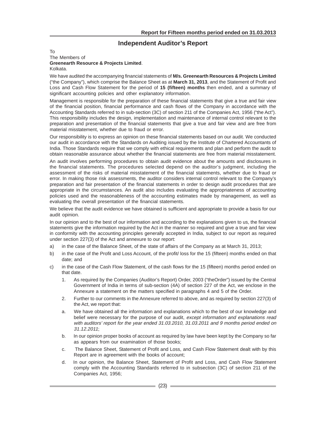# **Independent Auditor's Report**

To

#### The Members of **Greenearth Resource & Projects Limited**. Kolkata.

We have audited the accompanying financial statements of **M/s. Greenearth Resources & Projects Limited** ("the Company"), which comprise the Balance Sheet as at **March 31, 2013**, and the Statement of Profit and Loss and Cash Flow Statement for the period of **15 (fifteen) months** then ended, and a summary of significant accounting policies and other explanatory information.

Management is responsible for the preparation of these financial statements that give a true and fair view of the financial position, financial performance and cash flows of the Company in accordance with the Accounting Standards referred to in sub-section (3C) of section 211 of the Companies Act, 1956 ("the Act"). This responsibility includes the design, implementation and maintenance of internal control relevant to the preparation and presentation of the financial statements that give a true and fair view and are free from material misstatement, whether due to fraud or error.

Our responsibility is to express an opinion on these financial statements based on our audit. We conducted our audit in accordance with the Standards on Auditing issued by the Institute of Chartered Accountants of India. Those Standards require that we comply with ethical requirements and plan and perform the audit to obtain reasonable assurance about whether the financial statements are free from material misstatement.

An audit involves performing procedures to obtain audit evidence about the amounts and disclosures in the financial statements. The procedures selected depend on the auditor's judgment, including the assessment of the risks of material misstatement of the financial statements, whether due to fraud or error. In making those risk assessments, the auditor considers internal control relevant to the Company's preparation and fair presentation of the financial statements in order to design audit procedures that are appropriate in the circumstances. An audit also includes evaluating the appropriateness of accounting policies used and the reasonableness of the accounting estimates made by management, as well as evaluating the overall presentation of the financial statements.

We believe that the audit evidence we have obtained is sufficient and appropriate to provide a basis for our audit opinion.

In our opinion and to the best of our information and according to the explanations given to us, the financial statements give the information required by the Act in the manner so required and give a true and fair view in conformity with the accounting principles generally accepted in India, subject to our report as required under section 227(3) of the Act and annexure to our report:

- a) in the case of the Balance Sheet, of the state of affairs of the Company as at March 31, 2013;
- b) in the case of the Profit and Loss Account, of the profit/ loss for the 15 (fifteen) months ended on that date; and
- c) in the case of the Cash Flow Statement, of the cash flows for the 15 (fifteen) months period ended on that date.
	- 1. As required by the Companies (Auditor's Report) Order, 2003 ("theOrder") issued by the Central Government of India in terms of sub-section (4A) of section 227 of the Act, we enclose in the Annexure a statement on the matters specified in paragraphs 4 and 5 of the Order.
	- 2. Further to our comments in the Annexure referred to above, and as required by section 227(3) of the Act, we report that:
	- a. We have obtained all the information and explanations which to the best of our knowledge and belief were necessary for the purpose of our audit, except information and explanations read with auditors' report for the year ended 31.03.2010, 31.03.2011 and 9 months period ended on 31.12.2011;
	- b. In our opinion proper books of account as required by law have been kept by the Company so far as appears from our examination of those books;
	- c. The Balance Sheet, Statement of Profit and Loss, and Cash Flow Statement dealt with by this Report are in agreement with the books of account;
	- d. In our opinion, the Balance Sheet, Statement of Profit and Loss, and Cash Flow Statement comply with the Accounting Standards referred to in subsection (3C) of section 211 of the Companies Act, 1956;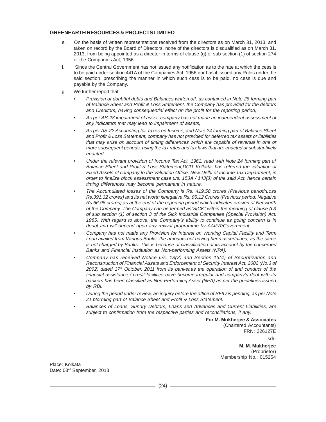- e. On the basis of written representations received from the directors as on March 31, 2013, and taken on record by the Board of Directors, none of the directors is disqualified as on March 31, 2013, from being appointed as a director in terms of clause (g) of sub-section (1) of section 274 of the Companies Act, 1956.
- f. Since the Central Government has not issued any notification as to the rate at which the cess is to be paid under section 441A of the Companies Act, 1956 nor has it issued any Rules under the said section, prescribing the manner in which such cess is to be paid, no cess is due and payable by the Company.
- g. We further report that:
	- Provision of doubtful debts and Balances written off, as contained in Note 28 forming part of Balance Sheet and Profit & Loss Statement, the Company has provided for the debtors and Creditors, having consequential effect on the profit for the reporting period,
	- As per AS-28 impairment of asset, company has not made an independent assessment of any indicators that may lead to impairment of assets,
	- As per AS-22 Accounting for Taxes on Income, and Note 24 forming part of Balance Sheet and Profit & Loss Statement, company has not provided for deferred tax assets or liabilities that may arise on account of timing differences which are capable of reversal in one or more subsequent periods, using the tax rates and tax laws that are enacted or substantively enacted.
	- Under the relevant provision of Income Tax Act, 1961, read with Note 24 forming part of Balance Sheet and Profit & Loss Statement,DCIT Kolkata, has referred the valuation of Fixed Assets of company to the Valuation Office, New Delhi of Income Tax Department, in order to finalize block assessment case u/s. 153A / 143(3) of the said Act, hence certain timing differences may become permanent in nature.
	- The Accumulated losses of the Company is Rs. 419.58 crores (Previous period:Loss Rs.391.32 crores) and its net worth isnegative Rs. 95.12 Crores (Previous period: Negative Rs.66.96 crores) as at the end of the reporting period which indicates erosion of Net worth of the Company. The Company can be termed as"SICK" within the meaning of clause (O) of sub section (1) of section 3 of the Sick Industrial Companies (Special Provision) Act, 1985. With regard to above, the Company's ability to continue as going concern is in doubt and will depend upon any revival programme by AAIFR/Government.
	- Company has not made any Provision for Interest on Working Capital Facility and Term Loan availed from Various Banks, the amounts not having been ascertained, as the same is not charged by Banks. This is because of classification of its account by the concerned Banks and Financial Institution as Non-performing Assets (NPA).
	- Company has received Notice u/s. 13(2) and Section 13(4) of Securitization and Reconstruction of Financial Assets and Enforcement of Security Interest Act, 2002 (No.3 of 2002) dated 17<sup>th</sup> October, 2011 from its banker, as the operation of and conduct of the financial assistance / credit facilities have become irregular and company's debt with its bankers has been classified as Non-Performing Asset (NPA) as per the guidelines issued by RBI.
	- During the period under review, an inquiry before the office of SFIO is pending, as per Note 21.bforming part of Balance Sheet and Profit & Loss Statement.
	- Balances of Loans, Sundry Debtors, Loans and Advances and Current Liabilities, are subject to confirmation from the respective parties and reconciliations, if any.

**For M. Mukherjee & Associates** (Chartered Accountants) FRN: 326127E sd/- **M. M. Mukherjee**

(Proprietor) Membership No.: 015254

Place: Kolkata Date: 03rd September, 2013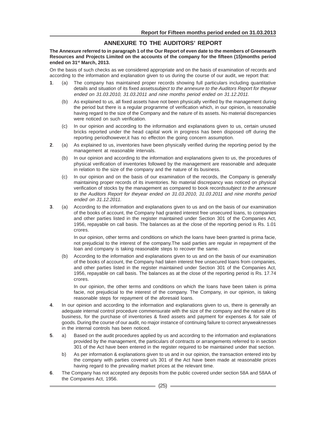# **ANNEXURE TO THE AUDITORS' REPORT**

**The Annexure referred to in paragraph 1 of the Our Report of even date to the members of Greenearth Resources and Projects Limited on the accounts of the company for the fifteen (15)months period ended on 31st March, 2013.**

On the basis of such checks as we considered appropriate and on the basis of examination of records and according to the information and explanation given to us during the course of our audit, we report that:

- **1**. (a) The company has maintained proper records showing full particulars including quantitative details and situation of its fixed assetssubject to the annexure to the Auditors Report for theyear ended on 31.03.2010, 31.03.2011 and nine months period ended on 31.12.2011.
	- (b) As explained to us, all fixed assets have not been physically verified by the management during the period but there is a regular programme of verification which, in our opinion, is reasonable having regard to the size of the Company and the nature of its assets. No material discrepancies were noticed on such verification.
	- (c) In our opinion and according to the information and explanations given to us, certain unused bricks reported under the head capital work in progress has been disposed off during the reporting periodhowever,it has no effecton the going concern assumption.
- **2**. (a) As explained to us, inventories have been physically verified during the reporting period by the management at reasonable intervals.
	- (b) In our opinion and according to the information and explanations given to us, the procedures of physical verification of inventories followed by the management are reasonable and adequate in relation to the size of the company and the nature of its business.
	- (c) In our opinion and on the basis of our examination of the records, the Company is generally maintaining proper records of its inventories. No material discrepancy was noticed on physical verification of stocks by the management as compared to book recordssubject to the annexure to the Auditors Report for theyear ended on 31.03.2010, 31.03.2011 and nine months period ended on 31.12.2011.
- **3**. (a) According to the information and explanations given to us and on the basis of our examination of the books of account, the Company had granted interest free unsecured loans, to companies and other parties listed in the register maintained under Section 301 of the Companies Act, 1956, repayable on call basis. The balances as at the close of the reporting period is Rs. 1.01 crores.

In our opinion, other terms and conditions on which the loans have been granted is prima facie, not prejudicial to the interest of the company.The said parties are regular in repayment of the loan and company is taking reasonable steps to recover the same.

(b) According to the information and explanations given to us and on the basis of our examination of the books of account, the Company had taken interest free unsecured loans from companies, and other parties listed in the register maintained under Section 301 of the Companies Act, 1956, repayable on call basis. The balances as at the close of the reporting period is Rs. 17.74 crores.

In our opinion, the other terms and conditions on which the loans have been taken is prima facie, not prejudicial to the interest of the company. The Company, in our opinion, is taking reasonable steps for repayment of the aforesaid loans.

- **4**. In our opinion and according to the information and explanations given to us, there is generally an adequate internal control procedure commensurate with the size of the company and the nature of its business, for the purchase of inventories & fixed assets and payment for expenses & for sale of goods. During the course of our audit, no major instance of continuing failure to correct anyweaknesses in the internal controls has been noticed.
- **5**. a) Based on the audit procedures applied by us and according to the information and explanations provided by the management, the particulars of contracts or arrangements referred to in section 301 of the Act have been entered in the register required to be maintained under that section.
	- b) As per information & explanations given to us and in our opinion, the transaction entered into by the company with parties covered u/s 301 of the Act have been made at reasonable prices having regard to the prevailing market prices at the relevant time.
- **6**. The Company has not accepted any deposits from the public covered under section 58A and 58AA of the Companies Act, 1956.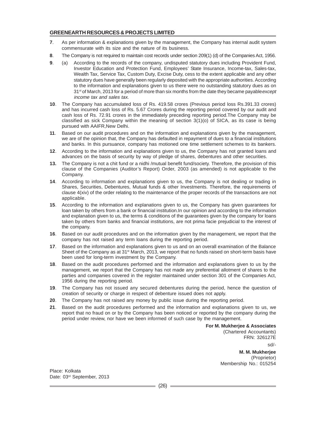- **7**. As per information & explanations given by the management, the Company has internal audit system commensurate with its size and the nature of its business.
- **8**. The Company is not required to maintain cost records under section 209(1) (d) of the Companies Act, 1956.
- **9**. (a) According to the records of the company, undisputed statutory dues including Provident Fund, Investor Education and Protection Fund, Employees' State Insurance, Income-tax, Sales-tax, Wealth Tax, Service Tax, Custom Duty, Excise Duty, cess to the extent applicable and any other statutory dues have generally been regularly deposited with the appropriate authorities. According to the information and explanations given to us there were no outstanding statutory dues as on 31<sup>st</sup> of March, 2013 for a period of more than six months from the date they became payable except income tax and sales tax.
- **10**. The Company has accumulated loss of Rs. 419.58 crores (Previous period loss Rs.391.33 crores) and has incurred cash loss of Rs. 5.67 Crores during the reporting period covered by our audit and cash loss of Rs. 72.91 crores in the immediately preceding reporting period.The Company may be classified as sick Company within the meaning of section  $3(1)(0)$  of SICA, as its case is being pursued with AAIFR,New Delhi.
- **11**. Based on our audit procedures and on the information and explanations given by the management, we are of the opinion that, the Company has defaulted in repayment of dues to a financial institutions and banks. In this pursuance, company has motioned one time settlement schemes to its bankers.
- **12**. According to the information and explanations given to us, the Company has not granted loans and advances on the basis of security by way of pledge of shares, debentures and other securities.
- **13.** The Company is not a chit fund or a nidhi /mutual benefit fund/society. Therefore, the provision of this clause of the Companies (Auditor's Report) Order, 2003 (as amended) is not applicable to the Company.
- **14**. According to information and explanations given to us, the Company is not dealing or trading in Shares, Securities, Debentures, Mutual funds & other Investments. Therefore, the requirements of clause 4(xiv) of the order relating to the maintenance of the proper records of the transactions are not applicable.
- **15**. According to the information and explanations given to us, the Company has given guarantees for loan taken by others from a bank or financial institution.In our opinion and according to the information and explanation given to us, the terms & conditions of the guarantees given by the company for loans taken by others from banks and financial institutions, are not prima facie prejudicial to the interest of the company.
- **16**. Based on our audit procedures and on the information given by the management, we report that the company has not raised any term loans during the reporting period.
- **17**. Based on the information and explanations given to us and on an overall examination of the Balance Sheet of the Company as at  $31<sup>st</sup>$  March, 2013, we report that no funds raised on short-term basis have been used for long-term investment by the Company.
- **18**. Based on the audit procedures performed and the information and explanations given to us by the management, we report that the Company has not made any preferential allotment of shares to the parties and companies covered in the register maintained under section 301 of the Companies Act, 1956 during the reporting period.
- **19**. The Company has not issued any secured debentures during the period, hence the question of creation of security or charge in respect of debenture issued does not apply.
- **20**. The Company has not raised any money by public issue during the reporting period.
- **21**. Based on the audit procedures performed and the information and explanations given to us, we report that no fraud on or by the Company has been noticed or reported by the company during the period under review, nor have we been informed of such case by the management.

**For M. Mukherjee & Associates** (Chartered Accountants) FRN: 326127E sd/-

**M. M. Mukherjee** (Proprietor) Membership No.: 015254

Place: Kolkata Date: 03rd September, 2013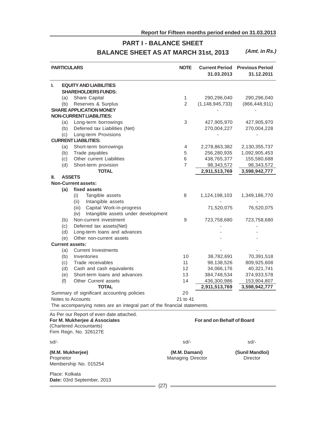#### **(Amt. in Rs.) PART I - BALANCE SHEET BALANCE SHEET AS AT MARCH 31st, 2013**

|                  |                | <b>PARTICULARS</b>                                                       | <b>NOTE</b>       | 31.03.2013                 | <b>Current Period Previous Period</b><br>31.12.2011 |
|------------------|----------------|--------------------------------------------------------------------------|-------------------|----------------------------|-----------------------------------------------------|
| L.               |                | <b>EQUITY AND LIABILITIES</b>                                            |                   |                            |                                                     |
|                  |                | <b>SHAREHOLDERS FUNDS:</b>                                               |                   |                            |                                                     |
|                  | (a)            | Share Capital                                                            | 1                 | 290,296,040                | 290,296,040                                         |
|                  | (b)            | Reserves & Surplus                                                       | $\overline{2}$    | (1, 148, 945, 733)         | (866, 448, 911)                                     |
|                  |                | <b>SHARE APPLICATION MONEY</b>                                           |                   |                            |                                                     |
|                  |                | <b>NON-CURRENT LIABILITIES:</b>                                          |                   |                            |                                                     |
|                  | (a)            | Long-term borrowings                                                     | 3                 | 427,905,970                | 427,905,970                                         |
|                  | (b)            | Deferred tax Liabilities (Net)                                           |                   | 270,004,227                | 270,004,228                                         |
|                  | (c)            | Long-term Provisions                                                     |                   |                            |                                                     |
|                  |                | <b>CURRENT LIABILITIES:</b>                                              |                   |                            |                                                     |
|                  | (a)            | Short-term borrowings                                                    | 4                 | 2,278,863,382              | 2,130,355,737                                       |
|                  | (b)            | Trade payables                                                           | 5                 | 256,280,935                | 1,092,905,453                                       |
|                  | (c)            | Other current Liabilities                                                | 6                 | 438,765,377                | 155,580,688                                         |
|                  | (d)            | Short-term provision                                                     | 7                 | 98,343,572                 | 98,343,572                                          |
|                  |                | <b>TOTAL</b>                                                             |                   | 2,911,513,769              | 3,598,942,777                                       |
| II.              | <b>ASSETS</b>  |                                                                          |                   |                            |                                                     |
|                  |                | <b>Non-Current assets:</b>                                               |                   |                            |                                                     |
|                  | (a)            | fixed assets                                                             |                   |                            |                                                     |
|                  |                | (i)<br>Tangible assets                                                   | 8                 | 1,124,198,103              | 1,349,186,770                                       |
|                  |                | Intangible assets<br>(ii)                                                |                   |                            |                                                     |
|                  |                | Capital Work-in-progress<br>(iii)                                        |                   | 71,520,075                 | 76,520,075                                          |
|                  |                | Intangible assets under development<br>(iv)                              |                   |                            |                                                     |
|                  | (b)            | Non-current investment                                                   | 9                 | 723,758,680                | 723,758,680                                         |
|                  | (c)            | Deferred tax assets(Net)                                                 |                   |                            |                                                     |
|                  | (d)            | Long-term loans and advances                                             |                   |                            |                                                     |
|                  | (e)            | Other non-current assets<br><b>Current assets:</b>                       |                   |                            |                                                     |
|                  | (a)            | <b>Current Investments</b>                                               |                   |                            |                                                     |
|                  | (b)            | Inventories                                                              | 10                | 38,782,691                 | 70,391,518                                          |
|                  | (c)            | Trade receivables                                                        | 11                | 98,138,526                 | 809,925,608                                         |
|                  | (d)            | Cash and cash equivalents                                                | 12                | 34,066,176                 | 40,321,741                                          |
|                  | (e)            | Short-term loans and advances                                            | 13                | 384,748,534                | 374,933,578                                         |
|                  | (f)            | Other Current assets                                                     | 14                | 436,300,986                | 153,904,807                                         |
|                  |                | <b>TOTAL</b>                                                             |                   | 2,911,513,769              | 3,598,942,777                                       |
|                  |                | Summary of significant accounting policies                               | 20                |                            |                                                     |
|                  |                | Notes to Accounts                                                        | 21 to 41          |                            |                                                     |
|                  |                | The accompanying notes are an integral part of the financial statements. |                   |                            |                                                     |
|                  |                |                                                                          |                   |                            |                                                     |
|                  |                | As Per our Report of even date attached.                                 |                   |                            |                                                     |
|                  |                | For M. Mukherjee & Associates<br>(Chartered Accountants)                 |                   | For and on Behalf of Board |                                                     |
|                  |                | Firm Regn. No. 326127E                                                   |                   |                            |                                                     |
|                  |                |                                                                          |                   |                            |                                                     |
| $sd/$ -          |                |                                                                          | $sd/-$            |                            | sd/-                                                |
| (M.M. Mukherjee) |                | (M.M. Damani)                                                            |                   | (Sunil Mandloi)            |                                                     |
|                  | Proprietor     |                                                                          | Managing Director |                            | Director                                            |
|                  |                | Membership No. 015254                                                    |                   |                            |                                                     |
|                  | Place: Kolkata |                                                                          |                   |                            |                                                     |
|                  |                | Date: 03rd September, 2013                                               |                   |                            |                                                     |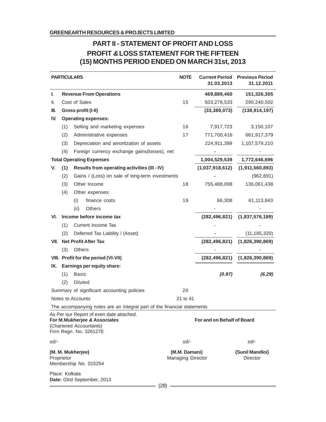# **PART II - STATEMENT OF PROFIT AND LOSS PROFIT & LOSS STATEMENT FOR THE FIFTEEN (15) MONTHS PERIOD ENDED ON MARCH 31st, 2013**

|                                                          |                | <b>PARTICULARS</b>                                                                                                            | <b>NOTE</b>                               | <b>Current Period</b><br>31.03.2013 | <b>Previous Period</b><br>31.12.2011   |
|----------------------------------------------------------|----------------|-------------------------------------------------------------------------------------------------------------------------------|-------------------------------------------|-------------------------------------|----------------------------------------|
| ı.                                                       |                | <b>Revenue From Operations</b>                                                                                                |                                           | 469,889,460                         | 151,326,305                            |
| II.                                                      |                | Cost of Sales                                                                                                                 | 15                                        | 503,278,533                         | 290,240,502                            |
| Ш.                                                       |                | Gross profit (I-II)                                                                                                           |                                           | (33, 389, 073)                      | (138, 914, 197)                        |
| IV.                                                      |                | <b>Operating expenses:</b>                                                                                                    |                                           |                                     |                                        |
|                                                          | (1)            | Selling and marketing expenses                                                                                                | 16                                        | 7,917,723                           | 3,150,107                              |
|                                                          | (2)            | Administrative expenses                                                                                                       | 17                                        | 771,700,416                         | 661,917,379                            |
|                                                          | (3)            | Depreciation and amortization of assets                                                                                       |                                           | 224,911,399                         | 1,107,579,210                          |
|                                                          | (4)            | Foreign currency exchange gains(losses), net                                                                                  |                                           |                                     |                                        |
|                                                          |                | <b>Total Operating Expenses</b>                                                                                               |                                           |                                     | 1,004,529,539 1,772,646,696            |
| V.                                                       | (1)            | Results from operating activities (III - IV)                                                                                  |                                           |                                     | $(1,037,918,612)$ $(1,911,560,893)$    |
|                                                          | (2)            | Gains / (Loss) on sale of long-term investments                                                                               |                                           |                                     | (962, 891)                             |
|                                                          | (3)            | Other Income                                                                                                                  | 18                                        | 755,488,098                         | 136,061,438                            |
|                                                          | (4)            | Other expenses:                                                                                                               |                                           |                                     |                                        |
|                                                          |                | (i)<br>finance costs                                                                                                          | 19                                        | 66,308                              | 61, 113, 843                           |
|                                                          |                | (ii)<br><b>Others</b>                                                                                                         |                                           |                                     |                                        |
| VI.                                                      |                | Income before income tax                                                                                                      |                                           |                                     | $(282, 496, 821)$ $(1, 837, 576, 189)$ |
|                                                          | (1)            | Current Income Tax                                                                                                            |                                           |                                     |                                        |
|                                                          | (2)            | Deferred Tax Liability / (Asset)                                                                                              |                                           |                                     | (11, 185, 320)                         |
|                                                          |                | <b>VII.</b> Net Profit After Tax                                                                                              |                                           | (282, 496, 821)                     | (1,826,390,869)                        |
|                                                          | (3)            | <b>Others</b>                                                                                                                 |                                           |                                     |                                        |
|                                                          |                | VIII. Profit for the period (VI-VII)                                                                                          |                                           | (282, 496, 821)                     | (1,826,390,869)                        |
| IX.                                                      |                | Earnings per equity share:                                                                                                    |                                           |                                     |                                        |
|                                                          | (1)            | <b>Basic</b>                                                                                                                  |                                           | (0.97)                              | (6.29)                                 |
|                                                          | (2)            | <b>Diluted</b>                                                                                                                |                                           |                                     |                                        |
|                                                          |                | Summary of significant accounting policies                                                                                    | 20                                        |                                     |                                        |
|                                                          |                | Notes to Accounts                                                                                                             | 21 to 41                                  |                                     |                                        |
|                                                          |                | The accompanying notes are an integral part of the financial statements                                                       |                                           |                                     |                                        |
|                                                          |                | As Per our Report of even date attached.<br>For M.Mukherjee & Associates<br>(Chartered Accountants)<br>Firm Regn. No. 326127E |                                           | For and on Behalf of Board          |                                        |
| sd/-                                                     |                |                                                                                                                               | $sd/-$                                    |                                     | sd/-                                   |
| (M. M. Mukherjee)<br>Proprietor<br>Membership No. 015254 |                |                                                                                                                               | (M.M. Damani)<br><b>Managing Director</b> |                                     | (Sunil Mandloi)<br>Director            |
|                                                          | Place: Kolkata | Date: 03rd September, 2013<br>(28)                                                                                            |                                           |                                     |                                        |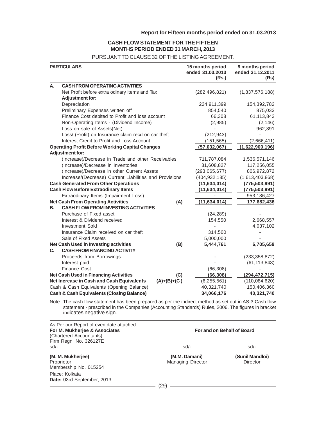#### **CASH FLOW STATEMENT FOR THE FIFTEEN MONTHS PERIOD ENDED 31 MARCH, 2013**

PURSUANT TO CLAUSE 32 OF THE LISTING AGREEMENT.

|    | <b>PARTICULARS</b>                                         | 15 months period<br>ended 31.03.2013<br>(Rs.) | 9 months period<br>ended 31.12.2011<br>(Rs) |
|----|------------------------------------------------------------|-----------------------------------------------|---------------------------------------------|
| А. | <b>CASH FROM OPERATING ACTIVITIES</b>                      |                                               |                                             |
|    | Net Profit before extra odinary items and Tax              | (282, 496, 821)                               | (1,837,576,188)                             |
|    | <b>Adjustment for:</b>                                     |                                               |                                             |
|    | Depreciation                                               | 224,911,399                                   | 154,392,782                                 |
|    | Preliminary Expenses written off                           | 854,540                                       | 875,033                                     |
|    | Finance Cost debited to Profit and loss account            | 66,308                                        | 61,113,843                                  |
|    | Non-Operating Items - (Dividend Income)                    | (2,985)                                       | (2, 146)                                    |
|    | Loss on sale of Assets(Net)                                |                                               | 962,891                                     |
|    | Loss/ (Profit) on Insurance claim recd on car theft        | (212, 943)                                    |                                             |
|    | Interest Credit to Profit and Loss Account                 | (151, 565)                                    | (2,666,411)                                 |
|    | <b>Operating Profit Before Working Capital Changes</b>     | (57,032,067)                                  | (1,622,900,196)                             |
|    | <b>Adjustment for:</b>                                     |                                               |                                             |
|    | (Increase)/Decrease in Trade and other Receivables         | 711,787,084                                   | 1,536,571,146                               |
|    | (Increase)/Decrease in Inventories                         | 31,608,827                                    | 117,256,055                                 |
|    | (Increase)/Decrease in other Current Assets                | (293,065,677)                                 | 806,972,872                                 |
|    | Increase/(Decrease) Current Liabilities and Provisions     | (404, 932, 185)                               | (1,613,403,868)                             |
|    | <b>Cash Generated From Other Operations</b>                | (11, 634, 014)                                | (775, 503, 991)                             |
|    | <b>Cash Flow Before Extraodinary Items</b>                 | (11, 634, 014)                                | (775,503,991)                               |
|    | Extraodinary Items (Impairment Loss)                       |                                               | 953,186,427                                 |
|    | <b>Net Cash From Operating Activities</b><br>(A)           | (11, 634, 014)                                | 177,682,436                                 |
| В. | <b>CASH FLOW FROM INVESTING ACTIVITIES</b>                 |                                               |                                             |
|    | Purchase of Fixed asset                                    | (24, 289)                                     |                                             |
|    | Interest & Dividend received                               | 154,550                                       | 2,668,557                                   |
|    | <b>Investment Sold</b>                                     |                                               | 4,037,102                                   |
|    | Insurance Claim received on car theft                      | 314,500                                       |                                             |
|    | Sale of Fixed Assets                                       | 5,000,000                                     |                                             |
|    | <b>Net Cash Used in Investing activities</b><br>(B)        | 5,444,761                                     | 6,705,659                                   |
| C. | <b>CASH FROM FINANCING ACTIVITY</b>                        |                                               |                                             |
|    | Proceeds from Borrowings                                   |                                               | (233, 358, 872)                             |
|    | Interest paid                                              |                                               | (61, 113, 843)                              |
|    | <b>Finance Cost</b>                                        | (66, 308)                                     |                                             |
|    | <b>Net Cash Used in Financing Activities</b><br>(C)        | (66, 308)                                     | (294, 472, 715)                             |
|    | Net Increase in Cash and Cash Equivalents<br>$(A)+(B)+(C)$ | (6, 255, 561)                                 | (110,084,620)                               |
|    | Cash & Cash Equivalents (Opening Balance)                  | 40,321,740                                    | 150,406,360                                 |
|    | <b>Cash &amp; Cash Equivalents (Closing Balance)</b>       | 34,066,176                                    | 40,321,740                                  |

Note: The cash flow statement has been prepared as per the indirect method as set out in AS-3 Cash flow statement - prescribed in the Companies (Accounting Standards) Rules, 2006. The figures in bracket indicates negative sign.

| As Per our Report of even date attached.<br>For M. Mukherjee & Associates<br>(Chartered Accountants)<br>Firm Regn. No. 326127E | For and on Behalf of Board                |                                    |
|--------------------------------------------------------------------------------------------------------------------------------|-------------------------------------------|------------------------------------|
| $sd/-$                                                                                                                         | $sd/$ -                                   | $sd/$ -                            |
| (M. M. Mukherjee)<br>Proprietor<br>Membership No. 015254                                                                       | (M.M. Damani)<br><b>Managing Director</b> | (Sunil Mandloi)<br><b>Director</b> |
| Place: Kolkata<br>Date: 03rd September, 2013                                                                                   |                                           |                                    |
|                                                                                                                                | 29                                        |                                    |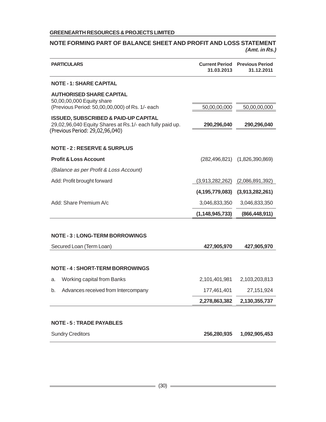|    | <b>PARTICULARS</b>                                                                                              | <b>Current Period</b><br>31.03.2013 | <b>Previous Period</b><br>31.12.2011 |
|----|-----------------------------------------------------------------------------------------------------------------|-------------------------------------|--------------------------------------|
|    | <b>NOTE - 1: SHARE CAPITAL</b>                                                                                  |                                     |                                      |
|    | <b>AUTHORISED SHARE CAPITAL</b><br>50,00,00,000 Equity share<br>(Previous Period: 50,00,00,000) of Rs. 1/- each | 50,00,00,000                        | 50,00,00,000                         |
|    | <b>ISSUED, SUBSCRIBED &amp; PAID-UP CAPITAL</b>                                                                 |                                     |                                      |
|    | 29,02,96,040 Equity Shares at Rs.1/- each fully paid up.<br>(Previous Period: 29,02,96,040)                     | 290,296,040                         | 290,296,040                          |
|    | <b>NOTE - 2: RESERVE &amp; SURPLUS</b>                                                                          |                                     |                                      |
|    | <b>Profit &amp; Loss Account</b>                                                                                | (282, 496, 821)                     | (1,826,390,869)                      |
|    | (Balance as per Profit & Loss Account)                                                                          |                                     |                                      |
|    | Add: Profit brought forward                                                                                     | (3,913,282,262)                     | (2,086,891,392)                      |
|    |                                                                                                                 | (4, 195, 779, 083)                  | (3,913,282,261)                      |
|    | Add: Share Premium A/c                                                                                          | 3,046,833,350                       | 3,046,833,350                        |
|    |                                                                                                                 | (1, 148, 945, 733)                  | (866, 448, 911)                      |
|    |                                                                                                                 |                                     |                                      |
|    | <b>NOTE - 3 : LONG-TERM BORROWINGS</b>                                                                          |                                     |                                      |
|    | Secured Loan (Term Loan)                                                                                        | 427,905,970                         | 427,905,970                          |
|    |                                                                                                                 |                                     |                                      |
|    | <b>NOTE - 4 : SHORT-TERM BORROWINGS</b>                                                                         |                                     |                                      |
| a. | Working capital from Banks                                                                                      | 2,101,401,981                       | 2,103,203,813                        |
| b. | Advances received from Intercompany                                                                             | 177,461,401                         | 27, 151, 924                         |
|    |                                                                                                                 | 2,278,863,382                       | 2,130,355,737                        |
|    |                                                                                                                 |                                     |                                      |
|    | <b>NOTE - 5: TRADE PAYABLES</b>                                                                                 |                                     |                                      |
|    | <b>Sundry Creditors</b>                                                                                         | 256,280,935                         | 1,092,905,453                        |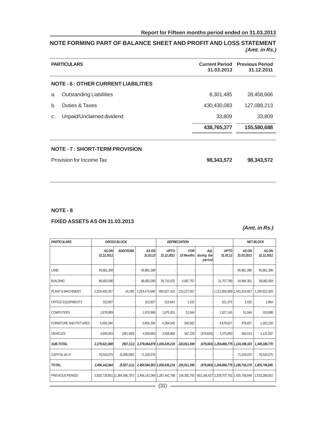# **NOTE FORMING PART OF BALANCE SHEET AND PROFIT AND LOSS STATEMENT (Amt. in Rs.)**

|    | <b>PARTICULARS</b>                         | 31.03.2013  | <b>Current Period Previous Period</b><br>31.12.2011 |
|----|--------------------------------------------|-------------|-----------------------------------------------------|
|    | <b>NOTE - 6: OTHER CURRENT LIABILITIES</b> |             |                                                     |
| a. | <b>Outstanding Liabilities</b>             | 8,301,485   | 28,458,666                                          |
| b. | Duties & Taxes                             | 430,430,083 | 127,088,213                                         |
| C. | Unpaid/Unclaimed dividend                  | 33,809      | 33,809                                              |
|    |                                            | 438,765,377 | 155,580,688                                         |
|    |                                            |             |                                                     |
|    | <b>NOTE - 7 : SHORT-TERM PROVISION</b>     |             |                                                     |
|    | Provision for Income Tax                   | 98,343,572  | 98,343,572                                          |

#### **NOTE - 8**

#### **FIXED ASSETS AS ON 31.03.2013**

#### **(Amt. in Rs.)**

| <b>PARTICULARS</b>            | <b>GROSS BLOCK</b><br><b>DEPRECIATION</b> |                               |                             | <b>NET BLOCK</b>          |                         |                              |                                                                     |                             |                     |
|-------------------------------|-------------------------------------------|-------------------------------|-----------------------------|---------------------------|-------------------------|------------------------------|---------------------------------------------------------------------|-----------------------------|---------------------|
|                               | AS ON<br>31.12.2011                       | <b>ADDITIONS</b>              | AS ON<br>31.03.13           | <b>UPTO</b><br>31.12.2011 | <b>FOR</b><br>15 Months | Adj.<br>during the<br>period | <b>UPTO</b><br>31.03.13                                             | AS ON<br>31.03.2013         | AS ON<br>31.12.2011 |
| LAND                          | 45.881.399                                |                               | 45.881.399                  |                           |                         |                              |                                                                     | 45.881.399                  | 45.881.399          |
| <b>BUILDING</b>               | 66,692,090                                |                               | 66,692,090                  | 26,710,032                | 4,997,757               |                              | 31,707,789                                                          | 34,984,301                  | 39,982,058          |
| <b>PLANT &amp; MACHINERY</b>  | 2,254,450,357                             | 24,289                        | 2,254,474,646               | 993,627,432               | 219,227,557             |                              | -1,212,854,989 1,041,619,657                                        |                             | 1,260,822,925       |
| OFFICE EQUIPMENTS             | 322.807                                   |                               | 322.807                     | 319.943                   | 1,432                   |                              | 321.375                                                             | 1.432                       | 2,864               |
| <b>COMPUTERS</b>              | 1,978,989                                 |                               | 1.978.989                   | 1,875,301                 | 51,844                  |                              | 1,927,145                                                           | 51,844                      | 103,688             |
| <b>FURNITURE AND FIXTURES</b> | 5,656,284                                 |                               | 5,656,284                   | 4,394,045                 | 285,582                 |                              | 4,679,627                                                           | 976,657                     | 1,262,239           |
| <b>VEHICLES</b>               | 4,640,063                                 | (581, 400)                    | 4,058,663                   | 3,508,466                 | 347,228                 | (479, 843)                   | 3,375,850                                                           | 682,813                     | 1,131,597           |
| <b>SUB-TOTAL</b>              | 2,379,621,989                             | (557.111)                     | 2.379.064.878 1.030.435.219 |                           | 224.911.399             | (479.843)                    |                                                                     | 1,254,866,775 1,124,198,103 | 1.349.186.770       |
| CAPITAL W.I.P.                | 76,520,075                                | (5,000,000)                   | 71,520,075                  |                           |                         |                              |                                                                     | 71,520,075                  | 76,520,075          |
| <b>TOTAL</b>                  | 2,456,142,064                             | (5,557,111)                   | 2,450,584,953 1,030,435,219 |                           | 224,911,399             | (479, 843)                   |                                                                     | 1,254,866,775 1,195,718,178 | 1,425,706,845       |
| PREVIOUS PERIOD               |                                           | 3,820,728,851 (1,364,586,787) | 2,456,142,064 1,287,442,798 |                           |                         |                              | 154, 392, 783   953, 186, 427   2, 209, 707, 781   1, 425, 706, 848 |                             | 2,533,286,052       |
| (31)                          |                                           |                               |                             |                           |                         |                              |                                                                     |                             |                     |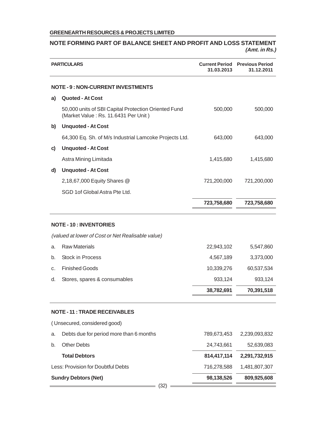| <b>PARTICULARS</b>                 |                                                                                              | <b>Current Period</b><br>31.03.2013 | <b>Previous Period</b><br>31.12.2011 |  |
|------------------------------------|----------------------------------------------------------------------------------------------|-------------------------------------|--------------------------------------|--|
|                                    | NOTE - 9 : NON-CURRENT INVESTMENTS                                                           |                                     |                                      |  |
| a)                                 | <b>Quoted - At Cost</b>                                                                      |                                     |                                      |  |
|                                    | 50,000 units of SBI Capital Protection Oriented Fund<br>(Market Value: Rs. 11.6431 Per Unit) | 500,000                             | 500,000                              |  |
| b)                                 | <b>Unquoted - At Cost</b>                                                                    |                                     |                                      |  |
|                                    | 64,300 Eq. Sh. of M/s Industrial Lamcoke Projects Ltd.                                       | 643,000                             | 643,000                              |  |
| C)                                 | <b>Unquoted - At Cost</b>                                                                    |                                     |                                      |  |
|                                    | Astra Mining Limitada                                                                        | 1,415,680                           | 1,415,680                            |  |
| d)                                 | <b>Unquoted - At Cost</b>                                                                    |                                     |                                      |  |
|                                    | 2,18,67,000 Equity Shares @                                                                  | 721,200,000                         | 721,200,000                          |  |
|                                    | SGD 1 of Global Astra Pte Ltd.                                                               |                                     |                                      |  |
|                                    |                                                                                              | 723,758,680                         | 723,758,680                          |  |
|                                    | <b>NOTE - 10: INVENTORIES</b>                                                                |                                     |                                      |  |
|                                    | (valued at lower of Cost or Net Realisable value)                                            |                                     |                                      |  |
| a.                                 | <b>Raw Materials</b>                                                                         | 22,943,102                          | 5,547,860                            |  |
| b.                                 | Stock in Process                                                                             | 4,567,189                           | 3,373,000                            |  |
| C.                                 | <b>Finished Goods</b>                                                                        | 10,339,276                          | 60,537,534                           |  |
| d.                                 | Stores, spares & consumables                                                                 | 933,124                             | 933,124                              |  |
|                                    |                                                                                              | 38,782,691                          | 70,391,518                           |  |
|                                    | <b>NOTE - 11: TRADE RECEIVABLES</b>                                                          |                                     |                                      |  |
|                                    | (Unsecured, considered good)                                                                 |                                     |                                      |  |
| a.                                 | Debts due for period more than 6 months                                                      | 789,673,453                         | 2,239,093,832                        |  |
| b.                                 | <b>Other Debts</b>                                                                           | 24,743,661                          | 52,639,083                           |  |
|                                    | <b>Total Debtors</b>                                                                         | 814,417,114                         | 2,291,732,915                        |  |
| Less: Provision for Doubtful Debts |                                                                                              | 716,278,588                         | 1,481,807,307                        |  |
| <b>Sundry Debtors (Net)</b>        |                                                                                              | 98,138,526                          | 809,925,608                          |  |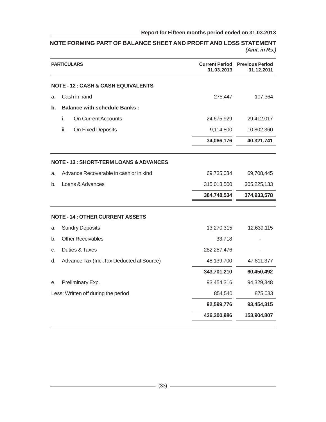|    | <b>PARTICULARS</b>                                 | <b>Current Period</b><br>31.03.2013 | <b>Previous Period</b><br>31.12.2011 |  |
|----|----------------------------------------------------|-------------------------------------|--------------------------------------|--|
|    | <b>NOTE - 12: CASH &amp; CASH EQUIVALENTS</b>      |                                     |                                      |  |
| a. | Cash in hand                                       | 275,447                             | 107,364                              |  |
| b. | <b>Balance with schedule Banks:</b>                |                                     |                                      |  |
|    | i.<br>On Current Accounts                          | 24,675,929                          | 29,412,017                           |  |
|    | ii.<br>On Fixed Deposits                           | 9,114,800                           | 10,802,360                           |  |
|    |                                                    | 34,066,176                          | 40,321,741                           |  |
|    |                                                    |                                     |                                      |  |
|    | <b>NOTE - 13 : SHORT-TERM LOANS &amp; ADVANCES</b> |                                     |                                      |  |
| a. | Advance Recoverable in cash or in kind             | 69,735,034                          | 69,708,445                           |  |
| b. | Loans & Advances                                   | 315,013,500                         | 305,225,133                          |  |
|    |                                                    | 384,748,534                         | 374,933,578                          |  |
|    |                                                    |                                     |                                      |  |
|    | <b>NOTE - 14 : OTHER CURRENT ASSETS</b>            |                                     |                                      |  |
| a. | <b>Sundry Deposits</b>                             | 13,270,315                          | 12,639,115                           |  |
| b. | <b>Other Receivables</b>                           | 33,718                              |                                      |  |
| C. | Duties & Taxes                                     | 282, 257, 476                       |                                      |  |
| d. | Advance Tax (Incl. Tax Deducted at Source)         | 48,139,700                          | 47,811,377                           |  |
|    |                                                    | 343,701,210                         | 60,450,492                           |  |
| е. | Preliminary Exp.                                   | 93,454,316                          | 94,329,348                           |  |
|    | Less: Written off during the period                | 854,540                             | 875,033                              |  |
|    |                                                    | 92,599,776                          | 93,454,315                           |  |
|    |                                                    | 436,300,986                         | 153,904,807                          |  |
|    |                                                    |                                     |                                      |  |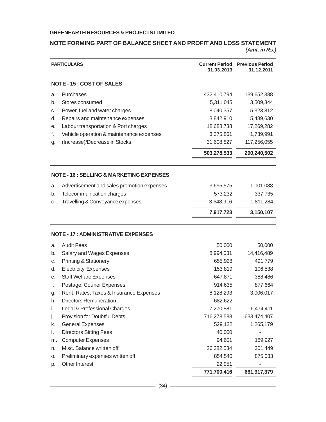|    | <b>PARTICULARS</b>                                 | <b>Current Period</b><br>31.03.2013 | <b>Previous Period</b><br>31.12.2011 |
|----|----------------------------------------------------|-------------------------------------|--------------------------------------|
|    | <b>NOTE - 15: COST OF SALES</b>                    |                                     |                                      |
| a. | Purchases                                          | 432,410,794                         | 139,652,388                          |
| b. | Stores consumed                                    | 5,311,045                           | 3,509,344                            |
| С. | Power, fuel and water charges                      | 8,040,357                           | 5,323,812                            |
| d. | Repairs and maintenance expenses                   | 3,842,910                           | 5,489,630                            |
| е. | Labour transportation & Port charges               | 18,688,738                          | 17,269,282                           |
| f. | Vehicle operation & maintenance expenses           | 3,375,861                           | 1,739,991                            |
| g. | (Increase)/Decrease in Stocks                      | 31,608,827                          | 117,256,055                          |
|    |                                                    | 503,278,533                         | 290,240,502                          |
|    |                                                    |                                     |                                      |
|    | <b>NOTE - 16: SELLING &amp; MARKETING EXPENSES</b> |                                     |                                      |
| a. | Advertisement and sales promotion expenses         | 3,695,575                           | 1,001,088                            |
| b. | Telecommunication charges                          | 573,232                             | 337,735                              |
| С. | Travelling & Conveyance expenses                   | 3,648,916                           | 1,811,284                            |
|    |                                                    | 7,917,723                           | 3,150,107                            |
|    |                                                    |                                     |                                      |
|    | <b>NOTE - 17: ADMINISTRATIVE EXPENSES</b>          |                                     |                                      |
| a. | <b>Audit Fees</b>                                  | 50,000                              | 50,000                               |
| b. | Salary and Wages Expenses                          | 8,994,031                           | 14,416,489                           |
| C. | <b>Printing &amp; Stationery</b>                   | 655,928                             | 491,779                              |
| d. | <b>Electricity Expenses</b>                        | 153,819                             | 106,538                              |
| е. | <b>Staff Welfare Expenses</b>                      | 647,871                             | 388,486                              |
| f. | Postage, Courier Expenses                          | 914,635                             | 877,664                              |
| g. | Rent, Rates, Taxes & Insurance Expenses            | 8,128,293                           | 3,006,017                            |
| h. | <b>Directors Remuneration</b>                      | 682,622                             | ۰                                    |
| i. | Legal & Professional Charges                       | 7,270,881                           | 6,474,411                            |
| j. | <b>Provision for Doubtful Debts</b>                | 716,278,588                         | 633,474,407                          |
| k. | <b>General Expenses</b>                            | 529,122                             | 1,265,179                            |
| I. | <b>Directors Sitting Fees</b>                      | 40,000                              |                                      |
| m. | <b>Computer Expenses</b>                           | 94,601                              | 189,927                              |
| n. | Misc. Balance written off                          | 26,382,534                          | 301,449                              |
| о. | Preliminary expenses written off                   | 854,540                             | 875,033                              |
| p. | Other Interest                                     | 22,951                              |                                      |
|    |                                                    | 771,700,416                         | 661,917,379                          |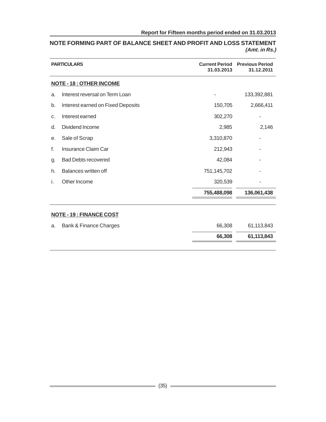|    | <b>PARTICULARS</b>                | <b>Current Period</b><br>31.03.2013 | <b>Previous Period</b><br>31.12.2011 |
|----|-----------------------------------|-------------------------------------|--------------------------------------|
|    | <b>NOTE - 18 : OTHER INCOME</b>   |                                     |                                      |
| a. | Interest reversal on Term Loan    |                                     | 133,392,881                          |
| b. | Interest earned on Fixed Deposits | 150,705                             | 2,666,411                            |
| C. | Interest earned                   | 302,270                             |                                      |
| d. | Dividend Income                   | 2,985                               | 2,146                                |
| е. | Sale of Scrap                     | 3,310,870                           |                                      |
| f. | Insurance Claim Car               | 212,943                             |                                      |
| g. | <b>Bad Debts recovered</b>        | 42,084                              |                                      |
| h. | Balances written off              | 751,145,702                         |                                      |
| i. | Other Income                      | 320,539                             |                                      |
|    |                                   | 755,488,098                         | 136,061,438                          |
|    | <b>NOTE - 19 : FINANCE COST</b>   |                                     |                                      |
| a. | <b>Bank &amp; Finance Charges</b> | 66,308                              | 61,113,843                           |
|    |                                   | 66,308                              | 61,113,843                           |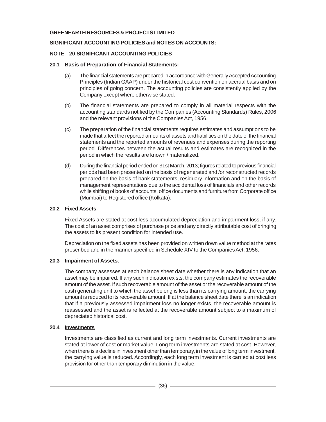## **SIGNIFICANT ACCOUNTING POLICIES and NOTES ON ACCOUNTS:**

#### **NOTE – 20**:**SIGNIFICANT ACCOUNTING POLICIES**

#### **20.1 Basis of Preparation of Financial Statements:**

- (a) The financial statements are prepared in accordance with Generally Accepted Accounting Principles (Indian GAAP) under the historical cost convention on accrual basis and on principles of going concern. The accounting policies are consistently applied by the Company except where otherwise stated.
- (b) The financial statements are prepared to comply in all material respects with the accounting standards notified by the Companies (Accounting Standards) Rules, 2006 and the relevant provisions of the Companies Act, 1956.
- (c) The preparation of the financial statements requires estimates and assumptions to be made that affect the reported amounts of assets and liabilities on the date of the financial statements and the reported amounts of revenues and expenses during the reporting period. Differences between the actual results and estimates are recognized in the period in which the results are known / materialized.
- (d) During the financial period ended on 31st March, 2013; figures related to previous financial periods had been presented on the basis of regenerated and /or reconstructed records prepared on the basis of bank statements, residuary information and on the basis of management representations due to the accidental loss of financials and other records while shifting of books of accounts, office documents and furniture from Corporate office (Mumbai) to Registered office (Kolkata).

#### **20.2 Fixed Assets**

Fixed Assets are stated at cost less accumulated depreciation and impairment loss, if any. The cost of an asset comprises of purchase price and any directly attributable cost of bringing the assets to its present condition for intended use.

Depreciation on the fixed assets has been provided on written down value method at the rates prescribed and in the manner specified in Schedule XIV to the Companies Act, 1956.

#### **20.3 Impairment of Assets**:

The company assesses at each balance sheet date whether there is any indication that an asset may be impaired. If any such indication exists, the company estimates the recoverable amount of the asset. If such recoverable amount of the asset or the recoverable amount of the cash generating unit to which the asset belong is less than its carrying amount, the carrying amount is reduced to its recoverable amount. If at the balance sheet date there is an indication that if a previously assessed impairment loss no longer exists, the recoverable amount is reassessed and the asset is reflected at the recoverable amount subject to a maximum of depreciated historical cost.

#### **20.4 Investments**

Investments are classified as current and long term investments. Current investments are stated at lower of cost or market value. Long term investments are stated at cost. However, when there is a decline in investment other than temporary, in the value of long term investment, the carrying value is reduced. Accordingly, each long term investment is carried at cost less provision for other than temporary diminution in the value.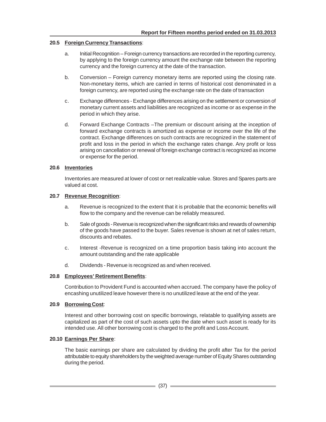#### **20.5 Foreign Currency Transactions**:

- a. Initial Recognition Foreign currency transactions are recorded in the reporting currency, by applying to the foreign currency amount the exchange rate between the reporting currency and the foreign currency at the date of the transaction.
- b. Conversion Foreign currency monetary items are reported using the closing rate. Non-monetary items, which are carried in terms of historical cost denominated in a foreign currency, are reported using the exchange rate on the date of transaction
- c. Exchange differences Exchange differences arising on the settlement or conversion of monetary current assets and liabilities are recognized as income or as expense in the period in which they arise.
- d. Forward Exchange Contracts –The premium or discount arising at the inception of forward exchange contracts is amortized as expense or income over the life of the contract. Exchange differences on such contracts are recognized in the statement of profit and loss in the period in which the exchange rates change. Any profit or loss arising on cancellation or renewal of foreign exchange contract is recognized as income or expense for the period.

#### **20.6 Inventories**

Inventories are measured at lower of cost or net realizable value. Stores and Spares parts are valued at cost.

#### **20.7 Revenue Recognition**:

- a. Revenue is recognized to the extent that it is probable that the economic benefits will flow to the company and the revenue can be reliably measured.
- b. Sale of goods Revenue is recognized when the significant risks and rewards of ownership of the goods have passed to the buyer. Sales revenue is shown at net of sales return, discounts and rebates.
- c. Interest -Revenue is recognized on a time proportion basis taking into account the amount outstanding and the rate applicable
- d. Dividends Revenue is recognized as and when received.

#### **20.8 Employees' Retirement Benefits**:

Contribution to Provident Fund is accounted when accrued. The company have the policy of encashing unutilized leave however there is no unutilized leave at the end of the year.

#### **20.9 Borrowing Cost**:

Interest and other borrowing cost on specific borrowings, relatable to qualifying assets are capitalized as part of the cost of such assets upto the date when such asset is ready for its intended use. All other borrowing cost is charged to the profit and Loss Account.

#### **20.10 Earnings Per Share**:

The basic earnings per share are calculated by dividing the profit after Tax for the period attributable to equity shareholders by the weighted average number of Equity Shares outstanding during the period.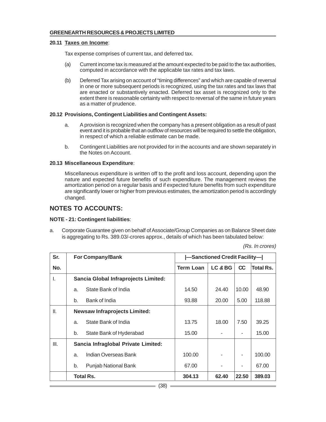#### **20.11 Taxes on Income**:

Tax expense comprises of current tax, and deferred tax.

- (a) Current income tax is measured at the amount expected to be paid to the tax authorities, computed in accordance with the applicable tax rates and tax laws.
- (b) Deferred Tax arising on account of "timing differences" and which are capable of reversal in one or more subsequent periods is recognized, using the tax rates and tax laws that are enacted or substantively enacted. Deferred tax asset is recognized only to the extent there is reasonable certainty with respect to reversal of the same in future years as a matter of prudence.

#### **20.12 Provisions, Contingent Liabilities and Contingent Assets:**

- a. A provision is recognized when the company has a present obligation as a result of past event and it is probable that an outflow of resources will be required to settle the obligation, in respect of which a reliable estimate can be made.
- b. Contingent Liabilities are not provided for in the accounts and are shown separately in the Notes on Account.

#### **20.13 Miscellaneous Expenditure**:

Miscellaneous expenditure is written off to the profit and loss account, depending upon the nature and expected future benefits of such expenditure. The management reviews the amortization period on a regular basis and if expected future benefits from such expenditure are significantly lower or higher from previous estimates, the amortization period is accordingly changed.

# **NOTES TO ACCOUNTS:**

#### **NOTE - 21: Contingent liabilities**:

a. Corporate Guarantee given on behalf of Associate/Group Companies as on Balance Sheet date is aggregating to Rs. 389.03/-crores approx., details of which has been tabulated below:

(Rs. In crores)

| Sr.  |                | <b>For Company/Bank</b>                     | <b>-Sanctioned Credit Facility-</b> |         |       |           |
|------|----------------|---------------------------------------------|-------------------------------------|---------|-------|-----------|
| No.  |                |                                             | <b>Term Loan</b>                    | LC & BG | cc    | Total Rs. |
| I.   |                | <b>Sancia Global Infraprojects Limited:</b> |                                     |         |       |           |
|      | a.             | State Bank of India                         | 14.50                               | 24.40   | 10.00 | 48.90     |
|      | b <sub>1</sub> | Bank of India                               | 93.88                               | 20.00   | 5.00  | 118.88    |
| Ш.   |                | <b>Newsaw Infraprojects Limited:</b>        |                                     |         |       |           |
|      | a.             | State Bank of India                         | 13.75                               | 18.00   | 7.50  | 39.25     |
|      | b.             | State Bank of Hyderabad                     | 15.00                               |         | ٠     | 15.00     |
| III. |                | Sancia Infraglobal Private Limited:         |                                     |         |       |           |
|      | a.             | Indian Overseas Bank                        | 100.00                              |         | ٠     | 100.00    |
|      | b.             | Punjab National Bank                        | 67.00                               |         | ٠     | 67.00     |
|      |                | <b>Total Rs.</b>                            | 304.13                              | 62.40   | 22.50 | 389.03    |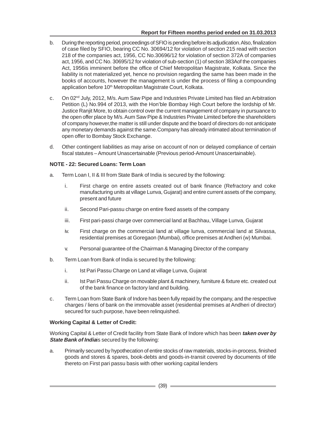- b. During the reporting period, proceedings of SFIO is pending before its adjudication. Also, finalization of case filed by SFIO, bearing CC No. 30694/12 for violation of section 215 read with section 218 of the companies act, 1956, CC No.30696/12 for violation of section 372A of companies act, 1956, and CC No. 30695/12 for violation of sub-section (1) of section 383Aof the companies Act, 1956is imminent before the office of Chief Metropolitan Magistrate, Kolkata. Since the liability is not materialized yet, hence no provision regarding the same has been made in the books of accounts, however the management is under the process of filing a compounding application before 10<sup>th</sup> Metropolitan Magistrate Court, Kolkata.
- c. On 02<sup>nd</sup> July, 2012, M/s. Aum Saw Pipe and Industries Private Limited has filed an Arbitration Petition (L) No.994 of 2013, with the Hon'ble Bombay High Court before the lordship of Mr. Justice Ranjit More, to obtain control over the current management of company in pursuance to the open offer place by M/s. Aum Saw Pipe & Industries Private Limited before the shareholders of company however,the matter is still under dispute and the board of directors do not anticipate any monetary demands against the same.Company has already intimated about termination of open offer to Bombay Stock Exchange.
- d. Other contingent liabilities as may arise on account of non or delayed compliance of certain fiscal statutes – Amount Unascertainable (Previous period-Amount Unascertainable).

# **NOTE - 22: Secured Loans: Term Loan**

- a. Term Loan I, II & III from State Bank of India is secured by the following:
	- i. First charge on entire assets created out of bank finance (Refractory and coke manufacturing units at village Lunva, Gujarat) and entire current assets of the company, present and future
	- ii. Second Pari-passu charge on entire fixed assets of the company
	- iii. First pari-passi charge over commercial land at Bachhau, Village Lunva, Gujarat
	- iv. First charge on the commercial land at village lunva, commercial land at Silvassa, residential premises at Goregaon (Mumbai), office premises at Andheri (w) Mumbai.
	- v. Personal guarantee of the Chairman & Managing Director of the company
- b. Term Loan from Bank of India is secured by the following:
	- i. Ist Pari Passu Charge on Land at village Lunva, Gujarat
	- ii. Ist Pari Passu Charge on movable plant & machinery, furniture & fixture etc. created out of the bank finance on factory land and building.
- c. Term Loan from State Bank of Indore has been fully repaid by the company, and the respective charges / liens of bank on the immovable asset (residential premises at Andheri of director) secured for such purpose, have been relinquished.

# **Working Capital & Letter of Credit:**

Working Capital & Letter of Credit facility from State Bank of Indore which has been **taken over by State Bank of India**is secured by the following:

a. Primarily secured by hypothecation of entire stocks of raw materials, stocks-in-process, finished goods and stores & spares, book-debts and goods-in-transit covered by documents of title thereto on First pari passu basis with other working capital lenders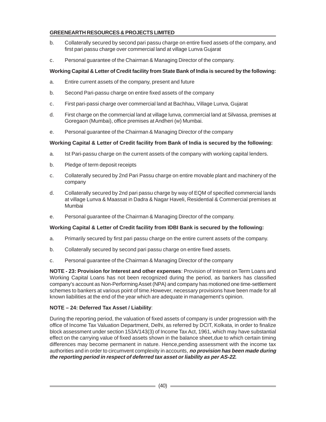- b. Collaterally secured by second pari passu charge on entire fixed assets of the company, and first pari passu charge over commercial land at village Lunva Gujarat
- c. Personal guarantee of the Chairman & Managing Director of the company.

#### **Working Capital & Letter of Credit facility from State Bank of India is secured by the following:**

- a. Entire current assets of the company, present and future
- b. Second Pari-passu charge on entire fixed assets of the company
- c. First pari-passi charge over commercial land at Bachhau, Village Lunva, Gujarat
- d. First charge on the commercial land at village lunva, commercial land at Silvassa, premises at Goregaon (Mumbai), office premises at Andheri (w) Mumbai.
- e. Personal guarantee of the Chairman & Managing Director of the company

### **Working Capital & Letter of Credit facility from Bank of India is secured by the following:**

- a. Ist Pari-passu charge on the current assets of the company with working capital lenders.
- b. Pledge of term deposit receipts
- c. Collaterally secured by 2nd Pari Passu charge on entire movable plant and machinery of the company
- d. Collaterally secured by 2nd pari passu charge by way of EQM of specified commercial lands at village Lunva & Maassat in Dadra & Nagar Haveli, Residential & Commercial premises at Mumbai
- e. Personal guarantee of the Chairman & Managing Director of the company.

#### **Working Capital & Letter of Credit facility from IDBI Bank is secured by the following:**

- a. Primarily secured by first pari passu charge on the entire current assets of the company.
- b. Collaterally secured by second pari passu charge on entire fixed assets.
- c. Personal guarantee of the Chairman & Managing Director of the company

**NOTE - 23: Provision for Interest and other expenses**: Provision of Interest on Term Loans and Working Capital Loans has not been recognized during the period, as bankers has classified company's account as Non-Performing Asset (NPA) and company has motioned one time-settlement schemes to bankers at various point of time.However, necessary provisions have been made for all known liabilities at the end of the year which are adequate in management's opinion.

# **NOTE – 24: Deferred Tax Asset / Liability**:

During the reporting period, the valuation of fixed assets of company is under progression with the office of Income Tax Valuation Department, Delhi, as referred by DCIT, Kolkata, in order to finalize block assessment under section 153A/143(3) of Income Tax Act, 1961, which may have substantial effect on the carrying value of fixed assets shown in the balance sheet,due to which certain timing differences may become permanent in nature. Hence,pending assessment with the income tax authorities and in order to circumvent complexity in accounts, **no provision has been made during the reporting period in respect of deferred tax asset or liability as per AS-22.**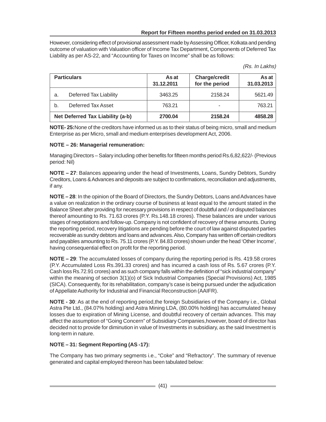However, considering effect of provisional assessment made by Assessing Officer, Kolkata and pending outcome of valuation with Valuation officer of Income Tax Department, Components of Deferred Tax Liability as per AS-22, and "Accounting for Taxes on Income" shall be as follows:

| (Rs. In Lakhs) |  |
|----------------|--|
|                |  |

| <b>Particulars</b>               |                        | As at<br>31.12.2011 | <b>Charge/credit</b><br>for the period | As at<br>31.03.2013 |
|----------------------------------|------------------------|---------------------|----------------------------------------|---------------------|
| a.                               | Deferred Tax Liability | 3463.25             | 2158.24                                | 5621.49             |
| b.                               | Deferred Tax Asset     | 763.21              |                                        | 763.21              |
| Net Deferred Tax Liability (a-b) |                        | 2700.04             | 2158.24                                | 4858.28             |

**NOTE- 25:**None of the creditors have informed us as to their status of being micro, small and medium Enterprise as per Micro, small and medium enterprises development Act, 2006.

### **NOTE – 26: Managerial remuneration:**

Managing Directors – Salary including other benefits for fifteen months period Rs.6,82,622/- (Previous period: Nil)

**NOTE – 27**: Balances appearing under the head of Investments, Loans, Sundry Debtors, Sundry Creditors, Loans & Advances and deposits are subject to confirmations, reconciliation and adjustments, if any.

**NOTE – 28**: In the opinion of the Board of Directors, the Sundry Debtors, Loans and Advances have a value on realization in the ordinary course of business at least equal to the amount stated in the Balance Sheet after providing for necessary provisions in respect of doubtful and / or disputed balances thereof amounting to Rs. 71.63 crores (P.Y. Rs.148.18 crores). These balances are under various stages of negotiations and follow-up. Company is not confident of recovery of these amounts. During the reporting period, recovery litigations are pending before the court of law against disputed parties recoverable as sundry debtors and loans and advances. Also, Company has written off certain creditors and payables amounting to Rs. 75.11 crores (P.Y. 84.83 crores) shown under the head 'Other Income', having consequential effect on profit for the reporting period.

**NOTE – 29**: The accumulated losses of company during the reporting period is Rs. 419.58 crores (P.Y. Accumulated Loss Rs.391.33 crores) and has incurred a cash loss of Rs. 5.67 crores (P.Y. Cash loss Rs.72.91 crores) and as such company falls within the definition of "sick industrial company" within the meaning of section 3(1)(o) of Sick Industrial Companies (Special Provisions) Act, 1985 (SICA). Consequently, for its rehabilitation, company's case is being pursued under the adjudication of Appellate Authority for Industrial and Financial Reconstruction (AAIFR).

**NOTE - 30**: As at the end of reporting period,the foreign Subsidiaries of the Company i.e., Global Astra Pte Ltd., (84.07% holding) and Astra Mining LDA, (80.00% holding) has accumulated heavy losses due to expiration of Mining License, and doubtful recovery of certain advances. This may affect the assumption of "Going Concern" of Subsidiary Companies,however, board of director has decided not to provide for diminution in value of Investments in subsidiary, as the said Investment is long-term in nature.

# **NOTE – 31: Segment Reporting (AS -17):**

The Company has two primary segments i.e., "Coke" and "Refractory". The summary of revenue generated and capital employed thereon has been tabulated below: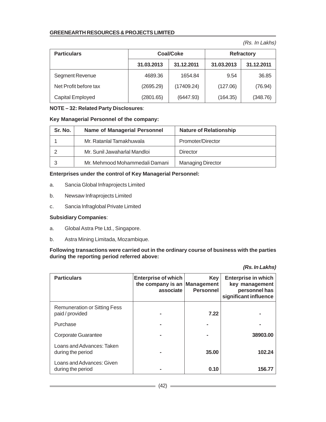(Rs. In Lakhs)

| <b>Particulars</b>    | <b>Coal/Coke</b> |            | <b>Refractory</b> |            |
|-----------------------|------------------|------------|-------------------|------------|
|                       | 31.03.2013       | 31.12.2011 | 31.03.2013        | 31.12.2011 |
| Segment Revenue       | 4689.36          | 1654.84    | 9.54              | 36.85      |
| Net Profit before tax | (2695.29)        | (17409.24) | (127.06)          | (76.94)    |
| Capital Employed      | (2801.65)        | (6447.93)  | (164.35)          | (348.76)   |

#### **NOTE – 32: Related Party Disclosures**:

#### **Key Managerial Personnel of the company:**

| Sr. No. | <b>Name of Managerial Personnel</b> | <b>Nature of Relationship</b> |
|---------|-------------------------------------|-------------------------------|
|         | Mr. Ratanlal Tamakhuwala            | Promoter/Director             |
| ◠       | Mr. Sunil Jawaharlal Mandloi        | Director                      |
| 3       | Mr. Mehmood Mohammedali Damani      | <b>Managing Director</b>      |

#### **Enterprises under the control of Key Managerial Personnel:**

- a. Sancia Global Infraprojects Limited
- b. Newsaw Infraprojects Limited
- c. Sancia Infraglobal Private Limited

#### **Subsidiary Companies**:

- a. Global Astra Pte Ltd., Singapore.
- b. Astra Mining Limitada, Mozambique.

#### **Following transactions were carried out in the ordinary course of business with the parties during the reporting period referred above:**

**(Rs. In Lakhs)**

| <b>Particulars</b>                                   | <b>Enterprise of which</b><br>the company is an Management<br>associate | Key<br><b>Personnel</b> | <b>Enterprise in which</b><br>key management<br>personnel has<br>significant influence |
|------------------------------------------------------|-------------------------------------------------------------------------|-------------------------|----------------------------------------------------------------------------------------|
| <b>Remuneration or Sitting Fess</b><br>paid/provided |                                                                         | 7.22                    |                                                                                        |
| Purchase                                             |                                                                         |                         |                                                                                        |
| Corporate Guarantee                                  |                                                                         |                         | 38903.00                                                                               |
| Loans and Advances: Taken<br>during the period       |                                                                         | 35.00                   | 102.24                                                                                 |
| Loans and Advances: Given<br>during the period       |                                                                         | 0.10                    | 156.77                                                                                 |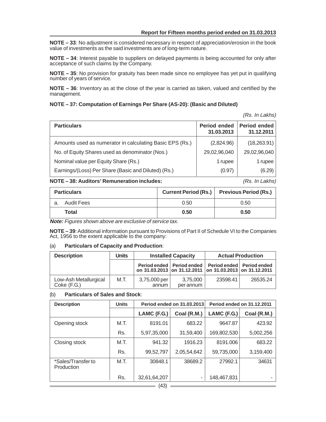**NOTE – 33**: No adjustment is considered necessary in respect of appreciation/erosion in the book value of investments as the said investments are of long-term nature.

**NOTE – 34**: Interest payable to suppliers on delayed payments is being accounted for only after acceptance of such claims by the Company.

**NOTE – 35**: No provision for gratuity has been made since no employee has yet put in qualifying number of years of service.

**NOTE – 36**: Inventory as at the close of the year is carried as taken, valued and certified by the management.

#### **NOTE – 37: Computation of Earnings Per Share (AS-20): (Basic and Diluted)**

(Rs. In Lakhs)

| <b>Particulars</b>                                       | Period ended<br>31.03.2013 | <b>Period ended</b><br>31.12.2011 |
|----------------------------------------------------------|----------------------------|-----------------------------------|
| Amounts used as numerator in calculating Basic EPS (Rs.) | (2,824.96)                 | (18,263.91)                       |
| No. of Equity Shares used as denominator (Nos.)          | 29,02,96,040               | 29,02,96,040                      |
| Nominal value per Equity Share (Rs.)                     | 1 rupee                    | 1 rupee                           |
| Earnings/(Loss) Per Share (Basic and Diluted) (Rs.)      | (0.97)                     | (6.29)                            |
|                                                          |                            |                                   |

| NOTE - 38: Auditors' Remuneration includes: |  |  |
|---------------------------------------------|--|--|
|---------------------------------------------|--|--|

*(Rs. In Lakhs)* 

| <b>Particulars</b> |      | Current Period (Rs.)   Previous Period (Rs.) |
|--------------------|------|----------------------------------------------|
| Audit Fees<br>а.   | 0.50 | 0.50                                         |
| Total              | 0.50 | 0.50                                         |

**Note:** Figures shown above are exclusive of service tax.

**NOTE – 39**: Additional information pursuant to Provisions of Part II of Schedule VI to the Companies Act, 1956 to the extent applicable to the company:

#### (a) **Particulars of Capacity and Production**:

| <b>Description</b>                   | <b>Units</b> | <b>Installed Capacity</b> |                             | <b>Actual Production</b>                                |                             |
|--------------------------------------|--------------|---------------------------|-----------------------------|---------------------------------------------------------|-----------------------------|
|                                      |              |                           | Period ended   Period ended | on 31.03.2013 on 31.12.2011 on 31.03.2013 on 31.12.2011 | Period ended   Period ended |
| Low-Ash Metallurgical<br>Coke (F.G.) | M.T.         | 3,75,000 per<br>annum     | 3.75.000<br>per annum       | 23598.41                                                | 26535.24                    |

#### (b) **Particulars of Sales and Stock**:

| <b>Description</b>               | <b>Units</b> | <b>Period ended on 31,03,2013</b> |             | <b>Period ended on 31.12.2011</b> |             |
|----------------------------------|--------------|-----------------------------------|-------------|-----------------------------------|-------------|
|                                  |              | LAMC (F.G.)                       | Coal (R.M.) | LAMC (F.G.)                       | Coal (R.M.) |
| Opening stock                    | M.T.         | 8191.01                           | 683.22      | 9647.87                           | 423.92      |
|                                  | Rs.          | 5,97,35,000                       | 31,59,400   | 169,802,530                       | 5,002,256   |
| Closing stock                    | M.T.         | 941.32                            | 1916.23     | 8191.006                          | 683.22      |
|                                  | Rs.          | 99,52,797                         | 2,05,54,642 | 59,735,000                        | 3,159,400   |
| *Sales/Transfer to<br>Production | M.T.         | 30848.1                           | 38689.2     | 27992.1                           | 34631       |
|                                  | Rs.          | 32,61,64,207                      | ٠           | 148,467,831                       |             |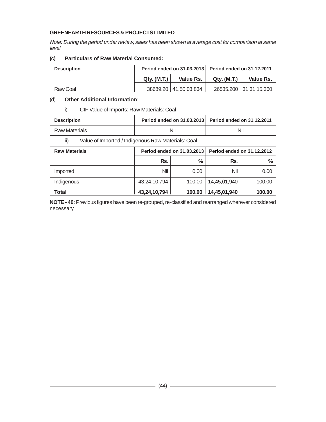Note: During the period under review, sales has been shown at average cost for comparison at same level.

#### **(c) Particulars of Raw Material Consumed:**

| <b>Description</b> |             |                       | Period ended on 31.03.2013 Period ended on 31.12.2011 |                        |
|--------------------|-------------|-----------------------|-------------------------------------------------------|------------------------|
|                    | Qtv. (M.T.) | Value Rs.             | $Q$ tv. (M.T.)                                        | Value Rs.              |
| Raw Coal           |             | 38689.20 41,50,03,834 |                                                       | 26535.200 31,31,15,360 |

#### (d) **Other Additional Information**:

#### i) CIF Value of Imports: Raw Materials: Coal

| <b>Description</b> | Period ended on 31.03.2013 Period ended on 31.12.2011 |
|--------------------|-------------------------------------------------------|
| Raw Materials      | Nil                                                   |

ii) Value of Imported / Indigenous Raw Materials: Coal

| <b>Raw Materials</b> |              | <b>Period ended on 31.03.2013</b> | <b>Period ended on 31.12.2012</b> |               |  |
|----------------------|--------------|-----------------------------------|-----------------------------------|---------------|--|
|                      | Rs.          | $\frac{0}{0}$                     | Rs.                               | $\frac{0}{0}$ |  |
| Imported             | Nil          | 0.00                              | Nil                               | 0.00          |  |
| Indigenous           | 43,24,10,794 | 100.00                            | 14,45,01,940                      | 100.00        |  |
| Total                | 43,24,10,794 | 100.00                            | 14,45,01,940                      | 100.00        |  |

**NOTE - 40**: Previous figures have been re-grouped, re-classified and rearranged wherever considered necessary.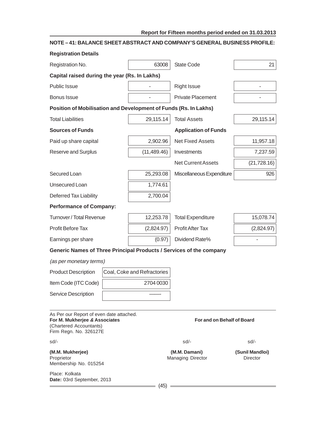# **NOTE – 41: BALANCE SHEET ABSTRACT AND COMPANY'S GENERAL BUSINESS PROFILE:**

| <b>Registration Details</b>                                                                                                    |                             |                                                                     |                             |
|--------------------------------------------------------------------------------------------------------------------------------|-----------------------------|---------------------------------------------------------------------|-----------------------------|
| Registration No.                                                                                                               | 63008                       | <b>State Code</b>                                                   | 21                          |
| Capital raised during the year (Rs. In Lakhs)                                                                                  |                             |                                                                     |                             |
| Public Issue                                                                                                                   |                             | <b>Right Issue</b>                                                  |                             |
| Bonus Issue                                                                                                                    |                             | <b>Private Placement</b>                                            |                             |
| Position of Mobilisation and Development of Funds (Rs. In Lakhs)                                                               |                             |                                                                     |                             |
| <b>Total Liabilities</b>                                                                                                       | 29,115.14                   | <b>Total Assets</b>                                                 | 29,115.14                   |
| <b>Sources of Funds</b>                                                                                                        |                             | <b>Application of Funds</b>                                         |                             |
| Paid up share capital                                                                                                          | 2,902.96                    | <b>Net Fixed Assets</b>                                             | 11,957.18                   |
| Reserve and Surplus                                                                                                            | (11, 489.46)                | Investments                                                         | 7,237.59                    |
|                                                                                                                                |                             | <b>Net Current Assets</b>                                           | (21, 728.16)                |
| Secured Loan                                                                                                                   | 25,293.08                   | Miscellaneous Expenditure                                           | 926                         |
| <b>Unsecured Loan</b>                                                                                                          | 1,774.61                    |                                                                     |                             |
| <b>Deferred Tax Liability</b>                                                                                                  | 2,700.04                    |                                                                     |                             |
| <b>Performance of Company:</b>                                                                                                 |                             |                                                                     |                             |
| Turnover / Total Revenue                                                                                                       | 12,253.78                   | <b>Total Expenditure</b>                                            | 15,078.74                   |
| <b>Profit Before Tax</b>                                                                                                       | (2,824.97)                  | <b>Profit After Tax</b>                                             | (2,824.97)                  |
| Earnings per share                                                                                                             | (0.97)                      | Dividend Rate%                                                      |                             |
|                                                                                                                                |                             | Generic Names of Three Principal Products / Services of the company |                             |
| (as per monetary terms)                                                                                                        |                             |                                                                     |                             |
| <b>Product Description</b>                                                                                                     | Coal, Coke and Refractories |                                                                     |                             |
| Item Code (ITC Code)                                                                                                           | 2704 0030                   |                                                                     |                             |
| <b>Service Description</b>                                                                                                     |                             |                                                                     |                             |
| As Per our Report of even date attached.<br>For M. Mukherjee & Associates<br>(Chartered Accountants)<br>Firm Regn. No. 326127E |                             | For and on Behalf of Board                                          |                             |
| sd/-                                                                                                                           |                             | $sd/$ -                                                             | sd/-                        |
| (M.M. Mukherjee)<br>Proprietor<br>Membership No. 015254                                                                        |                             | (M.M. Damani)<br>Managing Director                                  | (Sunil Mandloi)<br>Director |
| Place: Kolkata<br>Date: 03rd September, 2013                                                                                   |                             |                                                                     |                             |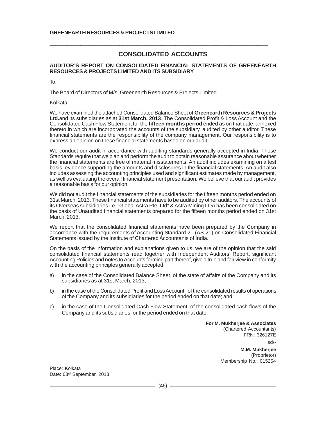# **CONSOLIDATED ACCOUNTS**

\_\_\_\_\_\_\_\_\_\_\_\_\_\_\_\_\_\_\_\_\_\_\_\_\_\_\_\_\_\_\_\_\_\_\_\_\_\_\_\_\_\_\_\_\_\_\_\_\_\_\_\_\_\_\_\_\_\_\_\_\_\_\_\_\_\_\_\_\_\_\_\_\_\_\_\_\_\_

#### **AUDITOR'S REPORT ON CONSOLIDATED FINANCIAL STATEMENTS OF GREENEARTH RESOURCES & PROJECTS LIMITED AND ITS SUBSIDIARY**

To,

The Board of Directors of M/s. Greenearth Resources & Projects Limited

Kolkata,

We have examined the attached Consolidated Balance Sheet of **Greenearth Resources & Projects Ltd.**and its subsidiaries as at **31st March, 2013**. The Consolidated Profit & Loss Account and the Consolidated Cash Flow Statement for the **fifteen months period** ended as on that date, annexed thereto in which are incorporated the accounts of the subsidiary, audited by other auditor. These financial statements are the responsibility of the company management. Our responsibility is to express an opinion on these financial statements based on our audit.

We conduct our audit in accordance with auditing standards generally accepted in India. Those Standards require that we plan and perform the audit to obtain reasonable assurance about whether the financial statements are free of material misstatements. An audit includes examining on a test basis, evidence supporting the amounts and disclosures in the financial statements. An audit also includes assessing the accounting principles used and significant estimates made by management, as well as evaluating the overall financial statement presentation. We believe that our audit provides a reasonable basis for our opinion.

We did not audit the financial statements of the subsidiaries for the fifteen months period ended on 31st March, 2013. These financial statements have to be audited by other auditors. The accounts of its Overseas subsidiaries i.e. "Global Astra Pte. Ltd" & Astra Mining LDA has been consolidated on the basis of Unaudited financial statements prepared for the fifteen months period ended on 31st March, 2013.

We report that the consolidated financial statements have been prepared by the Company in accordance with the requirements of Accounting Standard 21 (AS-21) on Consolidated Financial Statements issued by the Institute of Chartered Accountants of India.

On the basis of the information and explanations given to us, we are of the opinion that the said consolidated financial statements read together with Independent Auditors' Report, significant Accounting Policies and notes to Accounts forming part thereof, give a true and fair view in conformity with the accounting principles generally accepted.

- a) in the case of the Consolidated Balance Sheet, of the state of affairs of the Company and its subsidiaries as at 31st March, 2013;
- b) in the case of the Consolidated Profit and Loss Account , of the consolidated results of operations of the Company and its subsidiaries for the period ended on that date; and
- c) in the case of the Consolidated Cash Flow Statement, of the consolidated cash flows of the Company and its subsidiaries for the period ended on that date.

**For M. Mukherjee & Associates** (Chartered Accountants) FRN: 326127E sd/- **M.M. Mukherjee**

(Proprietor) Membership No.: 015254

Place: Kolkata Date: 03rd September, 2013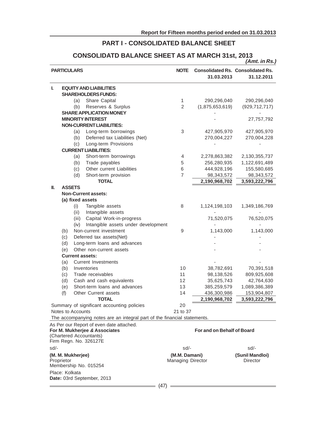# **PART I - CONSOLIDATED BALANCE SHEET**

# **CONSOLIDATD BALANCE SHEET AS AT MARCH 31st, 2013**

**(Amt. in Rs.)**

|      | <b>PARTICULARS</b> |      |                                                                          | <b>NOTE</b>       | 31.03.2013                 | <b>Consolidated Rs. Consolidated Rs.</b><br>31.12.2011 |
|------|--------------------|------|--------------------------------------------------------------------------|-------------------|----------------------------|--------------------------------------------------------|
| ı.   |                    |      | <b>EQUITY AND LIABILITIES</b>                                            |                   |                            |                                                        |
|      |                    |      | <b>SHAREHOLDERS FUNDS:</b>                                               |                   |                            |                                                        |
|      |                    | (a)  | Share Capital                                                            | $\mathbf{1}$      | 290,296,040                | 290,296,040                                            |
|      |                    | (b)  | Reserves & Surplus                                                       | $\overline{2}$    | (1,875,653,619)            | (929, 712, 717)                                        |
|      |                    |      | <b>SHARE APPLICATION MONEY</b>                                           |                   |                            |                                                        |
|      |                    |      | <b>MINORITY INTEREST</b>                                                 |                   |                            | 27,757,792                                             |
|      |                    |      | <b>NON-CURRENT LIABILITIES:</b>                                          |                   |                            |                                                        |
|      |                    | (a)  | Long-term borrowings                                                     | 3                 | 427,905,970                | 427,905,970                                            |
|      |                    | (b)  | Deferred tax Liabilities (Net)                                           |                   | 270,004,227                | 270,004,228                                            |
|      |                    | (c)  | Long-term Provisions                                                     |                   |                            |                                                        |
|      |                    |      | <b>CURRENT LIABILITIES:</b>                                              |                   |                            |                                                        |
|      |                    | (a)  | Short-term borrowings                                                    | 4                 | 2,278,863,382              | 2,130,355,737                                          |
|      |                    | (b)  | Trade payables                                                           | 5                 | 256,280,935                | 1,122,691,489                                          |
|      |                    | (c)  | Other current Liabilities                                                | 6                 | 444,928,196                | 155,580,685                                            |
|      |                    | (d)  | Short-term provision                                                     | $\overline{7}$    | 98,343,572                 | 98,343,572                                             |
|      |                    |      | <b>TOTAL</b>                                                             |                   | 2,190,968,702              | 3,593,222,796                                          |
| Ш.   | <b>ASSETS</b>      |      |                                                                          |                   |                            |                                                        |
|      |                    |      | <b>Non-Current assets:</b>                                               |                   |                            |                                                        |
|      |                    |      | (a) fixed assets                                                         |                   |                            |                                                        |
|      |                    | (i)  | Tangible assets                                                          | 8                 | 1,124,198,103              | 1,349,186,769                                          |
|      |                    | (ii) | Intangible assets                                                        |                   |                            |                                                        |
|      |                    |      | (iii) Capital Work-in-progress                                           |                   | 71,520,075                 | 76,520,075                                             |
|      |                    | (iv) | Intangible assets under development                                      |                   |                            |                                                        |
|      | (b)                |      | Non-current investment                                                   | 9                 | 1,143,000                  | 1,143,000                                              |
|      | (c)                |      | Deferred tax assets(Net)                                                 |                   |                            |                                                        |
|      | (d)                |      | Long-term loans and advances                                             |                   |                            |                                                        |
|      | (e)                |      | Other non-current assets                                                 |                   |                            |                                                        |
|      |                    |      | <b>Current assets:</b>                                                   |                   |                            |                                                        |
|      | (a)                |      | <b>Current Investments</b>                                               |                   |                            |                                                        |
|      | (b)                |      | Inventories                                                              | 10                | 38,782,691                 | 70,391,518                                             |
|      | (c)                |      | Trade receivables                                                        | 11                | 98,138,526                 | 809,925,608                                            |
|      | (d)                |      | Cash and cash equivalents                                                | 12                | 35,625,743                 | 42,764,630                                             |
|      | (e)                |      | Short-term loans and advances                                            | 13                | 385,259,579                | 1,089,386,389                                          |
|      | (f)                |      | Other Current assets                                                     | 14                | 436,300,986                | 153,904,807                                            |
|      |                    |      | <b>TOTAL</b>                                                             |                   | 2,190,968,702              | 3,593,222,796                                          |
|      |                    |      | Summary of significant accounting policies                               | 20                |                            |                                                        |
|      | Notes to Accounts  |      |                                                                          | 21 to 37          |                            |                                                        |
|      |                    |      | The accompanying notes are an integral part of the financial statements. |                   |                            |                                                        |
|      |                    |      | As Per our Report of even date attached.                                 |                   |                            |                                                        |
|      |                    |      | For M. Mukherjee & Associates                                            |                   | For and on Behalf of Board |                                                        |
|      |                    |      | (Chartered Accountants)                                                  |                   |                            |                                                        |
|      |                    |      | Firm Regn. No. 326127E                                                   |                   |                            |                                                        |
| sd/- |                    |      |                                                                          | $sd/-$            |                            | $sd/-$                                                 |
|      | (M. M. Mukherjee)  |      |                                                                          | (M.M. Damani)     |                            | (Sunil Mandloi)                                        |
|      | Proprietor         |      |                                                                          | Managing Director |                            | Director                                               |
|      |                    |      | Membership No. 015254                                                    |                   |                            |                                                        |
|      | Place: Kolkata     |      |                                                                          |                   |                            |                                                        |
|      |                    |      | Date: 03rd September, 2013                                               |                   |                            |                                                        |
|      |                    |      | (47)                                                                     |                   |                            |                                                        |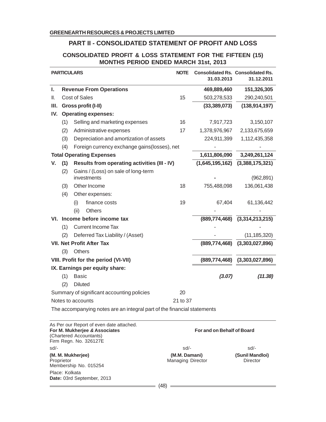# **PART II - CONSOLIDATED STATEMENT OF PROFIT AND LOSS**

# **CONSOLIDATED PROFIT & LOSS STATEMENT FOR THE FIFTEEN (15) MONTHS PERIOD ENDED MARCH 31st, 2013**

|                                                                            | <b>PARTICULARS</b> |              |                                                                                                                                | <b>NOTE</b>                               | <b>Consolidated Rs. Consolidated Rs.</b><br>31.03.2013 | 31.12.2011                             |
|----------------------------------------------------------------------------|--------------------|--------------|--------------------------------------------------------------------------------------------------------------------------------|-------------------------------------------|--------------------------------------------------------|----------------------------------------|
| ı.                                                                         |                    |              | <b>Revenue From Operations</b>                                                                                                 |                                           | 469,889,460                                            | 151,326,305                            |
| Ш.                                                                         |                    |              | <b>Cost of Sales</b>                                                                                                           | 15                                        | 503,278,533                                            | 290,240,501                            |
| Ш.                                                                         |                    |              | Gross profit (I-II)                                                                                                            |                                           | (33, 389, 073)                                         | (138, 914, 197)                        |
| IV.                                                                        |                    |              | <b>Operating expenses:</b>                                                                                                     |                                           |                                                        |                                        |
|                                                                            | (1)                |              | Selling and marketing expenses                                                                                                 | 16                                        | 7,917,723                                              | 3,150,107                              |
|                                                                            | (2)                |              | Administrative expenses                                                                                                        | 17                                        | 1,378,976,967                                          | 2,133,675,659                          |
|                                                                            | (3)                |              | Depreciation and amortization of assets                                                                                        |                                           | 224,911,399                                            | 1,112,435,358                          |
|                                                                            | (4)                |              | Foreign currency exchange gains (losses), net                                                                                  |                                           |                                                        |                                        |
| <b>Total Operating Expenses</b>                                            |                    |              |                                                                                                                                |                                           | 1,611,806,090                                          | 3,249,261,124                          |
| V.                                                                         | (1)                |              | Results from operating activities (III - IV)                                                                                   |                                           |                                                        | $(1,645,195,162)$ $(3,388,175,321)$    |
|                                                                            | (2)                |              | Gains / (Loss) on sale of long-term                                                                                            |                                           |                                                        |                                        |
|                                                                            |                    |              | investments                                                                                                                    |                                           |                                                        | (962, 891)                             |
|                                                                            | (3)                |              | Other Income                                                                                                                   | 18                                        | 755,488,098                                            | 136,061,438                            |
|                                                                            | (4)                |              | Other expenses:                                                                                                                |                                           |                                                        |                                        |
|                                                                            |                    | (i)          | finance costs                                                                                                                  | 19                                        | 67,404                                                 | 61,136,442                             |
|                                                                            |                    | (ii)         | Others                                                                                                                         |                                           |                                                        |                                        |
|                                                                            |                    |              | VI. Income before income tax                                                                                                   |                                           | (889, 774, 468)                                        | (3,314,213,215)                        |
|                                                                            | (1)                |              | <b>Current Income Tax</b>                                                                                                      |                                           |                                                        |                                        |
|                                                                            | (2)                |              | Deferred Tax Liability / (Asset)                                                                                               |                                           |                                                        | (11, 185, 320)                         |
|                                                                            |                    |              | <b>VII. Net Profit After Tax</b>                                                                                               |                                           | (889, 774, 468)                                        | (3,303,027,896)                        |
|                                                                            | (3)                |              | Others                                                                                                                         |                                           |                                                        |                                        |
|                                                                            |                    |              | VIII. Profit for the period (VI-VII)                                                                                           |                                           |                                                        | $(889, 774, 468)$ $(3, 303, 027, 896)$ |
|                                                                            |                    |              | IX. Earnings per equity share:                                                                                                 |                                           |                                                        |                                        |
|                                                                            | (1)                | <b>Basic</b> |                                                                                                                                |                                           | (3.07)                                                 | (11.38)                                |
|                                                                            | (2)                |              | <b>Diluted</b>                                                                                                                 |                                           |                                                        |                                        |
|                                                                            |                    |              | Summary of significant accounting policies                                                                                     | 20                                        |                                                        |                                        |
|                                                                            |                    |              | Notes to accounts                                                                                                              | 21 to 37                                  |                                                        |                                        |
|                                                                            |                    |              | The accompanying notes are an integral part of the financial statements                                                        |                                           |                                                        |                                        |
|                                                                            |                    |              | As Per our Report of even date attached.<br>For M. Mukherjee & Associates<br>(Chartered Accountants)<br>Firm Regn. No. 326127E |                                           | For and on Behalf of Board                             |                                        |
| $sd/-$                                                                     |                    |              |                                                                                                                                | sd/-                                      |                                                        | $sd/-$                                 |
| (M. M. Mukherjee)<br>Proprietor<br>Membership No. 015254<br>Place: Kolkata |                    |              |                                                                                                                                | (M.M. Damani)<br><b>Managing Director</b> |                                                        | (Sunil Mandloi)<br>Director            |

**Date:** 03rd September, 2013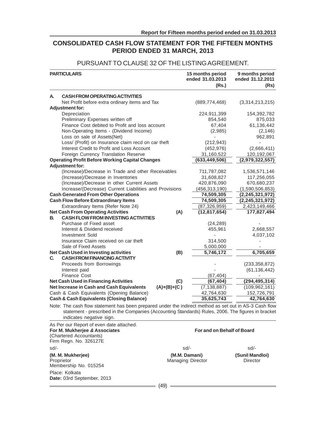# **CONSOLIDATED CASH FLOW STATEMENT FOR THE FIFTEEN MONTHS PERIOD ENDED 31 MARCH, 2013**

| <b>PARTICULARS</b>                                     |               | 15 months period<br>ended 31.03.2013<br>(Rs.) | 9 months period<br>ended 31.12.2011<br>(Rs) |
|--------------------------------------------------------|---------------|-----------------------------------------------|---------------------------------------------|
| <b>CASH FROM OPERATING ACTIVITIES</b><br>А.            |               |                                               |                                             |
| Net Profit before extra ordinary items and Tax         |               | (889, 774, 468)                               | (3,314,213,215)                             |
| <b>Adjustment for:</b>                                 |               |                                               |                                             |
| Depreciation                                           |               | 224,911,399                                   | 154,392,782                                 |
| Preliminary Expenses written off                       |               | 854,540                                       | 875,033                                     |
| Finance Cost debited to Profit and loss account        |               | 67,404                                        | 61,136,442                                  |
| Non-Operating Items - (Dividend Income)                |               | (2,985)                                       | (2, 146)                                    |
| Loss on sale of Assets(Net)                            |               |                                               | 962,891                                     |
| Loss/ (Profit) on Insurance claim recd on car theft    |               | (212, 943)                                    |                                             |
| Interest Credit to Profit and Loss Account             |               | (452, 976)                                    | (2,666,411)                                 |
| Foreign Currency Translation Reserve                   |               | 31,160,522                                    | 120,192,067                                 |
| <b>Operating Profit Before Working Capital Changes</b> |               | (633, 449, 506)                               | (2,979,322,557)                             |
| <b>Adjustment for:</b>                                 |               |                                               |                                             |
| (Increase)/Decrease in Trade and other Receivables     |               | 711,787,082                                   | 1,536,571,146                               |
| (Increase)/Decrease in Inventories                     |               | 31,608,827                                    | 117,256,055                                 |
| (Increase)/Decrease in other Current Assets            |               | 420,876,090                                   | 670,680,237                                 |
| Increase/(Decrease) Current Liabilities and Provisions |               | (456, 313, 190)                               | (1,590,506,853)                             |
| <b>Cash Generated From Other Operations</b>            |               | 74,509,305                                    | (2, 245, 321, 972)                          |
| <b>Cash Flow Before Extraordinary Items</b>            |               | 74,509,305                                    | (2, 245, 321, 972)                          |
| Extraordinary Items (Refer Note 24)                    |               | (87, 326, 959)                                | 2,423,149,466                               |
| <b>Net Cash From Operating Activities</b>              | (A)           | (12, 817, 654)                                | 177,827,494                                 |
| <b>CASH FLOW FROM INVESTING ACTIVITIES</b><br>В.       |               |                                               |                                             |
| Purchase of Fixed asset                                |               | (24, 289)                                     |                                             |
| Interest & Dividend received                           |               | 455,961                                       | 2,668,557                                   |
| <b>Investment Sold</b>                                 |               |                                               | 4,037,102                                   |
| Insurance Claim received on car theft                  |               | 314,500                                       |                                             |
| Sale of Fixed Assets                                   |               | 5,000,000                                     |                                             |
| <b>Net Cash Used in Investing activities</b>           | (B)           | 5,746,172                                     | 6,705,659                                   |
| <b>CASH FROM FINANCING ACTIVITY</b><br>C.              |               |                                               |                                             |
| Proceeds from Borrowings                               |               |                                               | (233, 358, 872)                             |
| Interest paid                                          |               |                                               | (61, 136, 442)                              |
| <b>Finance Cost</b>                                    |               | (67, 404)                                     |                                             |
| <b>Net Cash Used in Financing Activities</b>           | (C)           | (67, 404)                                     | (294, 495, 314)                             |
| Net Increase in Cash and Cash Equivalents              | $(A)+(B)+(C)$ | (7, 138, 887)                                 | (109, 962, 161)                             |
| Cash & Cash Equivalents (Opening Balance)              |               | 42,764,630                                    | 152,726,791                                 |
| <b>Cash &amp; Cash Equivalents (Closing Balance)</b>   |               | 35,625,743                                    | 42,764,630                                  |

# PURSUANT TO CLAUSE 32 OF THE LISTING AGREEMENT.

Note: The cash flow statement has been prepared under the indirect method as set out in AS-3 Cash flow statement - prescribed in the Companies (Accounting Standards) Rules, 2006. The figures in bracket indicates negative sign.

As Per our Report of even date attached. **For M. Mukherjee & Associates For and on Behalf of Board** (Chartered Accountants) Firm Regn. No. 326127E sd/- sd/- sd/- **(M. M. Mukherjee) (M.M. Damani) (Sunil Mandloi)** Managing Director Membership No. 015254 Place: Kolkata **Date:** 03rd September, 2013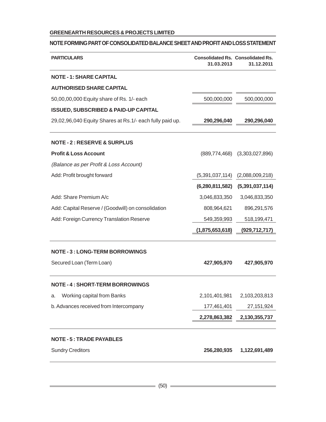# **NOTE FORMING PART OF CONSOLIDATED BALANCE SHEET AND PROFIT AND LOSS STATEMENT**

| <b>PARTICULARS</b>                                       | <b>Consolidated Rs. Consolidated Rs.</b><br>31.03.2013 | 31.12.2011                    |
|----------------------------------------------------------|--------------------------------------------------------|-------------------------------|
| <b>NOTE - 1: SHARE CAPITAL</b>                           |                                                        |                               |
| <b>AUTHORISED SHARE CAPITAL</b>                          |                                                        |                               |
| 50,00,00,000 Equity share of Rs. 1/- each                | 500,000,000                                            | 500,000,000                   |
| <b>ISSUED, SUBSCRIBED &amp; PAID-UP CAPITAL</b>          |                                                        |                               |
| 29,02,96,040 Equity Shares at Rs.1/- each fully paid up. | 290,296,040                                            | 290,296,040                   |
| <b>NOTE - 2: RESERVE &amp; SURPLUS</b>                   |                                                        |                               |
| <b>Profit &amp; Loss Account</b>                         |                                                        | (889,774,468) (3,303,027,896) |
| (Balance as per Profit & Loss Account)                   |                                                        |                               |
| Add: Profit brought forward                              | (5,391,037,114)                                        | (2,088,009,218)               |
|                                                          | (6,280,811,582)                                        | (5,391,037,114)               |
| Add: Share Premium A/c                                   | 3,046,833,350                                          | 3,046,833,350                 |
| Add: Capital Reserve / (Goodwill) on consolidation       | 808,964,621                                            | 896,291,576                   |
| Add: Foreign Currency Translation Reserve                | 549,359,993                                            | 518,199,471                   |
|                                                          | (1,875,653,618)                                        | (929, 712, 717)               |
| <b>NOTE - 3: LONG-TERM BORROWINGS</b>                    |                                                        |                               |
| Secured Loan (Term Loan)                                 | 427,905,970                                            | 427,905,970                   |
| <b>NOTE - 4 : SHORT-TERM BORROWINGS</b>                  |                                                        |                               |
| Working capital from Banks<br>a.                         | 2,101,401,981                                          | 2,103,203,813                 |
| b. Advances received from Intercompany                   | 177,461,401                                            | 27, 151, 924                  |
|                                                          | 2,278,863,382                                          | 2,130,355,737                 |
| <b>NOTE - 5: TRADE PAYABLES</b>                          |                                                        |                               |
| <b>Sundry Creditors</b>                                  | 256,280,935                                            | 1,122,691,489                 |

 $\equiv$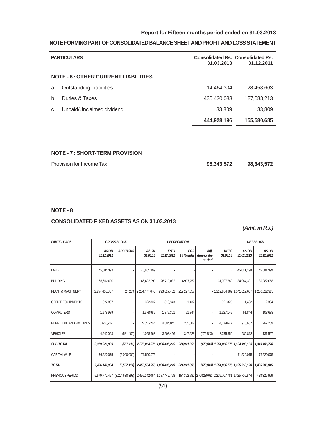|    | <b>PARTICULARS</b>                         | Consolidated Rs. Consolidated Rs.<br>31.03.2013 | 31.12.2011  |
|----|--------------------------------------------|-------------------------------------------------|-------------|
|    | <b>NOTE - 6: OTHER CURRENT LIABILITIES</b> |                                                 |             |
| a. | <b>Outstanding Liabilities</b>             | 14,464,304                                      | 28,458,663  |
| h. | Duties & Taxes                             | 430,430,083                                     | 127,088,213 |
| c. | Unpaid/Unclaimed dividend                  | 33,809                                          | 33,809      |
|    |                                            | 444,928,196                                     | 155,580,685 |
|    |                                            |                                                 |             |
|    |                                            |                                                 |             |

# **NOTE FORMING PART OF CONSOLIDATED BALANCE SHEET AND PROFIT AND LOSS STATEMENT**

# **NOTE - 7 : SHORT-TERM PROVISION**

| Provision for Income Tax | 98,343,572 | 98,343,572 |
|--------------------------|------------|------------|
|                          |            |            |

# **NOTE - 8**

#### **CONSOLIDATED FIXED ASSETS AS ON 31.03.2013**

#### **(Amt. in Rs.)**

| <b>PARTICULARS</b>            |                     | <b>GROSS BLOCK</b>            |                             |                           | <b>DEPRECIATION</b>     |                              |                                                       | <b>NET BLOCK</b>    |                     |
|-------------------------------|---------------------|-------------------------------|-----------------------------|---------------------------|-------------------------|------------------------------|-------------------------------------------------------|---------------------|---------------------|
|                               | AS ON<br>31.12.2011 | <b>ADDITIONS</b>              | AS ON<br>31.03.13           | <b>UPTO</b><br>31.12.2011 | <b>FOR</b><br>15 Months | Adj.<br>during the<br>period | <b>UPTO</b><br>31.03.13                               | AS ON<br>31.03.2013 | AS ON<br>31.12.2011 |
| LAND                          | 45.881.399          |                               | 45,881,399                  |                           |                         |                              |                                                       | 45,881,399          | 45,881,399          |
| <b>BUILDING</b>               | 66,692,090          |                               | 66,692,090                  | 26.710.032                | 4,997,757               |                              | 31,707,789                                            | 34.984.301          | 39,982,058          |
| PLANT & MACHINERY             | 2,254,450,357       | 24,289                        | 2,254,474,646               | 993,627,432               | 219,227,557             |                              | 1,212,854,989 1,041,619,657                           |                     | 1,260,822,925       |
| OFFICE EQUIPMENTS             | 322,807             |                               | 322,807                     | 319,943                   | 1,432                   |                              | 321,375                                               | 1,432               | 2,864               |
| <b>COMPUTERS</b>              | 1.978.989           |                               | 1.978.989                   | 1,875,301                 | 51,844                  |                              | 1,927,145                                             | 51,844              | 103,688             |
| <b>FURNITURE AND FIXTURES</b> | 5,656,284           |                               | 5,656,284                   | 4,394,045                 | 285,582                 |                              | 4,679,627                                             | 976,657             | 1,262,239           |
| <b>VEHICLES</b>               | 4,640,063           | (581, 400)                    | 4,058,663                   | 3,508,466                 | 347,228                 | (479, 843)                   | 3,375,850                                             | 682,813             | 1,131,597           |
| <b>SUB-TOTAL</b>              | 2,379,621,989       | (557, 111)                    | 2,379,064,878 1,030,435,219 |                           | 224,911,399             |                              | (479,843) 1,254,866,775 1,124,198,103                 |                     | 1,349,186,770       |
| CAPITAL W.I.P.                | 76,520,075          | (5,000,000)                   | 71,520,075                  |                           |                         |                              |                                                       | 71,520,075          | 76,520,075          |
| <b>TOTAL</b>                  | 2,456,142,064       | (5,557,111)                   | 2,450,584,953 1,030,435,219 |                           | 224,911,399             |                              | (479,843) 1,254,866,775 1,195,718,178                 |                     | 1,425,706,845       |
| PREVIOUS PERIOD               |                     | 5,570,772,457 (3,114,630,393) | 2,456,142,064 1,287,442,798 |                           |                         |                              | 154,392,782 2,703,230,033 2,209,707,781 1,425,706,844 |                     | 428,329,659         |
|                               |                     |                               |                             | (51)                      |                         |                              |                                                       |                     |                     |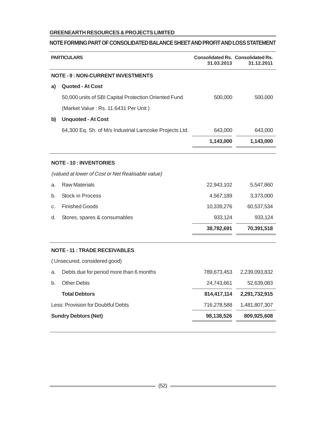# **NOTE FORMING PART OF CONSOLIDATED BALANCE SHEET AND PROFIT AND LOSS STATEMENT**

|    | <b>PARTICULARS</b>                                     | 31.03.2013  | <b>Consolidated Rs. Consolidated Rs.</b><br>31.12.2011 |
|----|--------------------------------------------------------|-------------|--------------------------------------------------------|
|    | NOTE - 9: NON-CURRENT INVESTMENTS                      |             |                                                        |
| a) | <b>Quoted - At Cost</b>                                |             |                                                        |
|    | 50,000 units of SBI Capital Protection Oriented Fund   | 500,000     | 500,000                                                |
|    | (Market Value: Rs. 11.6431 Per Unit)                   |             |                                                        |
| b) | <b>Unquoted - At Cost</b>                              |             |                                                        |
|    | 64,300 Eq. Sh. of M/s Industrial Lamcoke Projects Ltd. | 643,000     | 643,000                                                |
|    |                                                        | 1,143,000   | 1,143,000                                              |
|    | <b>NOTE - 10 : INVENTORIES</b>                         |             |                                                        |
|    | (valued at lower of Cost or Net Realisable value)      |             |                                                        |
| a. | <b>Raw Materials</b>                                   | 22,943,102  | 5,547,860                                              |
| b. | Stock in Process                                       | 4,567,189   | 3,373,000                                              |
| c. | <b>Finished Goods</b>                                  | 10,339,276  | 60,537,534                                             |
| d. | Stores, spares & consumables                           | 933,124     | 933,124                                                |
|    |                                                        | 38,782,691  | 70,391,518                                             |
|    | <b>NOTE - 11: TRADE RECEIVABLES</b>                    |             |                                                        |
|    | (Unsecured, considered good)                           |             |                                                        |
| a. | Debts due for period more than 6 months                | 789,673,453 | 2,239,093,832                                          |
| b. | <b>Other Debts</b>                                     | 24,743,661  | 52,639,083                                             |
|    | <b>Total Debtors</b>                                   | 814,417,114 | 2,291,732,915                                          |
|    | Less: Provision for Doubtful Debts                     | 716,278,588 | 1,481,807,307                                          |
|    | <b>Sundry Debtors (Net)</b>                            | 98,138,526  | 809,925,608                                            |
|    |                                                        |             |                                                        |

 $\qquad \qquad =$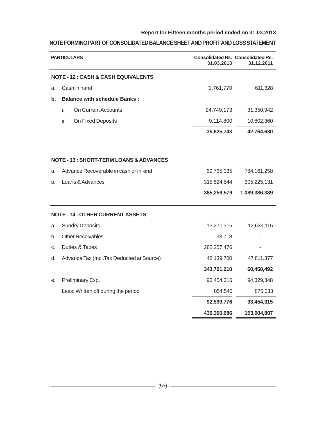|    | <b>PARTICULARS</b>                            | <b>Consolidated Rs. Consolidated Rs.</b><br>31.03.2013 | 31.12.2011    |
|----|-----------------------------------------------|--------------------------------------------------------|---------------|
|    | <b>NOTE - 12: CASH &amp; CASH EQUIVALENTS</b> |                                                        |               |
| a. | Cash in hand                                  | 1,761,770                                              | 611,328       |
| b. | <b>Balance with schedule Banks:</b>           |                                                        |               |
|    | i.<br>On Current Accounts                     | 24,749,173                                             | 31,350,942    |
|    | On Fixed Deposits<br>ii.                      | 9,114,800                                              | 10,802,360    |
|    |                                               | 35,625,743                                             | 42,764,630    |
|    | NOTE - 13 : SHORT-TERM LOANS & ADVANCES       |                                                        |               |
| a. | Advance Recoverable in cash or in kind        | 69,735,035                                             | 784,161,258   |
| b. | Loans & Advances                              | 315,524,544                                            | 305,225,131   |
|    |                                               | 385,259,579                                            | 1,089,386,389 |
|    | <b>NOTE - 14: OTHER CURRENT ASSETS</b>        |                                                        |               |
| a. | <b>Sundry Deposits</b>                        | 13,270,315                                             | 12,639,115    |
| b. | <b>Other Receivables</b>                      | 33,718                                                 |               |
| c. | Duties & Taxes                                | 282,257,476                                            |               |
| d. | Advance Tax (Incl. Tax Deducted at Source)    | 48,139,700                                             | 47,811,377    |
|    |                                               | 343,701,210                                            | 60,450,492    |
| е. | Preliminary Exp.                              | 93,454,316                                             | 94,329,348    |
|    | Less: Written off during the period           | 854,540                                                | 875,033       |
|    |                                               | 92,599,776                                             | 93,454,315    |
|    |                                               | 436,300,986                                            | 153,904,807   |

# **NOTE FORMING PART OF CONSOLIDATED BALANCE SHEET AND PROFIT AND LOSS STATEMENT**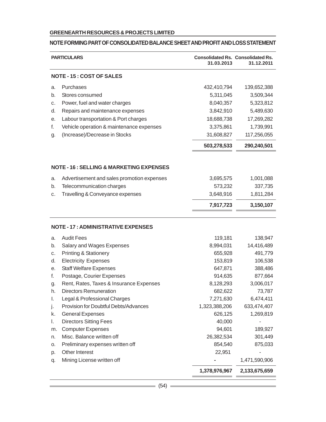# **NOTE FORMING PART OF CONSOLIDATED BALANCE SHEET AND PROFIT AND LOSS STATEMENT**

|    | <b>PARTICULARS</b>                                 | 31.03.2013    | <b>Consolidated Rs. Consolidated Rs.</b><br>31.12.2011 |
|----|----------------------------------------------------|---------------|--------------------------------------------------------|
|    | <b>NOTE - 15: COST OF SALES</b>                    |               |                                                        |
| a. | Purchases                                          | 432,410,794   | 139,652,388                                            |
| b. | Stores consumed                                    | 5,311,045     | 3,509,344                                              |
| С. | Power, fuel and water charges                      | 8,040,357     | 5,323,812                                              |
| d. | Repairs and maintenance expenses                   | 3,842,910     | 5,489,630                                              |
| е. | Labour transportation & Port charges               | 18,688,738    | 17,269,282                                             |
| f. | Vehicle operation & maintenance expenses           | 3,375,861     | 1,739,991                                              |
| g. | (Increase)/Decrease in Stocks                      | 31,608,827    | 117,256,055                                            |
|    |                                                    | 503,278,533   | 290,240,501                                            |
|    | <b>NOTE - 16: SELLING &amp; MARKETING EXPENSES</b> |               |                                                        |
|    |                                                    |               |                                                        |
| a. | Advertisement and sales promotion expenses         | 3,695,575     | 1,001,088                                              |
| b. | Telecommunication charges                          | 573,232       | 337,735                                                |
| С. | Travelling & Conveyance expenses                   | 3,648,916     | 1,811,284                                              |
|    |                                                    | 7,917,723     | 3,150,107                                              |
|    | <b>NOTE - 17: ADMINISTRATIVE EXPENSES</b>          |               |                                                        |
| a. | <b>Audit Fees</b>                                  | 119,181       | 138,947                                                |
| b. | Salary and Wages Expenses                          | 8,994,031     | 14,416,489                                             |
| С. | <b>Printing &amp; Stationery</b>                   | 655,928       | 491,779                                                |
| d. | <b>Electricity Expenses</b>                        | 153,819       | 106,538                                                |
| е. | <b>Staff Welfare Expenses</b>                      | 647,871       | 388,486                                                |
| f. | Postage, Courier Expenses                          | 914,635       | 877,664                                                |
| g. | Rent, Rates, Taxes & Insurance Expenses            | 8,128,293     | 3,006,017                                              |
| h. | <b>Directors Remuneration</b>                      | 682,622       | 73,787                                                 |
| I. | Legal & Professional Charges                       | 7,271,630     | 6,474,411                                              |
| j. | Provision for Doubtful Debts/Advances              | 1,323,388,206 | 633,474,407                                            |
| κ. | <b>General Expenses</b>                            | 626,125       | 1,269,819                                              |
| ı. | <b>Directors Sitting Fees</b>                      | 40,000        |                                                        |
| m. | <b>Computer Expenses</b>                           | 94,601        | 189,927                                                |
| n. | Misc. Balance written off                          | 26,382,534    | 301,449                                                |
| о. | Preliminary expenses written off                   | 854,540       | 875,033                                                |
| p. | Other Interest                                     | 22,951        |                                                        |
| q. | Mining License written off                         |               | 1,471,590,906                                          |
|    |                                                    | 1,378,976,967 | 2,133,675,659                                          |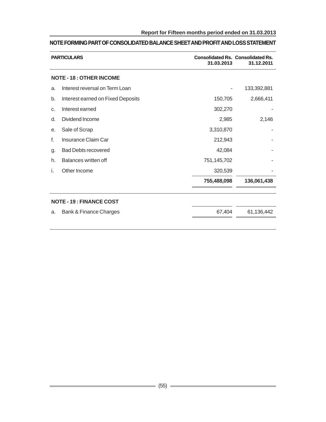|    | <b>PARTICULARS</b>                | 31.03.2013  | <b>Consolidated Rs. Consolidated Rs.</b><br>31.12.2011 |
|----|-----------------------------------|-------------|--------------------------------------------------------|
|    | <b>NOTE - 18: OTHER INCOME</b>    |             |                                                        |
| a. | Interest reversal on Term Loan    |             | 133,392,881                                            |
| b. | Interest earned on Fixed Deposits | 150,705     | 2,666,411                                              |
| C. | Interest earned                   | 302,270     |                                                        |
| d. | Dividend Income                   | 2,985       | 2,146                                                  |
| е. | Sale of Scrap                     | 3,310,870   |                                                        |
| f. | Insurance Claim Car               | 212,943     |                                                        |
| g. | <b>Bad Debts recovered</b>        | 42,084      |                                                        |
| h. | Balances written off              | 751,145,702 |                                                        |
| i. | Other Income                      | 320,539     |                                                        |
|    |                                   | 755,488,098 | 136,061,438                                            |
|    | <b>NOTE - 19: FINANCE COST</b>    |             |                                                        |
| a. | <b>Bank &amp; Finance Charges</b> | 67,404      | 61,136,442                                             |
|    |                                   |             |                                                        |

# **NOTE FORMING PART OF CONSOLIDATED BALANCE SHEET AND PROFIT AND LOSS STATEMENT**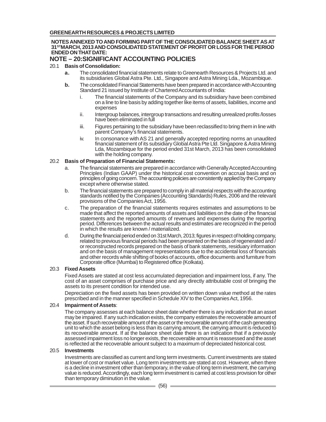#### **NOTES ANNEXED TO AND FORMING PART OF THE CONSOLIDATED BALANCE SHEET AS AT 31STMARCH, 2013 AND CONSOLIDATED STATEMENT OF PROFIT OR LOSS FOR THE PERIOD ENDED ON THAT DATE:**

# **NOTE – 20:SIGNIFICANT ACCOUNTING POLICIES**

#### 20.1 **Basis of Consolidation:**

- **a.** The consolidated financial statements relate to Greenearth Resources & Projects Ltd. and its subsidiaries Global Astra Pte. Ltd., Singapore and Astra Mining Lda., Mozambique.
- **b.** The consolidated Financial Statements have been prepared in accordance with Accounting Standard 21 issued by Institute of Chartered Accountants of India:
	- i. The financial statements of the Company and its subsidiary have been combined on a line to line basis by adding together like items of assets, liabilities, income and expenses
	- ii. Intergroup balances, intergroup transactions and resulting unrealized profits /losses have been eliminated in full
	- iii. Figures pertaining to the subsidiary have been reclassified to bring them in line with parent Company's financial statements.
	- iv. In consonance with AS 21 and generally accepted reporting norms an unaudited financial statement of its subsidiary Global Astra Pte Ltd. Singapore & Astra Mining Lda, Mozambique for the period ended 31st March, 2013 has been consolidated with the holding company.

#### 20.2 **Basis of Preparation of Financial Statements:**

- a. The financial statements are prepared in accordance with Generally Accepted Accounting Principles (Indian GAAP) under the historical cost convention on accrual basis and on principles of going concern. The accounting policies are consistently applied by the Company except where otherwise stated.
- b. The financial statements are prepared to comply in all material respects with the accounting standards notified by the Companies (Accounting Standards) Rules, 2006 and the relevant provisions of the Companies Act, 1956.
- c. The preparation of the financial statements requires estimates and assumptions to be made that affect the reported amounts of assets and liabilities on the date of the financial statements and the reported amounts of revenues and expenses during the reporting period. Differences between the actual results and estimates are recognized in the period in which the results are known / materialized.
- d. During the financial period ended on 31st March, 2013; figures in respect of holding company, related to previous financial periods had been presented on the basis of regenerated and / or reconstructed records prepared on the basis of bank statements, residuary information and on the basis of management representations due to the accidental loss of financials and other records while shifting of books of accounts, office documents and furniture from Corporate office (Mumbai) to Registered office (Kolkata).

#### 20.3 **Fixed Assets**

Fixed Assets are stated at cost less accumulated depreciation and impairment loss, if any. The cost of an asset comprises of purchase price and any directly attributable cost of bringing the assets to its present condition for intended use.

Depreciation on the fixed assets has been provided on written down value method at the rates prescribed and in the manner specified in Schedule XIV to the Companies Act, 1956.

#### 20.4 **Impairment of Assets**:

The company assesses at each balance sheet date whether there is any indication that an asset may be impaired. If any such indication exists, the company estimates the recoverable amount of the asset. If such recoverable amount of the asset or the recoverable amount of the cash generating unit to which the asset belong is less than its carrying amount, the carrying amount is reduced to its recoverable amount. If at the balance sheet date there is an indication that if a previously assessed impairment loss no longer exists, the recoverable amount is reassessed and the asset is reflected at the recoverable amount subject to a maximum of depreciated historical cost.

#### 20.5 **Investments**

Investments are classified as current and long term investments. Current investments are stated at lower of cost or market value. Long term investments are stated at cost. However, when there is a decline in investment other than temporary, in the value of long term investment, the carrying value is reduced. Accordingly, each long term investment is carried at cost less provision for other than temporary diminution in the value.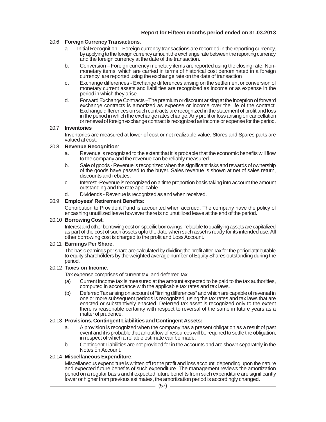#### 20.6 **Foreign Currency Transactions**:

- a. Initial Recognition Foreign currency transactions are recorded in the reporting currency, by applying to the foreign currency amount the exchange rate between the reporting currency and the foreign currency at the date of the transaction.
- b. Conversion Foreign currency monetary items are reported using the closing rate. Nonmonetary items, which are carried in terms of historical cost denominated in a foreign currency, are reported using the exchange rate on the date of transaction
- c. Exchange differences Exchange differences arising on the settlement or conversion of monetary current assets and liabilities are recognized as income or as expense in the period in which they arise.
- d. Forward Exchange Contracts –The premium or discount arising at the inception of forward exchange contracts is amortized as expense or income over the life of the contract. Exchange differences on such contracts are recognized in the statement of profit and loss in the period in which the exchange rates change. Any profit or loss arising on cancellation or renewal of foreign exchange contract is recognized as income or expense for the period.

#### 20.7 **Inventories**

Inventories are measured at lower of cost or net realizable value. Stores and Spares parts are valued at cost.

#### 20.8 **Revenue Recognition**:

- a. Revenue is recognized to the extent that it is probable that the economic benefits will flow to the company and the revenue can be reliably measured.
- b. Sale of goods Revenue is recognized when the significant risks and rewards of ownership of the goods have passed to the buyer. Sales revenue is shown at net of sales return, discounts and rebates.
- c. Interest -Revenue is recognized on a time proportion basis taking into account the amount outstanding and the rate applicable.
- d. Dividends Revenue is recognized as and when received.

#### 20.9 **Employees' Retirement Benefits**:

Contribution to Provident Fund is accounted when accrued. The company have the policy of encashing unutilized leave however there is no unutilized leave at the end of the period.

#### 20.10 **Borrowing Cost**:

Interest and other borrowing cost on specific borrowings, relatable to qualifying assets are capitalized as part of the cost of such assets upto the date when such asset is ready for its intended use. All other borrowing cost is charged to the profit and Loss Account.

#### 20.11 **Earnings Per Share**:

The basic earnings per share are calculated by dividing the profit after Tax for the period attributable to equity shareholders by the weighted average number of Equity Shares outstanding during the period.

#### 20.12 **Taxes on Income**:

Tax expense comprises of current tax, and deferred tax.

- (a) Current income tax is measured at the amount expected to be paid to the tax authorities, computed in accordance with the applicable tax rates and tax laws.
- (b) Deferred Tax arising on account of "timing differences" and which are capable of reversal in one or more subsequent periods is recognized, using the tax rates and tax laws that are enacted or substantively enacted. Deferred tax asset is recognized only to the extent there is reasonable certainty with respect to reversal of the same in future years as a matter of prudence.

#### 20.13 **Provisions, Contingent Liabilities and Contingent Assets:**

- a. A provision is recognized when the company has a present obligation as a result of past event and it is probable that an outflow of resources will be required to settle the obligation, in respect of which a reliable estimate can be made.
- b. Contingent Liabilities are not provided for in the accounts and are shown separately in the Notes on Account.

#### 20.14 **Miscellaneous Expenditure**:

Miscellaneous expenditure is written off to the profit and loss account, depending upon the nature and expected future benefits of such expenditure. The management reviews the amortization period on a regular basis and if expected future benefits from such expenditure are significantly lower or higher from previous estimates, the amortization period is accordingly changed.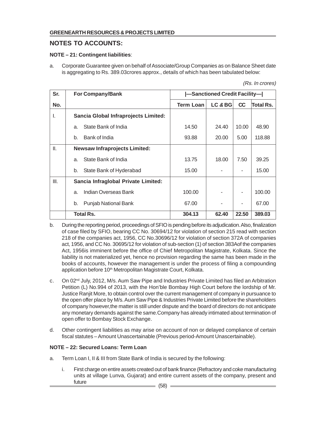# **NOTES TO ACCOUNTS:**

#### **NOTE – 21: Contingent liabilities**:

a. Corporate Guarantee given on behalf of Associate/Group Companies as on Balance Sheet date is aggregating to Rs. 389.03crores approx., details of which has been tabulated below:

|  | (Rs. In crores) |
|--|-----------------|
|  |                 |

| Sr.  | <b>For Company/Bank</b>                     | <b>-Sanctioned Credit Facility-</b> |         |       |                  |
|------|---------------------------------------------|-------------------------------------|---------|-------|------------------|
| No.  |                                             | <b>Term Loan</b>                    | LC & BG | cc    | <b>Total Rs.</b> |
| L.   | <b>Sancia Global Infraprojects Limited:</b> |                                     |         |       |                  |
|      | State Bank of India<br>a.                   | 14.50                               | 24.40   | 10.00 | 48.90            |
|      | Bank of India<br>b.                         | 93.88                               | 20.00   | 5.00  | 118.88           |
| II.  | <b>Newsaw Infraprojects Limited:</b>        |                                     |         |       |                  |
|      | State Bank of India<br>a.                   | 13.75                               | 18.00   | 7.50  | 39.25            |
|      | State Bank of Hyderabad<br>b.               | 15.00                               |         |       | 15.00            |
| III. | Sancia Infraglobal Private Limited:         |                                     |         |       |                  |
|      | Indian Overseas Bank<br>a.                  | 100.00                              |         |       | 100.00           |
|      | b.<br>Punjab National Bank                  | 67.00                               |         |       | 67.00            |
|      | <b>Total Rs.</b>                            | 304.13                              | 62.40   | 22.50 | 389.03           |

- b. During the reporting period, proceedings of SFIO is pending before its adjudication. Also, finalization of case filed by SFIO, bearing CC No. 30694/12 for violation of section 215 read with section 218 of the companies act, 1956, CC No.30696/12 for violation of section 372A of companies act, 1956, and CC No. 30695/12 for violation of sub-section (1) of section 383Aof the companies Act, 1956is imminent before the office of Chief Metropolitan Magistrate, Kolkata. Since the liability is not materialized yet, hence no provision regarding the same has been made in the books of accounts, however the management is under the process of filing a compounding application before 10<sup>th</sup> Metropolitan Magistrate Court, Kolkata.
- c. On 02<sup>nd</sup> July, 2012, M/s. Aum Saw Pipe and Industries Private Limited has filed an Arbitration Petition (L) No.994 of 2013, with the Hon'ble Bombay High Court before the lordship of Mr. Justice Ranjit More, to obtain control over the current management of company in pursuance to the open offer place by M/s. Aum Saw Pipe & Industries Private Limited before the shareholders of company however,the matter is still under dispute and the board of directors do not anticipate any monetary demands against the same.Company has already intimated about termination of open offer to Bombay Stock Exchange.
- d. Other contingent liabilities as may arise on account of non or delayed compliance of certain fiscal statutes – Amount Unascertainable (Previous period-Amount Unascertainable).

#### **NOTE – 22: Secured Loans: Term Loan**

- a. Term Loan I, II & III from State Bank of India is secured by the following:
	- $=$  (58)  $=$ i. First charge on entire assets created out of bank finance (Refractory and coke manufacturing units at village Lunva, Gujarat) and entire current assets of the company, present and future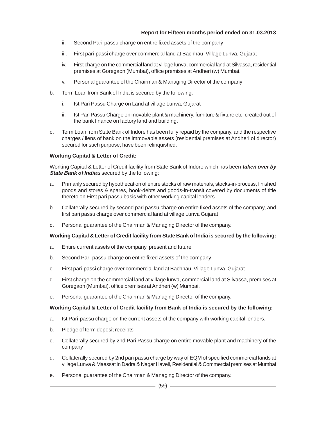- ii. Second Pari-passu charge on entire fixed assets of the company
- iii. First pari-passi charge over commercial land at Bachhau, Village Lunva, Gujarat
- iv. First charge on the commercial land at village lunva, commercial land at Silvassa, residential premises at Goregaon (Mumbai), office premises at Andheri (w) Mumbai.
- v. Personal guarantee of the Chairman & Managing Director of the company
- b. Term Loan from Bank of India is secured by the following:
	- i. Ist Pari Passu Charge on Land at village Lunva, Gujarat
	- ii. Ist Pari Passu Charge on movable plant & machinery, furniture & fixture etc. created out of the bank finance on factory land and building.
- c. Term Loan from State Bank of Indore has been fully repaid by the company, and the respective charges / liens of bank on the immovable assets (residential premises at Andheri of director) secured for such purpose, have been relinquished.

#### **Working Capital & Letter of Credit:**

Working Capital & Letter of Credit facility from State Bank of Indore which has been **taken over by State Bank of India**is secured by the following:

- a. Primarily secured by hypothecation of entire stocks of raw materials, stocks-in-process, finished goods and stores & spares, book-debts and goods-in-transit covered by documents of title thereto on First pari passu basis with other working capital lenders
- b. Collaterally secured by second pari passu charge on entire fixed assets of the company, and first pari passu charge over commercial land at village Lunva Gujarat
- c. Personal guarantee of the Chairman & Managing Director of the company.

#### **Working Capital & Letter of Credit facility from State Bank of India is secured by the following:**

- a. Entire current assets of the company, present and future
- b. Second Pari-passu charge on entire fixed assets of the company
- c. First pari-passi charge over commercial land at Bachhau, Village Lunva, Gujarat
- d. First charge on the commercial land at village lunva, commercial land at Silvassa, premises at Goregaon (Mumbai), office premises at Andheri (w) Mumbai.
- e. Personal guarantee of the Chairman & Managing Director of the company.

#### **Working Capital & Letter of Credit facility from Bank of India is secured by the following:**

- a. Ist Pari-passu charge on the current assets of the company with working capital lenders.
- b. Pledge of term deposit receipts
- c. Collaterally secured by 2nd Pari Passu charge on entire movable plant and machinery of the company
- d. Collaterally secured by 2nd pari passu charge by way of EQM of specified commercial lands at village Lunva & Maassat in Dadra & Nagar Haveli, Residential & Commercial premises at Mumbai
- e. Personal guarantee of the Chairman & Managing Director of the company.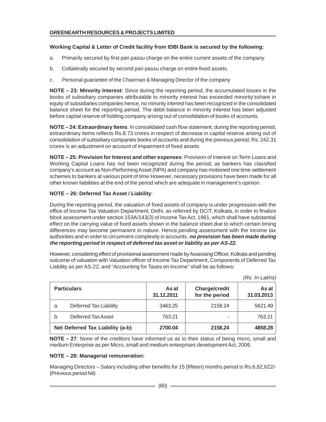# **Working Capital & Letter of Credit facility from IDBI Bank is secured by the following:**

- a. Primarily secured by first pari passu charge on the entire current assets of the company.
- b. Collaterally secured by second pari passu charge on entire fixed assets.
- c. Personal guarantee of the Chairman & Managing Director of the company

**NOTE – 23: Minority Interest:** Since during the reporting period, the accumulated losses in the books of subsidiary companies attributable to minority interest has exceeded minority'sshare in equity of subsidiaries companies hence, no minority interest has been recognized in the consolidated balance sheet for the reporting period. The debit balance in minority interest has been adjusted before capital reserve of holding company arising out of consolidation of books of accounts.

**NOTE – 24: Extraordinary Items**: In consolidated cash flow statement, during the reporting period, extraordinary items reflects Rs.8.73 crores in respect of decrease in capital reserve arising out of consolidation of subsidiary companies books of accounts and during the previous period, Rs. 242.31 crores is an adjustment on account of impairment of fixed assets.

**NOTE – 25: Provision for Interest and other expenses**: Provision of Interest on Term Loans and Working Capital Loans has not been recognized during the period, as bankers has classified company's account as Non-Performing Asset (NPA) and company has motioned one time-settlement schemes to bankers at various point of time.However, necessary provisions have been made for all other known liabilities at the end of the period which are adequate in management's opinion.

# **NOTE – 26: Deferred Tax Asset / Liability**:

During the reporting period, the valuation of fixed assets of company is under progression with the office of Income Tax Valuation Department, Delhi, as referred by DCIT, Kolkata, in order to finalize block assessment under section 153A/143(3) of Income Tax Act, 1961, which shall have substantial effect on the carrying value of fixed assets shown in the balance sheet,due to which certain timing differences may become permanent in nature. Hence,pending assessment with the income tax authorities and in order to circumvent complexity in accounts, **no provision has been made during the reporting period in respect of deferred tax asset or liability as per AS-22.**

However, considering effect of provisional assessment made by Assessing Officer, Kolkata and pending outcome of valuation with Valuation officer of Income Tax Department, Components of Deferred Tax Liability as per AS-22, and "Accounting for Taxes on Income" shall be as follows**:**

(Rs. In Lakhs)

|    | <b>Particulars</b>               | As at<br>31.12.2011 | <b>Charge/credit</b><br>for the period | As at<br>31.03.2013 |
|----|----------------------------------|---------------------|----------------------------------------|---------------------|
| a. | Deferred Tax Liability           | 3463.25             | 2158.24                                | 5621.49             |
| b. | Deferred Tax Asset               | 763.21              |                                        | 763.21              |
|    | Net Deferred Tax Liability (a-b) | 2700.04             | 2158.24                                | 4858.28             |

**NOTE – 27**: None of the creditors have informed us as to their status of being micro, small and medium Enterprise as per Micro, small and medium enterprises development Act, 2006.

#### **NOTE – 28: Managerial remuneration:**

Managing Directors – Salary including other benefits for 15 (fifteen) months period is Rs.6,82,622/- (Previous period Nil)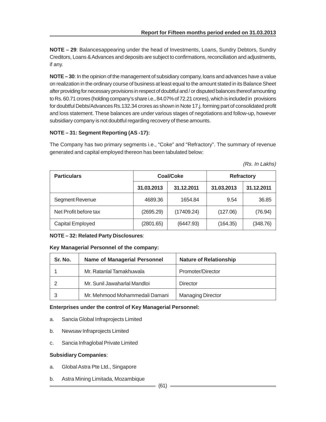**NOTE – 29**: Balancesappearing under the head of Investments, Loans, Sundry Debtors, Sundry Creditors, Loans & Advances and deposits are subject to confirmations, reconciliation and adjustments, if any.

**NOTE – 30**: In the opinion of the management of subsidiary company, loans and advances have a value on realization in the ordinary course of business at least equal to the amount stated in its Balance Sheet after providing for necessary provisions in respect of doubtful and / or disputed balances thereof amounting to Rs. 60.71 crores (holding company's share i.e., 84.07% of 72.21 crores), which is included in provisions for doubtful Debts/Advances Rs.132.34 crores as shown in Note 17.j. forming part of consolidated profit and loss statement. These balances are under various stages of negotiations and follow-up, however subsidiary company is not doubtful regarding recovery of these amounts.

#### **NOTE – 31: Segment Reporting (AS -17):**

The Company has two primary segments i.e., "Coke" and "Refractory". The summary of revenue generated and capital employed thereon has been tabulated below:

|  |  | (Rs. In Lakhs) |
|--|--|----------------|
|--|--|----------------|

| <b>Particulars</b>     | Coal/Coke  |            | <b>Refractory</b> |            |
|------------------------|------------|------------|-------------------|------------|
|                        | 31.03.2013 | 31.12.2011 | 31.03.2013        | 31.12.2011 |
| <b>Segment Revenue</b> | 4689.36    | 1654.84    | 9.54              | 36.85      |
| Net Profit before tax  | (2695.29)  | (17409.24) | (127.06)          | (76.94)    |
| Capital Employed       | (2801.65)  | (6447.93)  | (164.35)          | (348.76)   |

**NOTE – 32: Related Party Disclosures**:

#### **Key Managerial Personnel of the company:**

| Sr. No. | <b>Name of Managerial Personnel</b> | <b>Nature of Relationship</b> |
|---------|-------------------------------------|-------------------------------|
|         | Mr. Ratanlal Tamakhuwala            | Promoter/Director             |
|         | Mr. Sunil Jawaharlal Mandloi        | Director                      |
| 3       | Mr. Mehmood Mohammedali Damani      | <b>Managing Director</b>      |

#### **Enterprises under the control of Key Managerial Personnel:**

- a. Sancia Global Infraprojects Limited
- b. Newsaw Infraprojects Limited
- c. Sancia Infraglobal Private Limited

#### **Subsidiary Companies**:

- a. Global Astra Pte Ltd., Singapore
- b. Astra Mining Limitada, Mozambique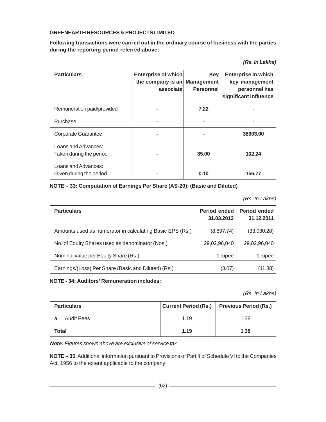**Following transactions were carried out in the ordinary course of business with the parties during the reporting period referred above:**

| <b>Particulars</b>                             | <b>Enterprise of which</b><br>the company is an $\vert$ Management<br>associate | Key<br><b>Personnel</b> | <b>Enterprise in which</b><br>key management<br>personnel has<br>significant influence |
|------------------------------------------------|---------------------------------------------------------------------------------|-------------------------|----------------------------------------------------------------------------------------|
| Remuneration paid/provided                     |                                                                                 | 7.22                    |                                                                                        |
| Purchase                                       |                                                                                 |                         |                                                                                        |
| Corporate Guarantee                            |                                                                                 |                         | 38903.00                                                                               |
| Loans and Advances:<br>Taken during the period |                                                                                 | 35.00                   | 102.24                                                                                 |
| Loans and Advances:<br>Given during the period |                                                                                 | 0.10                    | 156.77                                                                                 |

**NOTE – 33: Computation of Earnings Per Share (AS-20): (Basic and Diluted)**

(Rs. In Lakhs)

| <b>Particulars</b>                                       | <b>Period ended</b><br>31.03.2013 | Period ended<br>31.12.2011 |
|----------------------------------------------------------|-----------------------------------|----------------------------|
| Amounts used as numerator in calculating Basic EPS (Rs.) | (8,897.74)                        | (33,030.28)                |
| No. of Equity Shares used as denominator (Nos.)          | 29,02,96,040                      | 29,02,96,040               |
| Nominal value per Equity Share (Rs.)                     | 1 rupee                           | 1 rupee                    |
| Earnings/(Loss) Per Share (Basic and Diluted) (Rs.)      | (3.07)                            | (11.38)                    |

# **NOTE - 34: Auditors' Remuneration includes:**

(Rs. In Lakhs)

| <b>Particulars</b> |      | Current Period (Rs.)   Previous Period (Rs.) |  |
|--------------------|------|----------------------------------------------|--|
| Audit Fees<br>а.   | 1.19 | 1.38                                         |  |
| Total              | 1.19 | 1.38                                         |  |

**Note:** Figures shown above are exclusive of service tax.

**NOTE – 35**: Additional information pursuant to Provisions of Part II of Schedule VI to the Companies Act, 1956 to the extent applicable to the company: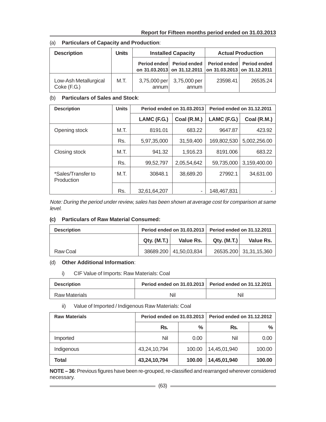| <b>Description</b>                   | <b>Units</b> | <b>Installed Capacity</b> |                                                                                                                      | <b>Actual Production</b> |          |
|--------------------------------------|--------------|---------------------------|----------------------------------------------------------------------------------------------------------------------|--------------------------|----------|
|                                      |              |                           | Period ended   Period ended   Period ended   Period ended<br>on 31.03.2013 on 31.12.2011 on 31.03.2013 on 31.12.2011 |                          |          |
| Low-Ash Metallurgical<br>Coke (F.G.) | M.T.         | 3,75,000 per<br>annum     | 3,75,000 per<br>annum                                                                                                | 23598.41                 | 26535.24 |

### (a) **Particulars of Capacity and Production**:

#### (b) **Particulars of Sales and Stock**:

| <b>Description</b>               | <b>Units</b> | Period ended on 31.03.2013 |             |             | <b>Period ended on 31.12.2011</b> |
|----------------------------------|--------------|----------------------------|-------------|-------------|-----------------------------------|
|                                  |              | LAMC (F.G.)                | Coal (R.M.) | LAMC (F.G.) | Coal (R.M.)                       |
| Opening stock                    | M.T.         | 8191.01                    | 683.22      | 9647.87     | 423.92                            |
|                                  | Rs.          | 5,97,35,000                | 31,59,400   | 169,802,530 | 5,002,256.00                      |
| Closing stock                    | M.T.         | 941.32                     | 1,916.23    | 8191.006    | 683.22                            |
|                                  | Rs.          | 99,52,797                  | 2,05,54,642 | 59,735,000  | 3.159.400.00                      |
| *Sales/Transfer to<br>Production | M.T.         | 30848.1                    | 38,689.20   | 27992.1     | 34,631.00                         |
|                                  | Rs.          | 32.61.64.207               | ۰           | 148.467.831 |                                   |

Note: During the period under review, sales has been shown at average cost for comparison at same level.

# **(c) Particulars of Raw Material Consumed:**

| <b>Description</b> | Period ended on 31.03.2013 Period ended on 31.12.2011 |                          |                |                        |
|--------------------|-------------------------------------------------------|--------------------------|----------------|------------------------|
|                    | $Q$ ty. (M.T.)                                        | Value Rs.                | $Q$ ty. (M.T.) | Value Rs.              |
| Raw Coal           |                                                       | 38689.200   41,50,03,834 |                | 26535.200 31,31,15,360 |

#### (d) **Other Additional Information**:

i) CIF Value of Imports: Raw Materials: Coal

| <b>Description</b>   |     | Period ended on 31.03.2013 Period ended on 31.12.2011 |
|----------------------|-----|-------------------------------------------------------|
| <b>Raw Materials</b> | Nil | Nil                                                   |

ii) Value of Imported / Indigenous Raw Materials: Coal

| <b>Raw Materials</b> | <b>Period ended on 31.03.2013</b> |        | <b>Period ended on 31.12.2012</b> |        |
|----------------------|-----------------------------------|--------|-----------------------------------|--------|
|                      | Rs.                               | %      | Rs.                               | ℅      |
| Imported             | Nil                               | 0.00   | Nil                               | 0.00   |
| Indigenous           | 43,24,10,794                      | 100.00 | 14,45,01,940                      | 100.00 |
| Total                | 43,24,10,794                      | 100.00 | 14,45,01,940                      | 100.00 |

**NOTE – 36**: Previous figures have been re-grouped, re-classified and rearranged wherever considered necessary.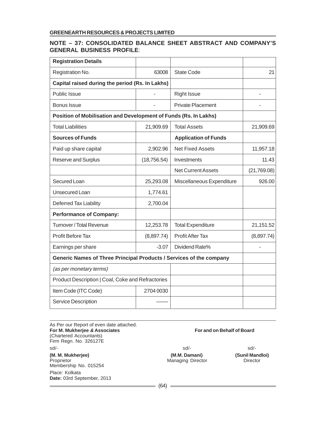### **NOTE – 37: CONSOLIDATED BALANCE SHEET ABSTRACT AND COMPANY'S GENERAL BUSINESS PROFILE**:

| <b>Registration Details</b>                                         |              |                             |             |
|---------------------------------------------------------------------|--------------|-----------------------------|-------------|
| Registration No.                                                    | 63008        | <b>State Code</b>           | 21          |
| Capital raised during the period (Rs. In Lakhs)                     |              |                             |             |
| Public Issue                                                        |              | <b>Right Issue</b>          |             |
| <b>Bonus Issue</b>                                                  |              | <b>Private Placement</b>    |             |
| Position of Mobilisation and Development of Funds (Rs. In Lakhs)    |              |                             |             |
| <b>Total Liabilities</b>                                            | 21,909.69    | <b>Total Assets</b>         | 21,909.69   |
| <b>Sources of Funds</b>                                             |              | <b>Application of Funds</b> |             |
| Paid up share capital                                               | 2,902.96     | <b>Net Fixed Assets</b>     | 11,957.18   |
| Reserve and Surplus                                                 | (18, 756.54) | Investments                 | 11.43       |
|                                                                     |              | <b>Net Current Assets</b>   | (21,769.08) |
| Secured Loan                                                        | 25,293.08    | Miscellaneous Expenditure   | 926.00      |
| <b>Unsecured Loan</b>                                               | 1,774.61     |                             |             |
| Deferred Tax Liability                                              | 2,700.04     |                             |             |
| <b>Performance of Company:</b>                                      |              |                             |             |
| Turnover / Total Revenue                                            | 12,253.78    | <b>Total Expenditure</b>    | 21,151.52   |
| Profit Before Tax                                                   | (8,897.74)   | <b>Profit After Tax</b>     | (8,897.74)  |
| Earnings per share                                                  | $-3.07$      | Dividend Rate%              |             |
| Generic Names of Three Principal Products / Services of the company |              |                             |             |
| (as per monetary terms)                                             |              |                             |             |
| Product Description   Coal, Coke and Refractories                   |              |                             |             |
| Item Code (ITC Code)                                                | 2704 0030    |                             |             |
| <b>Service Description</b>                                          |              |                             |             |

As Per our Report of even date attached. **For M. Mukherjee & Associates For and on Behalf of Board** (Chartered Accountants) Firm Regn. No. 326127E sd/- sd/- sd/- **(M. M. Mukherjee) (M.M. Damani) (Sunil Mandloi)** Membership No. 015254

Place: Kolkata **Date:** 03rd September, 2013

Managing Director

 $= (64) =$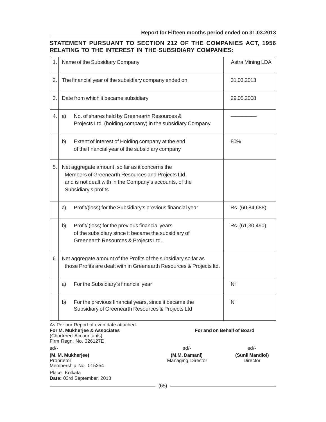### **STATEMENT PURSUANT TO SECTION 212 OF THE COMPANIES ACT, 1956 RELATING TO THE INTEREST IN THE SUBSIDIARY COMPANIES:**

| 1. | Name of the Subsidiary Company                                                                                                                                                          | Astra Mining LDA |
|----|-----------------------------------------------------------------------------------------------------------------------------------------------------------------------------------------|------------------|
| 2. | The financial year of the subsidiary company ended on                                                                                                                                   | 31.03.2013       |
| 3. | Date from which it became subsidiary                                                                                                                                                    | 29.05.2008       |
| 4. | No. of shares held by Greenearth Resources &<br>a)<br>Projects Ltd. (holding company) in the subsidiary Company.                                                                        |                  |
|    | Extent of interest of Holding company at the end<br>b)<br>of the financial year of the subsidiary company                                                                               | 80%              |
| 5. | Net aggregate amount, so far as it concerns the<br>Members of Greenearth Resources and Projects Ltd.<br>and is not dealt with in the Company's accounts, of the<br>Subsidiary's profits |                  |
|    | Profit/(loss) for the Subsidiary's previous financial year<br>a)                                                                                                                        | Rs. (60,84,688)  |
|    | Profit/ (loss) for the previous financial years<br>b)<br>of the subsidiary since it became the subsidiary of<br>Greenearth Resources & Projects Ltd                                     | Rs. (61,30,490)  |
| 6. | Net aggregate amount of the Profits of the subsidiary so far as<br>those Profits are dealt with in Greenearth Resources & Projects Itd.                                                 |                  |
|    | For the Subsidiary's financial year<br>a)                                                                                                                                               | Nil              |
|    | For the previous financial years, since it became the<br>b)<br>Subsidiary of Greenearth Resources & Projects Ltd                                                                        | Nil              |

As Per our Report of even date attached. **For M. Mukherjee & Associates For and on Behalf of Board** (Chartered Accountants) Firm Regn. No. 326127E sd/- sd/- sd/- **(M. M. Mukherjee) (M.M. Damani) (Sunil Mandloi)** Membership No. 015254

Place: Kolkata

**Date:** 03rd September, 2013

Managing Director

 $=$  (65)  $=$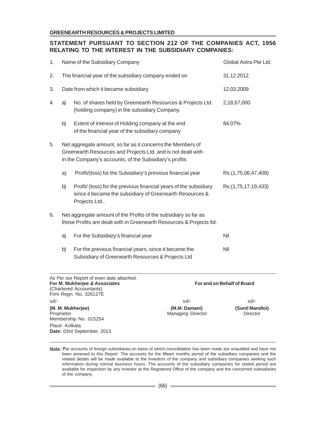# **STATEMENT PURSUANT TO SECTION 212 OF THE COMPANIES ACT, 1956 RELATING TO THE INTEREST IN THE SUBSIDIARY COMPANIES:**

|        |    | (M. M. Mukherjee)                                                                                                                                                                    | (M.M. Damani) | (Sunil Mandloi)            |
|--------|----|--------------------------------------------------------------------------------------------------------------------------------------------------------------------------------------|---------------|----------------------------|
| $sd/-$ |    |                                                                                                                                                                                      | $sd/-$        | sd/-                       |
|        |    | As Per our Report of even date attached.<br>For M. Mukherjee & Associates<br>(Chartered Accountants)<br>Firm Regn. No. 326127E                                                       |               | For and on Behalf of Board |
|        | b) | For the previous financial years, since it became the<br>Subsidiary of Greenearth Resources & Projects Ltd                                                                           |               | Nil                        |
|        | a) | For the Subsidiary's financial year                                                                                                                                                  |               | Nil                        |
| 6.     |    | Net aggregate amount of the Profits of the subsidiary so far as<br>those Profits are dealt with in Greenearth Resources & Projects Itd.                                              |               |                            |
|        | b) | Profit/ (loss) for the previous financial years of the subsidiary<br>since it became the subsidiary of Greenearth Resources &<br>Projects Ltd                                        |               | Rs.(1,75,17,19,433)        |
|        | a) | Profit/(loss) for the Subsidiary's previous financial year                                                                                                                           |               | Rs.(1,75,06,47,409)        |
| 5.     |    | Net aggregate amount, so far as it concerns the Members of<br>Greenearth Resources and Projects Ltd. and is not dealt with<br>in the Company's accounts, of the Subsidiary's profits |               |                            |
|        | b) | Extent of interest of Holding company at the end<br>of the financial year of the subsidiary company                                                                                  |               | 84.07%                     |
| 4.     | a) | No. of shares held by Greenearth Resources & Projects Ltd.<br>(holding company) in the subsidiary Company.                                                                           |               | 2,18,67,000                |
| 3.     |    | Date from which it became subsidiary                                                                                                                                                 |               | 12.03.2009                 |
| 2.     |    | The financial year of the subsidiary company ended on                                                                                                                                |               | 31.12.2012                 |
| 1.     |    | Name of the Subsidiary Company                                                                                                                                                       |               | Global Astra Pte Ltd.      |

Proprietor Director Managing Director Director Director Membership No. 015254 Place: Kolkata **Date:** 03rd September, 2013

**Note:T**he accounts of foreign subsidiaries,on basis of which consolidation has been made are unaudited and have not been annexed to this Report. The accounts for the fifteen months period of the subsidiary companies and the related details will be made available to the investors of the company and subsidiary companies seeking such information during normal business hours. The accounts of the subsidiary companies for stated period are available for inspection by any investor at the Registered Office of the company and the concerned subsidiaries of the company.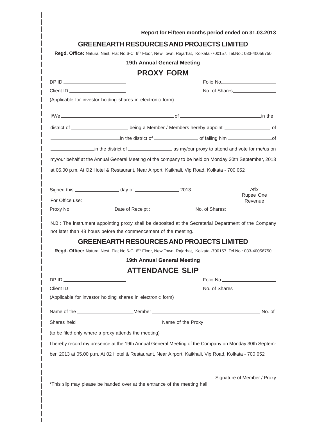|                                                                                        |                                                                | <b>GREENEARTH RESOURCES AND PROJECTS LIMITED</b>                                                                                                                               |                                  |
|----------------------------------------------------------------------------------------|----------------------------------------------------------------|--------------------------------------------------------------------------------------------------------------------------------------------------------------------------------|----------------------------------|
|                                                                                        |                                                                | Regd. Office: Natural Nest, Flat No.6-C, 6 <sup>Th</sup> Floor, New Town, Rajarhat, Kolkata -700157. Tel.No.: 033-40056750                                                     |                                  |
|                                                                                        | <b>19th Annual General Meeting</b>                             |                                                                                                                                                                                |                                  |
|                                                                                        | <b>PROXY FORM</b>                                              |                                                                                                                                                                                |                                  |
|                                                                                        |                                                                |                                                                                                                                                                                | Folio No._______________________ |
| Client ID _______________________                                                      | (Applicable for investor holding shares in electronic form)    |                                                                                                                                                                                | No. of Shares                    |
|                                                                                        |                                                                |                                                                                                                                                                                |                                  |
|                                                                                        |                                                                |                                                                                                                                                                                |                                  |
|                                                                                        |                                                                | district of ___________________________being a Member / Members hereby appoint ________________________ of                                                                     |                                  |
|                                                                                        |                                                                |                                                                                                                                                                                |                                  |
|                                                                                        |                                                                |                                                                                                                                                                                |                                  |
|                                                                                        |                                                                | my/our behalf at the Annual General Meeting of the company to be held on Monday 30th September, 2013                                                                           |                                  |
|                                                                                        |                                                                | at 05.00 p.m. At O2 Hotel & Restaurant, Near Airport, Kaikhali, Vip Road, Kolkata - 700 052                                                                                    |                                  |
|                                                                                        |                                                                |                                                                                                                                                                                |                                  |
|                                                                                        |                                                                |                                                                                                                                                                                |                                  |
|                                                                                        |                                                                |                                                                                                                                                                                | Affix                            |
|                                                                                        |                                                                |                                                                                                                                                                                | Rupee One<br>Revenue             |
|                                                                                        | not later than 48 hours before the commencement of the meeting | N.B.: The instrument appointing proxy shall be deposited at the Secretarial Department of the Company                                                                          |                                  |
|                                                                                        |                                                                | <b>GREENEARTH RESOURCES AND PROJECTS LIMITED</b><br>Regd. Office: Natural Nest, Flat No.6-C, 6 <sup>Th</sup> Floor, New Town, Rajarhat, Kolkata -700157. Tel.No.: 033-40056750 |                                  |
|                                                                                        | <b>19th Annual General Meeting</b>                             |                                                                                                                                                                                |                                  |
|                                                                                        | <b>ATTENDANCE SLIP</b>                                         |                                                                                                                                                                                |                                  |
| For Office use:<br>DP ID ________________________<br>Client ID _______________________ |                                                                |                                                                                                                                                                                |                                  |
|                                                                                        | (Applicable for investor holding shares in electronic form)    |                                                                                                                                                                                | Folio No.<br>No. of Shares       |
|                                                                                        |                                                                |                                                                                                                                                                                |                                  |
|                                                                                        |                                                                |                                                                                                                                                                                |                                  |
|                                                                                        | (to be filed only where a proxy attends the meeting)           |                                                                                                                                                                                |                                  |
|                                                                                        |                                                                | I hereby record my presence at the 19th Annual General Meeting of the Company on Monday 30th Septem-                                                                           |                                  |
|                                                                                        |                                                                | ber, 2013 at 05.00 p.m. At 02 Hotel & Restaurant, Near Airport, Kaikhali, Vip Road, Kolkata - 700 052                                                                          |                                  |
|                                                                                        |                                                                |                                                                                                                                                                                |                                  |
|                                                                                        |                                                                |                                                                                                                                                                                | Signature of Member / Proxy      |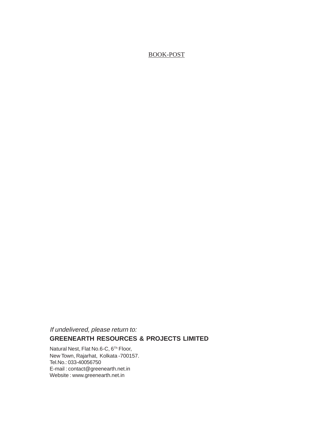# BOOK-POST

If undelivered, please return to: **GREENEARTH RESOURCES & PROJECTS LIMITED**

Natural Nest, Flat No.6-C, 6Th Floor, New Town, Rajarhat, Kolkata -700157. Tel.No.: 033-40056750 E-mail : contact@greenearth.net.in Website : www.greenearth.net.in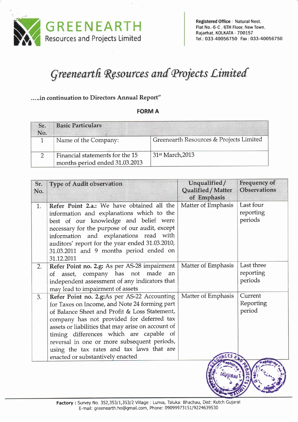

# **Greenearth Resources and Projects Limited**

# .....in continuation to Directors Annual Report"

# **FORM A**

| Sr.<br>No. | <b>Basic Particulars</b>                                          |                                         |
|------------|-------------------------------------------------------------------|-----------------------------------------|
|            | Name of the Company:                                              | Greenearth Resources & Projects Limited |
|            | Financial statements for the 15<br>months period ended 31.03.2013 | 31 <sup>st</sup> March, 2013            |

| Sr.<br>No. | <b>Type of Audit observation</b>                                                                                                                                                                                                                                                                                                                                                                                            | Unqualified/<br>Qualified / Matter<br>of Emphasis | Frequency of<br><b>Observations</b> |
|------------|-----------------------------------------------------------------------------------------------------------------------------------------------------------------------------------------------------------------------------------------------------------------------------------------------------------------------------------------------------------------------------------------------------------------------------|---------------------------------------------------|-------------------------------------|
| 1.         | Refer Point 2.a.: We have obtained all the<br>information and explanations which to the<br>best of our knowledge and belief were<br>necessary for the purpose of our audit, except<br>information and explanations read with<br>auditors' report for the year ended 31.03.2010,<br>31.03.2011 and 9 months period ended on<br>31.12.2011                                                                                    | Matter of Emphasis                                | Last four<br>reporting<br>periods   |
| 2.         | Refer Point no. 2.g: As per AS-28 impairment<br>asset, company has not made<br>an<br><sub>of</sub><br>independent assessment of any indicators that<br>may lead to impairment of assets                                                                                                                                                                                                                                     | Matter of Emphasis                                | Last three<br>reporting<br>periods  |
| 3.         | Refer Point no. 2.g:As per AS-22 Accounting<br>for Taxes on Income, and Note 24 forming part<br>of Balance Sheet and Profit & Loss Statement,<br>company has not provided for deferred tax<br>assets or liabilities that may arise on account of<br>timing differences which are capable of<br>reversal in one or more subsequent periods,<br>using the tax rates and tax laws that are<br>enacted or substantively enacted | Matter of Emphasis                                | Current<br>Reporting<br>period      |
|            |                                                                                                                                                                                                                                                                                                                                                                                                                             |                                                   |                                     |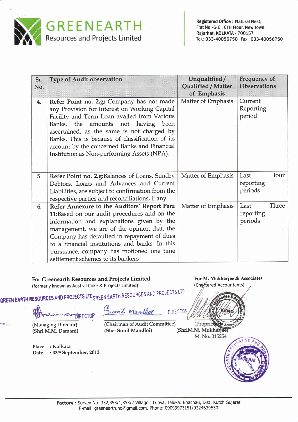

| Sr.<br>No. | <b>Type of Audit observation</b>                                                                                                                                                                                                                                                                                                                                                | Unqualified/<br>Qualified / Matter<br>of Emphasis | <b>Frequency of</b><br><b>Observations</b> |
|------------|---------------------------------------------------------------------------------------------------------------------------------------------------------------------------------------------------------------------------------------------------------------------------------------------------------------------------------------------------------------------------------|---------------------------------------------------|--------------------------------------------|
| 4.         | Refer Point no. 2.g: Company has not made<br>any Provision for Interest on Working Capital<br>Facility and Term Loan availed from Various<br>Banks, the amounts not having been<br>ascertained, as the same is not charged by<br>Banks. This is because of classification of its<br>account by the concerned Banks and Financial<br>Institution as Non-performing Assets (NPA). | Matter of Emphasis                                | Current<br>Reporting<br>period             |
| 5.         | Refer Point no. 2.g:Balances of Loans, Sundry<br>Debtors, Loans and Advances and Current<br>Liabilities, are subject to confirmation from the<br>respective parties and reconciliations, if any                                                                                                                                                                                 | Matter of Emphasis                                | four<br>Last<br>reporting<br>periods       |
| 6.         | Refer Annexure to the Auditors' Report Para<br>11:Based on our audit procedures and on the<br>information and explanations given by the<br>management, we are of the opinion that, the<br>Company has defaulted in repayment of dues<br>to a financial institutions and banks. In this<br>pursuance, company has motioned one time<br>settlement schemes to its bankers         | Matter of Emphasis                                | Three<br>Last<br>reporting<br>periods      |

For Greenearth Resources and Projects Limited (formerly known as Austral Coke & Projects Limited)

For M. Mukherjee & Associates (Chartered Accountants)

**SO** Acco

GREEN EARTH RESOURCES AND PROJECTS LTD<sub>GREEN</sub> EARTH RESOURCES AND PROJECTS LTD

DRECTOR

(Managing Director) (Shri M.M. Damani) Sunil Mandloc (Chairman of Audit Committee)

(Shri Sunil Mandloi)

(Propried (ShriM.M. Mukherjee) M. No.:015254



Place : Kolkata Date : 03rd September, 2013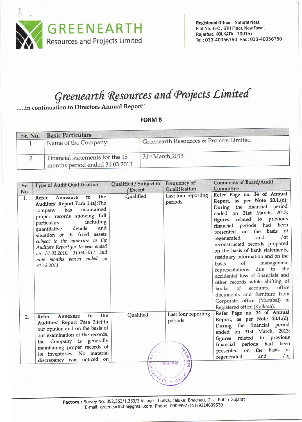

**Registered Office: Natural Nest,** Flat No.-6-C, 6TH Floor, New Town, Rajarhat, KOLKATA - 700157 Tel.: 033-40056750 Fax: 033-40056750

# Greenearth Resources and Projects Limited

.....in continuation to Directors Annual Report"

# **FORM B**

| Sr. No. | <b>Basic Particulars</b>                                          |                                         |  |
|---------|-------------------------------------------------------------------|-----------------------------------------|--|
|         | Name of the Company:                                              | Greenearth Resources & Projects Limited |  |
|         | Financial statements for the 15<br>months period ended 31.03.2013 | 31st March, 2013                        |  |

| Sr.              | Type of Audit Qualification                                         | Qualified / Subject to | Frequency of                           | <b>Comments of Board/Audit</b>                                 |
|------------------|---------------------------------------------------------------------|------------------------|----------------------------------------|----------------------------------------------------------------|
| No.              |                                                                     | /Except                | <b>Qualification</b>                   | Committee                                                      |
| $\overline{1}$ . | the<br>to<br>Refer<br>Annexure                                      | Oualified              | Last four reporting<br>periods         | Refer Page no. 34 of Annual<br>Report, as per Note 20.1.(d):   |
|                  | Auditors' Report Para 1.(a): The<br>maintained                      |                        |                                        | During the financial period                                    |
|                  | has<br>company<br>proper records showing full                       |                        |                                        | ended on 31st March, 2013;                                     |
|                  | including<br>particulars                                            |                        |                                        | figures related to previous                                    |
|                  | and<br>details<br>quantitative                                      |                        |                                        | financial periods had been<br>the basis of<br>presented on     |
|                  | situation of its fixed assets                                       |                        |                                        | $\int$ or<br>and<br>regenerated                                |
|                  | subject to the annexure to the<br>Auditors Report for theyear ended |                        |                                        | reconstructed records prepared                                 |
|                  | on 31.03.2010, 31.03.2011 and                                       |                        |                                        | on the basis of bank statements,                               |
|                  | nine months period ended on                                         |                        |                                        | residuary information and on the<br>of<br>management<br>basis  |
|                  | 31.12.2011                                                          |                        |                                        | the<br>to<br>due<br>representations                            |
|                  |                                                                     |                        |                                        | accidental loss of financials and                              |
|                  |                                                                     |                        |                                        | other records while shifting of<br>office                      |
|                  |                                                                     |                        |                                        | accounts,<br>of<br>books<br>documents and furniture from       |
|                  |                                                                     |                        |                                        | Corporate office (Mumbai) to                                   |
|                  |                                                                     |                        |                                        | Registered office (Kolkata).                                   |
| 2.               | the<br>to<br><b>Refer</b><br>Annexure                               | Qualified              | Last four reporting                    | Refer Page no. 34 of Annual                                    |
|                  | Auditors' Report Para 2.(c):In                                      |                        | periods                                | Report, as per Note $20.1(d)$ :<br>During the financial period |
|                  | our opinion and on the basis of                                     |                        |                                        | ended on 31st March, 2013;                                     |
|                  | our examination of the records,                                     |                        |                                        | related to previous<br>figures                                 |
|                  | the Company is generally<br>maintaining proper records of           |                        |                                        | financial periods had been                                     |
|                  | its inventories. No material                                        |                        |                                        | of<br>the basis<br>presented on<br>/ or<br>and                 |
|                  | discrepancy was noticed on                                          |                        | <b>MUMBAL</b>                          | regenerated                                                    |
|                  |                                                                     | $\alpha$<br>ı          | $\frac{1}{2}$                          |                                                                |
|                  |                                                                     |                        | $\Delta$<br>$\mathcal{F}_{\text{eff}}$ |                                                                |